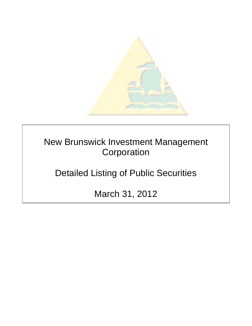

New Brunswick Investment Management **Corporation** 

Detailed Listing of Public Securities

March 31, 2012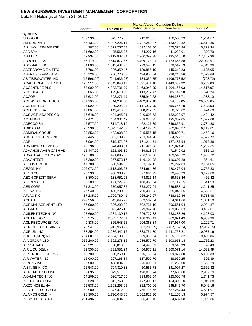|                                         | <b>Shares</b>            | <b>Fair Value</b>            | <b>Public Service</b>      | <b>Teachers'</b>            | Judges'                |
|-----------------------------------------|--------------------------|------------------------------|----------------------------|-----------------------------|------------------------|
| <b>EQUITIES</b>                         |                          |                              |                            |                             |                        |
| 3I GROUP                                | 109,399.00               | 373,775.53                   | 212,013.87                 | 160,506.99                  | 1,254.67               |
| <b>3M COMPANY</b><br>A.P. MOLLER-MAERSK | 55,431.00<br>207.00      | 4,937,226.14<br>1,572,757.57 | 2,787,289.47<br>892,103.40 | 2,133,422.32<br>675,374.84  | 16,514.35<br>5,279.34  |
| A2A SPA                                 | 121,692.00               | 95,565.96                    | 54,207.16                  | 41,038.01                   | 320.79                 |
| ABB LTD                                 | 249,934.00               | 5,112,807.84                 | 2,900,099.38               | 2,195,546.10                | 17,162.36              |
| <b>ABBOTT LABS</b>                      | 157,119.00               | 9,614,877.57                 | 5,409,128.21               | 4,173,665.38                | 32,083.97              |
| ABC-MART INC                            | 34,800.00                | 1,312,431.27                 | 729,540.12                 | 578,547.19                  | 4,343.96               |
| <b>ABERCROMBIE &amp; FITCH</b>          | 6,786.00                 | 336,350.47                   | 189,885.19                 | 145,340.23                  | 1,125.05               |
| <b>ABERTIS INFRAESTR</b>                | 45,126.00                | 766,720.08                   | 434,900.84                 | 329,245.56                  | 2,573.68               |
| ABITIBIBOWATER INC                      | (16, 596.00)             | (241, 636.98)                | (134, 059.75)              | (106, 778.52)               | (798.72)               |
| <b>ACADIA REALTY TRUST</b>              | 125,511.00               | 2,849,043.47                 | 1,391,404.10               | 1,449,357.32                | 8,282.06               |
| <b>ACCENTURE PLC</b>                    | 68,000.00                | 4,382,731.99                 | 2,463,948.99               | 1,904,165.03                | 14,617.97              |
| <b>ACCIONA SA</b>                       | 2,865.00                 | 199,670.29                   | 113,257.47                 | 85,742.58                   | 670.24                 |
| <b>ACCOR</b>                            | 16,622.00                | 592,271.49                   | 335,949.68                 | 254,333.71                  | 1,988.10               |
| ACE AVIATION HLDGS                      | 751,100.00               | 8,044,281.00                 | 4,462,952.10               | 3,554,739.05                | 26,589.85              |
| <b>ACE LIMITED</b>                      | 26,900.00                | 1,980,208.21                 | 1,117,917.90               | 855,666.78                  | 6,623.53               |
| <b>ACERINOX SA</b>                      | 11,067.00                | 141,413.32                   | 80,212.81                  | 60,725.82                   | 474.69                 |
| ACS ACTIVIDADES CO                      | 16,648.00                | 424,345.91                   | 240,698.53                 | 182,222.97                  | 1,424.42               |
| <b>ACTELION</b>                         | 12,471.00                | 454,931.49                   | 258,047.35                 | 195,357.05                  | 1,527.09               |
| ADECCO SA                               | 15,577.00                | 814,718.10                   | 462,126.39                 | 349,856.91                  | 2,734.80               |
| <b>ADIDAS AG</b>                        | 23,398.00                | 1,823,142.57                 | 1,034,127.39               | 782,895.37                  | 6,119.81               |
| <b>ADMIRAL GROUP</b>                    | 22,852.00                | 432,908.02                   | 245,555.15                 | 185,899.71                  | 1,453.16               |
| ADOBE SYSTEMS INC                       | 39,445.00                | 1,352,139.93                 | 763,344.70                 | 584,272.51                  | 4,522.72               |
| <b>ADP</b>                              | 3,904.00                 | 319,472.03                   | 181,211.71                 | 137,187.94                  | 1,072.38               |
| ADV MICRO DEVICES                       | 46,796.00                | 374,498.61                   | 211,421.56                 | 161,824.41                  | 1,252.65               |
| ADVANCE AMER CASH AD                    | 15,447.00                | 161,893.19                   | 89,818.04                  | 71,540.02                   | 535.13                 |
| ADVANTAGE OIL & GAS                     | 125,700.00               | 421,095.00                   | 236,139.56                 | 183,548.72                  | 1,406.72               |
| <b>ADVANTEST</b>                        | 16,300.00                | 257,573.17                   | 146,101.28                 | 110,607.28                  | 864.61                 |
| <b>AECON GROUP</b>                      | 47,700.00                | 630,594.00                   | 353,192.12                 | 275,297.83                  | 2,104.05               |
| <b>AEGON NV</b>                         | 202,072.00               | 1,118,893.23                 | 634,661.36                 | 480,476.04                  | 3,755.83               |
| AEON CO                                 | 70,593.00                | 930,308.73                   | 527,691.99                 | 399,493.93                  | 3,122.80               |
| <b>AEON CREDIT SERV</b>                 | 8,800.00                 | 138,951.02                   | 78,816.14                  | 59,668.46                   | 466.42                 |
| AEON MALL CO                            | 8,200.00                 | 191,227.70                   | 108,468.64                 | 82,117.15                   | 641.90                 |
| <b>AES CORP</b>                         | 51,313.00                | 670,057.32                   | 378,277.94                 | 289,538.13                  | 2,241.25               |
| <b>AETNA INC</b>                        | 27,940.00                | 1,400,209.08                 | 790,481.93                 | 605,043.65                  | 4,683.51               |
| <b>AFLAC INC</b>                        | 37,235.00                | 1,709,780.41                 | 965,249.07                 | 738,812.36                  | 5,718.98               |
| <b>AGEAS</b>                            | 249,356.00               | 545,645.79                   | 309,502.54                 | 234,311.66                  | 1,831.59               |
| AGF MANAGEMENT LTD                      | 57,900.00                | 896,292.00                   | 502,736.10                 | 390,561.04                  | 2,994.87               |
| AGGREKO                                 | 28,474.00                | 1,022,425.13                 | 579,942.48                 | 439,050.63                  | 3,432.01               |
| AGILENT TECHN INC<br><b>AGL ENERGY</b>  | 27,690.00                | 1,234,139.17                 | 696,727.88<br>1,168,366.41 | 533,283.26                  | 4,128.03               |
| AGL RESOURCES INC                       | 136,975.00               | 2,085,177.81                 | 206,368.84                 | 909,871.43                  | 6,939.96               |
| <b>AGNICO EAGLE MINES</b>               | 9,336.00<br>(26, 947.00) | 365,548.55<br>(912, 953.29)  | (502, 203.89)              | 157,957.00<br>(407, 762.24) | 1,222.71<br>(2,987.15) |
| <b>AGRIUM INC</b>                       | 38,254.00                | 3,286,442.16                 | 1,833,751.80               | 1,441,753.21                | 10,937.16              |
| AHOLD (KON) NV                          | 204,807.00               | 2,824,188.82                 | 1,589,059.64               | 1,225,702.32                | 9,426.86               |
| AIA GROUP LTD                           | 956,200.00               | 3,502,278.16                 | 1,986,570.79               | 1,503,951.14                | 11,756.23              |
| AIR CANADA                              | 320,521.00               | 8,013.03                     | 4,445.61                   | 3,540.93                    | 26.49                  |
| AIR LIQUIDE(L')                         | 32,556.00                | 4,331,581.24                 | 2,456,970.11               | 1,860,071.14                | 14,539.99              |
| AIR PRODS & CHEMS                       | 16,780.00                | 1,550,250.12                 | 875,186.94                 | 669,877.80                  | 5,185.38               |
| AIR WATER INC                           | 16,000.00                | 207,163.34                   | 117,507.70                 | 88,960.25                   | 695.39                 |
| <b>AIRGAS INC</b>                       | 5,500.00                 | 488,894.60                   | 276,003.31                 | 211,256.00                  | 1,635.29               |
| AISIN SEIKI CO                          | 22,543.00                | 794,319.38                   | 450,555.78                 | 341,097.27                  | 2,666.32               |
| AJINOMOTO CO INC                        | 69,895.00                | 879,511.63                   | 498,878.74                 | 377,680.60                  | 2,952.29               |
| AKAMAI TECH INC                         | 14,209.00                | 520,717.05                   | 293,968.54                 | 225,006.78                  | 1,741.73               |
| AKER SOLUTIONS                          | 18,528.00                | 312,768.25                   | 177,409.17                 | 134,309.20                  | 1,049.88               |
| AKZO NOBEL NV                           | 25,538.00                | 1,503,293.92                 | 852,702.06                 | 645,545.70                  | 5,046.16               |
| ALACER GOLD CORP                        | 158,900.00               | 1,347,472.00                 | 755,715.65                 | 587,254.44                  | 4,501.91               |
| ALAMOS GOLD IN                          | 98,300.00                | 1,790,043.00                 | 1,002,913.30               | 781,155.13                  | 5,974.57               |
| ALCATEL-LUCENT                          | 261,496.00               | 593,094.39                   | 336,416.45                 | 254,687.08                  | 1,990.86               |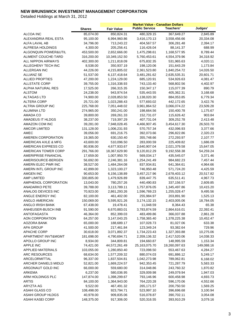|                             |               |                   | <b>Market Value - Canadian Dollars</b> |                  |            |
|-----------------------------|---------------|-------------------|----------------------------------------|------------------|------------|
|                             | <b>Shares</b> | <b>Fair Value</b> | <b>Public Service</b>                  | <b>Teachers'</b> | Judges'    |
| ALCOA INC                   | 85,074.00     | 850,824.31        | 480,329.15                             | 367,649.27       | 2,845.89   |
| ALEXANDRIA REAL ESTA        | 95,100.00     | 6,994,960.86      | 3,416,170.13                           | 3,558,456.66     | 20,334.08  |
| ALFA LAVAL AB               | 34,796.00     | 713,243.22        | 404,567.57                             | 306,281.48       | 2,394.17   |
| ALFRESA HOLDINGS            | 4,300.00      | 205,256.41        | 116,426.04                             | 88,141.37        | 688.99     |
| ALGONQUIN POWER&UTIL        | 453,500.00    | 2,652,666.00      | 1,475,298.61                           | 1,168,577.95     | 8,789.44   |
| ALIMENT COUCHE-TARD         | 316,200.00    | 10,349,152.50     | 5,760,453.61                           | 4,554,379.96     | 34,318.92  |
| ALL NIPPON AIRWAYS          | 402,300.00    | 1,211,818.09      | 675,832.35                             | 531,965.63       | 4,020.11   |
| ALLEGHENY TECH INC          | 8,538.00      | 350,937.19        | 198,120.06                             | 151,643.29       | 1,173.84   |
| ALLERGAN INC                | 44,226.00     | 4,215,805.02      | 2,361,523.80                           | 1,840,254.72     | 14,026.50  |
| <b>ALLIANZ SE</b>           | 51,537.00     | 6,137,418.64      | 3,481,281.62                           | 2,635,535.31     | 20,601.71  |
| <b>ALLIED PROPTIES</b>      | 47,200.00     | 1,224,129.00      | 685,120.91                             | 534,926.63       | 4,081.47   |
| <b>ALLSTATE CORP</b>        | 39,755.00     | 1,316,338.93      | 743,133.40                             | 568,802.56       | 4,402.97   |
| ALPHA NATURAL RES           | 17,525.00     | 266,315.35        | 150,347.17                             | 115,077.39       | 890.79     |
| <b>ALSTOM</b>               | 24,238.00     | 943,974.54        | 535,443.55                             | 405,362.31       | 3,168.68   |
| <b>ALTAGAS LTD</b>          | 74,900.00     | 2,028,853.50      | 1,138,020.30                           | 884,053.85       | 6,779.34   |
| <b>ALTERA CORP</b>          | 25,721.00     | 1,023,288.43      | 577,693.02                             | 442,172.65       | 3,422.76   |
| <b>ALTRIA GROUP INC</b>     | 225,768.00    | 7,051,448.02      | 3,961,864.52                           | 3,066,074.22     | 23,509.28  |
| <b>ALUMINA LTD</b>          | 274,965.00    | 350,241.00        | 198,664.56                             | 150,400.78       | 1,175.67   |
| AMADA CO                    | 39,800.00     | 269,261.33        | 152,731.07                             | 115,626.42       | 903.84     |
| AMADEUS IT HLDGS            | 38,237.00     | 719,397.29        | 407,731.04                             | 309,252.78       | 2,413.48   |
| <b>AMAZON COM INC</b>       | 39,281.00     | 7,948,028.45      | 4,466,907.45                           | 3,454,617.30     | 26,503.70  |
| <b>AMCOR LIMITED</b>        | 131,128.00    | 1,006,231.93      | 570,757.34                             | 432,096.93       | 3,377.66   |
| AMEC                        | 39,056.00     | 691,216.75        | 392,073.66                             | 296,822.86       | 2,320.23   |
| AMEREN CORPORATION          | 19,365.00     | 630,150.40        | 355,748.66                             | 272,293.97       | 2,107.77   |
| AMERICAN AXLE & MFG         | 43,600.00     | 510,096.50        | 283,000.59                             | 225,409.82       | 1,686.09   |
| AMERICAN EXPRESS CO         | 80,936.00     | 4,677,933.67      | 2,640,907.04                           | 2,021,379.58     | 15,647.05  |
| AMERICAN TOWER CORP         | 291,766.00    | 18,367,629.90     | 9,120,812.29                           | 9,192,558.38     | 54,259.24  |
| AMERIPRISE FINANCIAL        | 17,659.00     | 1,007,950.70      | 569,034.17                             | 435,545.07       | 3,371.46   |
| AMERISOURCE-BERGEN          | 56,692.00     | 2,246,381.16      | 1,254,241.49                           | 984,682.23       | 7,457.44   |
| AMERN ELEC PWR INC          | 38,527.00     | 1,484,264.08      | 837,934.81                             | 641,364.61       | 4,964.66   |
| AMERN INTL GROUP INC        | 42,899.00     | 1,323,100.27      | 746,950.48                             | 571,724.20       | 4,425.59   |
| <b>AMGEN INC</b>            | 90,653.00     | 6,156,138.89      | 3,457,217.96                           | 2,678,403.12     | 20,517.82  |
| AMP LIMITED                 | 330,805.00    | 1,479,926.89      | 839,447.75                             | 635,511.41       | 4,967.73   |
| AMPHENOL CORPORATION        | 13,043.00     | 780,257.26        | 440,490.83                             | 337,156.57       | 2,609.85   |
| <b>ANADARKO PETE</b>        | 39,788.00     | 3,113,789.11      | 1,757,876.05                           | 1,345,497.86     | 10,415.20  |
| ANALOG DEVICES INC          | 70,923.00     | 2,861,293.26      | 1,596,769.23                           | 1,255,028.47     | 9,495.56   |
| ANGLE ENERGY INC            | 82,100.00     | 461,402.00        | 255,984.97                             | 203,891.90       | 1,525.13   |
| ANGLO AMERICAN              | 150,069.00    | 5,595,921.26      | 3,174,132.15                           | 2,403,005.06     | 18,784.05  |
| ANGLO IRISH BANK            | 67,438.00     | 19,478.41         | 11,048.59                              | 8,364.43         | 65.38      |
| ANHEUSER-BUSCH INB          | 91,590.00     | 6,670,883.01      | 3,783,874.59                           | 2,864,616.01     | 22,392.41  |
| <b>ANTOFAGASTA</b>          | 46,364.00     | 852,399.03        | 483,499.86                             | 366,037.88       | 2,861.28   |
| AON CORPORATION             | 64,257.00     | 3,147,043.25      | 1,758,365.40                           | 1,378,225.38     | 10,452.47  |
| <b>AOZORA BANK</b>          | 65,000.00     | 188,689.17        | 107,028.73                             | 81,027.06        | 633.38     |
| <b>APA GROUP</b>            | 41,500.00     | 217,461.84        | 123,349.24                             | 93,382.64        | 729.96     |
| <b>APACHE CORP</b>          | 30,618.00     | 3,071,892.37      | 1,734,223.43                           | 1,327,393.88     | 10,275.06  |
| APARTMENT INVT&MGMT         | 181,698.00    | 4,790,694.71      | 2,359,136.32                           | 2,417,520.06     | 14,038.33  |
| APOLLO GROUP INC            | 8,934.00      | 344,809.81        | 194,660.87                             | 148,995.59       | 1,153.34   |
| APPLE INC                   | 74,421.00     | 44,572,261.49     | 25,163,075.70                          | 19,260,097.63    | 149,088.16 |
| <b>APPLIED MATERIALS</b>    | 103,055.00    | 1,280,850.40      | 723,098.50                             | 553,467.63       | 4,284.27   |
| <b>ARC RESOURCES</b>        | 68,634.00     | 1,577,209.32      | 880,074.03                             | 691,886.12       | 5,249.17   |
| ARCELORMITTAL               | 96,337.00     | 1,837,504.81      | 1,042,273.98                           | 789,062.81       | 6,168.02   |
| <b>ARCHER DANIELS MIDLD</b> | 52,821.00     | 1,669,224.57      | 942,353.45                             | 721,287.79       | 5,583.33   |
| ARGONAUT GOLD INC           | 66,000.00     | 559,680.00        | 314,048.86                             | 243,760.32       | 1,870.82   |
| ARKEMA                      | 6,237.00      | 580,036.95        | 329,009.98                             | 249,079.94       | 1,947.03   |
| ARM HOLDINGS PLC            | 147,874.00    | 1,398,299.67      | 793,146.96                             | 600,458.98       | 4,693.73   |
| <b>ARTIS</b>                | 84,100.00     | 1,364,943.00      | 764,220.28                             | 596,170.06       | 4,552.66   |
| ARYZTA AG                   | 9,522.00      | 467,491.32        | 265,171.57                             | 200,750.50       | 1,569.25   |
| ASAHI GLASS CO              | 108,498.00    | 923,794.71        | 523,997.10                             | 396,696.68       | 3,100.94   |
| ASAHI GROUP HLDGS           | 40,978.00     | 909,835.06        | 516,078.87                             | 390,702.11       | 3,054.08   |
| ASAHI KASEI CORP            | 148,375.00    | 917,306.00        | 520,316.55                             | 393,910.29       | 3,079.16   |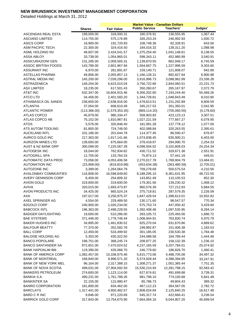|                               |               |                   | <b>Market Value - Canadian Dollars</b> |               |             |
|-------------------------------|---------------|-------------------|----------------------------------------|---------------|-------------|
|                               | <b>Shares</b> | <b>Fair Value</b> | <b>Public Service</b>                  | Teachers'     | Judges'     |
| ASCENDAS REAL ESTA            | 199,000.00    | 318,000.31        | 180,376.91                             | 136,555.95    | 1,067.44    |
| <b>ASCIANO LIMITED</b>        | 114,755.00    | 575,176.89        | 326,253.24                             | 246,992.93    | 1,930.72    |
| <b>ASICS CORP</b>             | 16,900.00     | 191,720.83        | 108,748.36                             | 82,328.91     | 643.56      |
| ASM PACIFIC TECH.             | 22,300.00     | 324,416.50        | 184,016.32                             | 139,311.20    | 1,088.98    |
| ASML HOLDING NV               | 48,607.00     | 2,424,541.57      | 1,375,254.40                           | 1,041,148.61  | 8,138.55    |
| <b>ASSA ABLOY</b>             | 33,738.00     | 1,054,865.01      | 598,343.11                             | 452,980.99    | 3,540.91    |
| <b>ASSICURAZIONI GEN</b>      | 131,285.00    | 2,009,565.31      | 1,139,870.55                           | 862,949.17    | 6,745.59    |
| <b>ASSOC BRITISH FOODS</b>    | 143,786.00    | 2,801,967.94      | 1,564,667.75                           | 1,227,996.59  | 9,303.60    |
| <b>ASSURANT INC</b>           | 6,970.00      | 281,891.67        | 159,140.71                             | 121,808.07    | 942.89      |
| <b>ASTELLAS PHARMA</b>        | 49,856.00     | 2,055,857.13      | 1,166,128.31                           | 882,827.84    | 6,900.98    |
| <b>ASTRAL MEDIA INC</b>       | 145,200.00    | 7,039,296.00      | 3,916,996.73                           | 3,098,962.99  | 23,336.28   |
| ASTRAZENECA                   | 149,204.00    | 6,623,015.04      | 3,756,722.80                           | 2,844,060.51  | 22,231.73   |
| <b>ASX LIMITED</b>            | 18,235.00     | 617,501.43        | 350,260.67                             | 265,167.97    | 2,072.79    |
| AT&T INC                      | 532,347.00    | 16,604,915.46     | 9,356,202.80                           | 7,193,244.40  | 55,468.26   |
| <b>ATCO LTD</b>               | 34,456.00     | 2,401,583.20      | 1,344,728.81                           | 1,048,843.49  | 8,010.90    |
| ATHABASCA OIL SANDS           | 238,600.00    | 2,638,916.00      | 1,478,813.51                           | 1,151,292.89  | 8,809.59    |
| <b>ATLANTIA</b>               | 37,054.00     | 608,610.49        | 345,217.53                             | 261,350.01    | 2,042.95    |
| <b>ATLANTIC POWER</b>         | (113, 366.00) | (1,579,353.35)    | (869, 114.20)                          | (705,060.55)  | (5, 178.60) |
| <b>ATLAS COPCO</b>            | 45,879.00     | 985,334.47        | 558,903.83                             | 423,123.13    | 3,307.51    |
| ATLAS COPCO AB                | 75,152.00     | 1,810,967.81      | 1,027,221.59                           | 777,667.27    | 6,078.95    |
| ATOS                          | 5,576.00      | 320,846.40        | 181,991.28                             | 137,778.12    | 1,077.00    |
| ATS AUTOM TOOLING             | 81,800.00     | 724,748.00        | 402,088.84                             | 320,263.55    | 2,395.61    |
| <b>AUCKLAND INTL</b>          | 101,186.00    | 201,644.78        | 114,377.45                             | 86,590.47     | 676.87      |
| AURICO GOLD INC               | 217,363.00    | 1,917,141.66      | 1,074,838.45                           | 835,900.21    | 6,403.00    |
| <b>AURIZON MINES LTD</b>      | 139,600.00    | 675,664.00        | 378,418.97                             | 294,990.70    | 2,254.33    |
| <b>AUST &amp; NZ BANK GRP</b> | 300,099.00    | 7,225,567.39      | 4,098,504.02                           | 3,102,809.03  | 24,254.34   |
| <b>AUTODESK INC</b>           | 18,044.00     | 762,934.82        | 430,711.52                             | 329,671.38    | 2,551.91    |
| <b>AUTOGRILL SPA</b>          | 12,705.00     | 133,764.33        | 75,874.13                              | 57,441.19     | 449.01      |
| AUTOMATIC DATA PROC           | 73,058.00     | 4,053,406.58      | 2,270,017.78                           | 1,769,904.79  | 13,484.01   |
| <b>AUTONATION INC</b>         | (23,908.00)   | (819, 819.98)     | (453, 634.38)                          | (363, 480.59) | (2,705.01)  |
| <b>AUTOZONE INC</b>           | 3,399.00      | 1,264,064.79      | 709,278.69                             | 550,575.54    | 4,210.56    |
| <b>AVALONBAY COMMUNTIES</b>   | 116,808.00    | 16,598,649.60     | 8,188,295.10                           | 8,361,631.95  | 48,722.55   |
| <b>AVERY DENNISON CORP</b>    | 8,459.00      | 254,809.32        | 143,851.49                             | 110,105.53    | 852.30      |
| <b>AVION GOLD</b>             | 319,600.00    | 319,600.00        | 179,301.56                             | 139,230.32    | 1,068.12    |
| <b>AVIVA</b>                  | 320,015.00    | 1,693,473.87      | 960,576.39                             | 727,212.93    | 5,684.55    |
| AVON PRODUCTS INC             | 34,425.00     | 665,524.24        | 375,718.81                             | 287,579.35    | 2,226.09    |
| <b>AXA</b>                    | 197,017.00    | 3,256,975.37      | 1,847,429.54                           | 1,398,613.01  | 10,932.82   |
| AXEL SPRINGER AG              | 4,554.00      | 229,489.50        | 130,171.60                             | 98,547.57     | 770.34      |
| <b>B2GOLD CORP</b>            | 240,900.00    | 1,026,234.00      | 575,753.74                             | 447,050.42    | 3,429.84    |
| <b>BABCOCK INTL</b>           | 196,363.00    | 2,498,228.55      | 1,392,408.46                           | 1,097,535.95  | 8,284.14    |
| <b>BADGER DAYLIGHTING</b>     | 19,600.00     | 510,286.00        | 283,105.72                             | 225,493.56    | 1,686.72    |
| <b>BAE SYSTEMS</b>            | 371,446.00    | 1,778,746.44      | 1,008,944.91                           | 763,830.74    | 5,970.79    |
| <b>BAKER HUGHES INC</b>       | 34,895.00     | 1,461,830.52      | 825,270.04                             | 631,670.86    | 4,889.62    |
| <b>BALFOUR BEATTY</b>         | 77,370.00     | 352,582.78        | 199,992.87                             | 151,406.38    | 1,183.53    |
| <b>BALL CORP</b>              | 12,450.00     | 533,499.92        | 301,185.05                             | 230,530.38    | 1,784.48    |
| <b>BALOISE HOLDING AG</b>     | 5,353.00      | 430,322.50        | 244,088.58                             | 184,789.44    | 1,444.48    |
| <b>BANCO POPOLARE</b>         | 198,751.00    | 368,245.74        | 208,877.25                             | 158,132.39    | 1,236.10    |
| <b>BANCO SANTANDER SA</b>     | 972,651.00    | 7,470,024.52      | 4,237,165.59                           | 3,207,784.01  | 25,074.92   |
| BANK HAPOALIM BM              | 119,390.00    | 435,066.70        | 246,779.60                             | 186,826.70    | 1,460.41    |
| <b>BANK OF AMERICA CORP</b>   | 1,082,457.00  | 10,338,975.46     | 5,815,773.06                           | 4,488,705.08  | 34,497.32   |
| <b>BANK OF MONTREAL</b>       | 168,840.00    | 9,996,571.20      | 5,574,928.44                           | 4,388,394.85  | 33,247.91   |
| <b>BANK OF NEW YORK MEL</b>   | 96,164.00     | 2,317,388.15      | 1,308,271.37                           | 1,001,365.44  | 7,751.35    |
| <b>BANK OF NOVA SCOTIA</b>    | 499,031.00    | 27,904,592.50     | 15,530,210.93                          | 12,281,798.15 | 92,583.42   |
| <b>BANKERS PETROLEUM</b>      | 274,600.00    | 1,123,114.00      | 627,674.81                             | 491,699.88    | 3,739.31    |
| BANKIA S.A.                   | 490,231.00    | 1,761,788.26      | 981,796.10                             | 774,150.68    | 5,841.48    |
| <b>BANKINTER SA</b>           | 22,155.00     | 115,980.47        | 65,786.73                              | 49,804.43     | 389.32      |
| <b>BANRO CORPORATION</b>      | 181,800.00    | 834,462.00        | 467,112.23                             | 364,567.05    | 2,782.72    |
| <b>BARCLAYS</b>               | 1,317,441.00  | 4,950,482.57      | 2,808,024.84                           | 2,125,840.25  | 16,617.48   |
| <b>BARD C R INC</b>           | 9,846.00      | 971,220.69        | 545,317.74                             | 422,666.41    | 3,236.54    |
| <b>BARRICK GOLD CORP</b>      | 317,843.00    | 13,754,670.90     | 7,664,064.16                           | 6,044,907.20  | 45,699.54   |
|                               |               |                   |                                        |               |             |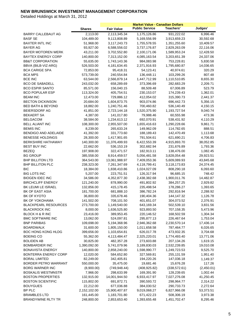|                                              |                           |                             | <b>Market Value - Canadian Dollars</b> |                            |                       |
|----------------------------------------------|---------------------------|-----------------------------|----------------------------------------|----------------------------|-----------------------|
|                                              | <b>Shares</b>             | <b>Fair Value</b>           | <b>Public Service</b>                  | Teachers'                  | Judges'               |
| BARRY CALLEBAUT AG                           | 2,113.00                  | 2,113,345.34                | 1,175,126.86                           | 931,222.02                 | 6,996.46              |
| <b>BASF SE</b>                               | 104,489.00                | 9,113,808.89                | 5,169,556.99                           | 3,913,659.23               | 30,592.68             |
| <b>BAXTER INTL INC</b>                       | 51,968.00                 | 3,117,243.73                | 1,755,578.55                           | 1,351,255.60               | 10,409.57             |
| BAYER AG                                     | 93,927.00                 | 6,588,556.02                | 3,737,176.87                           | 2,829,263.09               | 22,116.06             |
| BAYER MOTOREN WERK                           | 43,211.00                 | 3,702,552.80                | 2,100,171.06                           | 1,589,953.24               | 12,428.50             |
| <b>BAYTEX ENERGY CORP</b>                    | 140,800.00                | 7,313,152.00                | 4,085,163.54                           | 3,203,651.39               | 24,337.06             |
| <b>BB&amp;T CORPORATION</b>                  | 55,635.00                 | 1,743,143.36                | 984,083.98                             | 753,228.81                 | 5,830.58              |
| BBVA (BILB-VIZ-ARG)                          | 526,503.00                | 4,181,634.45                | 2,371,916.93                           | 1,795,680.87               | 14,036.65             |
| <b>BCA CARIGE SPA</b>                        | 72,853.00                 | 95,418.31                   | 54,123.41                              | 40,974.61                  | 320.29                |
| <b>BCA MPS</b>                               | 573,739.00                | 240,554.84                  | 136,448.11                             | 103,299.26                 | 807.48                |
| <b>BCE INC</b>                               | 63,544.00                 | 2,566,879.14                | 1,447,712.99                           | 1,110,510.85               | 8,655.30              |
| <b>BCO DE SABADELL</b>                       | 243,032.00                | 658,289.69                  | 373,396.69                             | 282,683.29                 | 2,209.71              |
| BCO ESPIR SANTO                              | 85,571.00                 | 156,040.15                  | 88,509.48                              | 67,006.89                  | 523.79                |
| <b>BCO POPULAR ESP</b>                       | 113,324.00                | 405,754.51                  | 230,153.07                             | 174,239.43                 | 1,362.01              |
| <b>BEAM INC</b>                              | 12,473.00                 | 729,886.12                  | 412,054.02                             | 315,390.73                 | 2,441.37              |
| <b>BECTON DICKINSON</b>                      | 20,684.00                 | 1,604,873.75                | 903,074.86                             | 696,442.73                 | 5,356.15              |
| <b>BED BATH &amp; BEYOND</b>                 | 18,882.00                 | 1,240,751.46                | 700,460.82                             | 536,140.49                 | 4,150.15              |
| <b>BEIERSDORF AG</b>                         | 41,851.00                 | 2,723,144.18                | 1,520,375.90                           | 1,193,727.54               | 9,040.74              |
| <b>BEKAERT SA</b>                            | 4,387.00                  | 141,017.80                  | 79,988.46                              | 60,555.98                  | 473.36                |
| <b>BELGACOM</b>                              | 38,584.00                 | 1,234,613.12                | 692,070.91                             | 538,431.92                 | 4,110.29              |
| <b>BELL ALIANT INC</b>                       | 108,300.00                | 2,955,507.00                | 1,655,416.63                           | 1,290,228.66               | 9,861.71              |
| <b>BEMIS INC</b>                             | 8,239.00                  | 265,633.24                  | 149,962.09                             | 114,782.65                 | 888.51                |
| <b>BENDIGO AND ADELAIDE</b>                  | 41,392.00                 | 331,773.60                  | 188,189.43                             | 142,470.49                 | 1,113.68              |
| <b>BENESSE HOLDINGS</b>                      | 28,300.00                 | 1,417,901.65                | 791,504.61                             | 621,690.21                 | 4,706.83              |
| <b>BERKSHIRE HATHAWAY</b>                    | 140,300.00                | 11,376,499.93               | 6,422,553.39                           | 4,915,893.70               | 38,052.85             |
| <b>BEST BUY INC</b>                          | 22,662.00                 | 536,153.19                  | 302,682.94                             | 231,676.89                 | 1,793.36              |
| <b>BEZEQ</b>                                 | 197,908.00                | 322,471.57                  | 182,913.11                             | 138,476.00                 | 1,082.45              |
| <b>BG GROUP</b>                              | 385,558.00                | 8,914,459.57                | 5,056,481.58                           | 3,828,054.48               | 29,923.51             |
| <b>BHP BILLITON LTD</b>                      | 364,543.00                | 13,061,988.97               | 7,409,053.36                           | 5,609,089.93               | 43,845.68             |
| <b>BHP BILLITON PLC</b>                      | 238,323.00                | 7,261,347.69                | 4,118,799.41                           | 3,118,173.83               | 24,374.45             |
| <b>BIC</b>                                   | 18,384.00                 | 1,838,410.86                | 1,024,027.09                           | 808,290.18                 | 6,093.60              |
| BIG LOTS INC                                 | 5,207.00                  | 223,751.51                  | 126,317.94                             | 96,685.15                  | 748.42                |
| <b>BIOGEN IDEC INC</b>                       | 34,586.00                 | 4,352,877.30                | 2,438,382.68                           | 1,900,011.76               | 14,482.87             |
| <b>BIRCHCLIFF ENERGY</b>                     | 121,240.00                | 878,990.00                  | 491,802.92                             | 384,257.25                 | 2,929.82              |
| BK LEUMI LE ISRAEL                           | 132,856.00                | 415,178.45                  | 235,498.54                             | 178,286.27                 | 1,393.65              |
| BK OF EAST ASIA                              | 181,700.00                | 681,888.10                  | 386,782.24                             | 292,816.94                 | 2,288.92              |
| BK OF KYOTO                                  | 36,800.00                 | 335,678.46                  | 190,404.36                             | 144,147.32                 | 1,126.78              |
| BK OF YOKOHAMA                               | 141,502.00                | 708,101.50                  | 401,651.07                             | 304,073.52                 | 2,376.91              |
| <b>BLACKPEARL RESOURCES</b>                  | 273,700.00                | 1,149,540.00                | 643,169.34                             | 502,539.10                 | 3,831.56              |
| <b>BLACKROCK INC</b>                         | 8,000.00                  | 1,636,525.80                | 923,893.50                             | 707,158.35                 | 5,473.96              |
| <b>BLOCK H &amp; R INC</b>                   | 23,416.00                 | 389,953.45                  | 220,146.52                             | 168,502.59                 | 1,304.34              |
| <b>BMC SOFTWARE INC</b>                      | 13,062.00                 | 524,097.81                  | 295,877.13                             | 226,467.64                 | 1,753.04              |
| <b>BNP PARIBAS</b>                           | 109,698.00                | 5,194,368.96                | 2,946,362.68                           | 2,230,570.14               | 17,436.14             |
| <b>BOARDWALK</b>                             | 31,600.00                 | 1,805,150.00                | 1,011,658.58                           | 787,464.77                 | 6,026.65              |
| <b>BOC HONG KONG HLDG</b>                    | 399,656.00                | 1,103,654.81                | 626,017.78                             | 473,932.35                 | 3,704.68              |
| <b>BOEING CO</b>                             | 55,362.00                 | 4,113,484.47                | 2,325,220.01                           | 1,774,493.40               | 13,771.06             |
| BOLIDEN AB                                   | 30,825.00                 | 482,357.28                  | 273,603.88                             | 207,134.26                 | 1,619.15              |
| <b>BOMBARDIER INC</b>                        | 1,390,092.00              | 5,741,079.96                | 3,189,830.03                           | 2,532,239.85               | 19,010.08             |
| <b>BONAVISTA ENERGY</b>                      | 140,800.00                | 2,858,240.00                | 1,598,990.77                           | 1,249,723.53               | 9,525.70              |
| BONTERRA ENERGY CORP<br><b>BORAL LIMITED</b> | 12,020.00                 | 584,652.80                  | 327,569.81                             | 255,131.59                 | 1,951.40              |
|                                              | 82,249.00                 | 342,405.81                  | 194,220.26                             | 147,036.18                 | 1,149.37              |
| BORDER PETRO WARRANT                         | 550,000.00                | 35,475.00                   | 19,681.46                              | 15,676.28                  | 117.26                |
| <b>BORG WARNER INC</b>                       | (8,900.00)                | (749, 948.44)               | (408, 925.82)                          | (338, 572.61)              | (2,450.01)            |
| <b>BOSKALIS WESTMNSTR</b>                    | 7,966.00                  | 298,633.99                  | 169,391.90                             | 128,239.65                 | 1,002.44              |
| <b>BOSTON PROPERTIES</b>                     | 132,915.00                | 14,001,944.50               | 6,933,417.97                           | 7,027,276.08               | 41,250.45             |
| <b>BOSTON SCIENTIFIC</b><br><b>BOUYGUES</b>  | 115,802.00                | 691,872.71                  | 390,593.72                             | 298,964.77                 | 2,314.22              |
| BP PLC                                       | 22,212.00<br>2,152,102.00 | 677,036.88<br>15,900,407.87 | 384,030.52<br>9,019,068.27             | 290,733.73<br>6,827,966.08 | 2,272.64<br>53,373.51 |
| <b>BRAMBLES LTD</b>                          | 161,445.00                | 1,183,701.80                | 671,422.23                             | 508,306.19                 | 3,973.38              |
| BRANDYWINE RLTY TR                           | 248,800.00                | 2,853,653.40                | 1,393,655.48                           | 1,451,702.47               | 8,295.46              |
|                                              |                           |                             |                                        |                            |                       |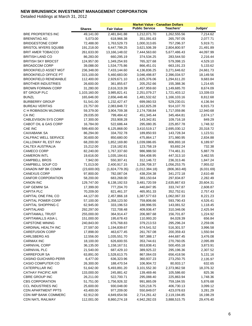|                                              |                        |                            | <b>Market Value - Canadian Dollars</b> |                          |                      |
|----------------------------------------------|------------------------|----------------------------|----------------------------------------|--------------------------|----------------------|
|                                              | <b>Shares</b>          | <b>Fair Value</b>          | <b>Public Service</b>                  | Teachers'                | Judges'              |
| <b>BRE PROPERTIES INC</b>                    | 49,141.00              | 2,481,841.88               | 1,212,071.70                           | 1,262,555.56             | 7,214.62             |
| <b>BRENNTAG AG</b>                           | 5,073.00               | 618,966.38                 | 351,091.63                             | 265,797.05               | 2,077.71             |
| <b>BRIDGESTONE CORP</b>                      | 72,488.00              | 1,763,529.73               | 1,000,313.65                           | 757,296.37               | 5,919.71             |
| <b>BRISTOL MYERS SQUIBB</b>                  | 191,218.00             | 6,447,799.25               | 3,621,506.39                           | 2,804,800.97             | 21,491.89            |
| <b>BRIT AMER TOBACCO</b>                     | 261,633.00             | 13,166,148.02              | 7,444,563.60                           | 5,677,486.43             | 44,097.99            |
| <b>BRITISH LAND CO</b>                       | 86,283.00              | 660,295.19                 | 374,534.25                             | 283,544.50               | 2,216.44             |
| <b>BRITISH SKY BRDCST</b>                    | 124,957.00             | 1,349,254.93               | 765,327.68                             | 579,398.15               | 4,529.10             |
| <b>BROADCOM CORP</b>                         | 39,088.00              | 1,534,775.86               | 866,451.01                             | 663,191.23               | 5,133.62             |
| BROOKFIELD ASSET MGT                         | 236,348.00             | 7,433,144.60               | 4,136,836.25                           | 3,271,646.62             | 24,661.73            |
| <b>BROOKFIELD OFFICE PT</b>                  | 315,100.00             | 5,460,683.00               | 3,046,498.87                           | 2,396,034.57             | 18,149.56            |
| <b>BROOKFIELD RENEWABLE</b>                  | 112,400.00             | 2,929,671.10               | 1,625,376.06                           | 1,294,611.20             | 9,683.84             |
| <b>BROTHER INDUSTRIES</b>                    | 26,600.00              | 361,855.67                 | 205,252.66                             | 155,388.36               | 1,214.65             |
| BROWN FORMAN CORP                            | 31,280.00              | 2,616,319.39               | 1,457,959.60                           | 1,149,685.70             | 8,674.09             |
| <b>BT GROUP PLC</b>                          | 1,103,160.00           | 3,985,821.41               | 2,251,079.27                           | 1,721,403.12             | 13,339.03            |
| <b>BUNZL</b>                                 | 165,646.00             | 2,656,448.46               | 1,481,532.62                           | 1,166,103.16             | 8,812.68             |
| <b>BURBERRY GROUP</b>                        | 51,541.00              | 1,232,427.47               | 699,060.53                             | 529,230.01               | 4,136.94             |
| <b>BUREAU VERITAS</b>                        | 23,757.00              | 2,083,848.72               | 1,162,825.28                           | 914,107.70               | 6,915.73             |
| C H ROBINSON WLDWIDE                         | 59,379.00              | 3,904,709.38               | 2,174,708.84                           | 1,717,059.86             | 12,940.68            |
| CA INC                                       | 29,035.00              | 799,484.42                 | 451,345.44                             | 345,464.81               | 2,674.17             |
| <b>CABLEVISION SYS CORP</b>                  | 17,300.00              | 253,908.28                 | 143,342.81                             | 109,716.18               | 849.29               |
| CABOT OIL & GAS CORP                         | 16,784.00              | 522,686.44                 | 295,080.35                             | 225,857.78               | 1,748.32             |
| CAE INC                                      | 599,400.00             | 6,125,868.00               | 3,410,519.17                           | 2,695,030.12             | 20,318.72            |
| <b>CAIXABANK SA</b>                          | 86,294.00              | 334,702.78                 | 189,850.93                             | 143,728.34               | 1,123.51             |
| CALFRAC WELL SERVICE                         | 30,600.00              | 850,680.00                 | 475,864.17                             | 371,980.95               | 2,834.88             |
| CALLOWAY RL EST INV                          | 68,200.00              | 1,852,169.80               | 1,039,086.65                           | 806,893.18               | 6,189.97             |
| CALTEX AUSTRALIA                             | 15,212.00              | 218,182.81                 | 123,758.19                             | 93,692.24                | 732.38               |
| CAMECO CORP                                  | 82,240.00              | 1,767,337.60               | 986,988.50                             | 774,461.31               | 5,887.79             |
| <b>CAMERON INTL</b>                          | 19,616.00              | 1,035,184.61               | 584,408.95                             | 447,313.10               | 3,462.55             |
| <b>CAMPBELL BROS</b>                         | 7,942.00               | 550,307.41                 | 312,146.72                             | 236,313.46               | 1,847.24             |
| CAMPBELL SOUP CO                             | 71,013.00              | 2,400,917.15               | 1,336,708.37                           | 1,056,253.75             | 7,955.02             |
| CANADN IMP BK COMM                           | (23,600.00)            | (1,824,779.35)             | (1,012,384.18)                         | (806, 363.48)            | (6,031.69)           |
| <b>CANEXUS CORP</b>                          | 97,800.00              | 782,087.04                 | 438,204.38                             | 341,272.18               | 2,610.48             |
| CANFOR CORPORATION                           | 58,200.00              | 683,268.00                 | 383,150.64                             | 297,834.87               | 2,282.49             |
| <b>CANON INC</b>                             | 129,747.00             | 6,138,192.53               | 3,481,720.59                           | 2,635,867.63             | 20,604.31            |
| CAP GEMINI SA                                | 17,399.00              | 777,204.70                 | 440,847.95                             | 333,747.87               | 2,608.87             |
| <b>CAPITA PLC</b>                            | 70,209.00              | 821,461.37                 | 465,951.33                             | 352,752.61               | 2,757.43             |
| CAPITAL ONE FINL CO                          | 44,127.00              | 2,457,866.18               | 1,387,577.63                           | 1,062,067.33             | 8,221.23             |
| <b>CAPITAL POWER CORP</b>                    | 57,100.00              | 1,358,123.50               | 759,806.66                             | 593,790.43               | 4,526.41             |
| CAPITAL SHOPPING C                           | 62,945.00              | 333,196.53                 | 188,996.55                             | 143,081.52               | 1,118.45             |
| CAPITALAND                                   | 292,297.00             | 722,708.48                 | 409,936.47                             | 310,346.06               | 2,425.94             |
| <b>CAPITAMALL TRUST</b>                      | 255,000.00             | 364,914.47                 | 206,987.68                             | 156,701.87               | 1,224.92             |
| <b>CAPITAMALLS ASIA L</b>                    | 151,000.00             | 195,678.43                 | 110,993.20                             | 84,028.39                | 656.84               |
| <b>CAPSTONE MINING</b>                       | 240,843.00             | 676,768.83                 | 379,213.53                             | 295,296.24               | 2,259.06             |
| CARDINAL HEALTH INC                          | 27,597.00              | 1,194,839.67               | 674,541.52                             | 516,301.57               | 3,996.58             |
| <b>CAREFUSION CORP</b>                       | 17,898.00              | 463,677.45                 | 261,767.08                             | 200,359.43               | 1,550.94             |
| CARLSBERG AS                                 | 12,556.00              | 1,035,551.70               | 587,388.17                             | 444,687.45               | 3,476.08             |
| <b>CARMAX INC</b>                            | 18,100.00              | 626,600.55                 | 353,744.61                             | 270,760.05               | 2,095.89             |
| CARNIVAL CORP                                | 36,135.00              | 1,158,167.51               | 653,838.41                             | 500,455.18               | 3,873.91             |
| CARNIVAL PLC<br><b>CARREFOUR SA</b>          | 21,540.00<br>63,891.00 | 687,429.10                 | 389,925.22                             | 295,196.36               | 2,307.52             |
|                                              |                        | 1,528,613.75<br>636,323.96 | 867,064.03                             | 656,418.56               | 5,131.16             |
| CASINO GUICHARD-PERR                         | 6,477.00               |                            | 360,937.23                             | 273,250.75               | 2,135.97             |
| <b>CASIO COMPUTER CO</b>                     | 26,300.00              | 188,470.54                 | 106,904.72                             | 80,933.17                | 632.65               |
| CATERPILLAR INC<br><b>CATHAY PACIFIC AIR</b> | 51,642.00              | 5,493,891.20               | 3,101,552.30                           | 2,373,962.58             | 18,376.32<br>825.36  |
| <b>CBRE GROUP INC</b>                        | 133,000.00             | 245,881.42                 | 139,469.46                             | 105,586.60               |                      |
| <b>CBS CORPORATION</b>                       | 26,211.00<br>51,751.00 | 522,700.71<br>1,756,926.32 | 295,088.40<br>991,865.09               | 225,863.94<br>759,184.55 | 1,748.36             |
| <b>CCL INDUSTRIES INC</b>                    | 25,600.00              | 930,048.00                 | 520,218.75                             | 406,730.13               | 5,876.68<br>3,099.12 |
| CDN APARTMENT PPTS                           | 43,400.00              | 977,209.00                 | 550,849.07                             | 423,078.63               | 3,281.29             |
| CDN IMP BANK COMMERC                         | 62,912.00              | 4,849,654.56               | 2,714,261.42                           | 2,119,194.85             | 16,198.29            |
| CDN NATL RAILWAY                             | 112,001.00             | 8,860,274.18               | 4,942,282.03                           | 3,888,515.75             | 29,476.40            |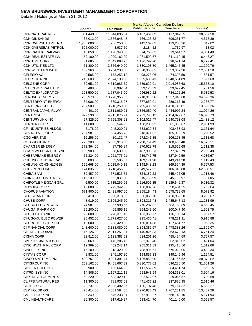|                                                    |                         |                              | <b>Market Value - Canadian Dollars</b> |                            |                      |
|----------------------------------------------------|-------------------------|------------------------------|----------------------------------------|----------------------------|----------------------|
|                                                    | <b>Shares</b>           | <b>Fair Value</b>            | <b>Public Service</b>                  | Teachers'                  | Judges'              |
| <b>CDN NATURAL RES</b>                             | 351,440.00              | 11,644,095.84                | 6,487,461.09                           | 5,117,947.25               | 38,687.50            |
| <b>CDN OIL SANDS</b>                               | 65,012.00               | 1,366,948.48                 | 766,123.32                             | 596,251.77                 | 4,573.39             |
| CDN OVERSEAS PETRO                                 | 1,250,000.00            | 256,250.00                   | 142,167.02                             | 113,235.96                 | 847.02               |
| CDN OVERSEAS PETROL                                | 625,000.00              | 3,937.50                     | 2,184.52                               | 1,739.97                   | 13.02                |
| <b>CDN PACIFIC RAILWAY</b>                         | 15,850.00               | 1,198,343.00                 | 674,766.62                             | 519,544.97                 | 4,031.40             |
| CDN REAL ESTATE INV                                | 52,100.00               | 1,929,162.00                 | 1,081,599.57                           | 841,119.15                 | 6,443.27             |
| <b>CDN TIRE CORP</b>                               | 31,685.00               | 2,042,098.25                 | 1,136,799.70                           | 898,521.14                 | 6,777.41             |
| <b>CDN UTILITIES LTD</b>                           | 51,800.00               | 3,356,640.00                 | 1,880,193.80                           | 1,465,245.45               | 11,200.76            |
| <b>CDN WESTERN BANK</b>                            | 132,360.00              | 3,764,238.00                 | 2,098,368.85                           | 1,653,367.96               | 12,501.18            |
| <b>CELESIO AG</b>                                  | 9,585.00                | 173,253.12                   | 98,273.06                              | 74,398.50                  | 581.57               |
| CELESTICA INC                                      | 248,600.00              | 2,374,130.00                 | 1,325,680.43                           | 1,040,551.89               | 7,897.68             |
| <b>CELGENE CORP</b>                                | 59,651.00               | 4,619,983.79                 | 2,589,620.01                           | 2,014,985.68               | 15,378.10            |
| CELLCOM ISRAEL LTD                                 | 5,488.00                | 68,982.34                    | 39,128.33                              | 29,622.45                  | 231.56               |
| <b>CELTIC EXPLORATION</b>                          | 123,500.00              | 1,787,045.00                 | 996,980.22                             | 784,125.26                 | 5,939.53             |
| <b>CENOVUS ENERGY</b>                              | 286,578.00              | 10,270,955.52                | 5,718,918.56                           | 4,517,940.60               | 34,096.36            |
| <b>CENTERPOINT ENERGY</b>                          | 34,006.00               | 669,315.27                   | 377,859.01                             | 289,217.49                 | 2,238.77             |
| <b>CENTERRA GOLD</b>                               | 207,500.00              | 3,216,250.00                 | 1,795,435.73                           | 1,410,118.01               | 10,696.26            |
| <b>CENTRAL JAPAN RLWY</b>                          | 401.00                  | 3,311,989.91                 | 1,856,059.40                           | 1,444,906.24               | 11,024.26            |
| <b>CENTRICA</b>                                    | 972,539.00              | 4,915,075.91                 | 2,763,748.12                           | 2,134,929.07               | 16,398.73            |
| <b>CENTURYLINK INC</b>                             | 97,325.00               | 3,755,308.68                 | 2,102,027.47                           | 1,640,793.08               | 12,488.12            |
| <b>CERNER CORP</b>                                 | 11,600.00               | 882,544.99                   | 498,236.92                             | 381,356.07                 | 2,951.99             |
| <b>CF INDUSTRIES HLDGS</b>                         | 5,178.00                | 945,220.91                   | 533,620.34                             | 408,438.93                 | 3,161.64             |
| <b>CFS RETAIL PROP</b>                             | 207,981.00              | 384,455.73                   | 218,071.92                             | 165,093.29                 | 1,290.52             |
| <b>CGG VERITAS</b>                                 | 16,256.00               | 480,131.47                   | 272,341.35                             | 206,178.45                 | 1,611.68             |
| CGI GROUP INC                                      | 225,300.00              | 5,003,913.00                 | 2,798,751.49                           | 2,188,488.40               | 16,673.11            |
| <b>CHARGER ENERGY</b>                              | 372,364.00              | 487,796.84                   | 270,628.78                             | 215,555.68                 | 1,612.38             |
| <b>CHARTWELL SR HOUSING</b>                        | 102,900.00              | 868,639.50                   | 487,906.23                             | 377,826.79                 | 2,906.48             |
| <b>CHESAPEAKE ENERGY</b>                           | 52,824.00               | 1,221,775.01                 | 689,747.75                             | 527,940.59                 | 4,086.67             |
| <b>CHEUNG KONG INFRAS</b>                          | 55,000.00               | 333,505.67                   | 189,171.90                             | 143,214.28                 | 1,119.49             |
| <b>CHEUNG KONG(HLDGS)</b>                          | 156,668.00              | 2,025,040.15                 | 1,148,648.23                           | 869,594.39                 | 6,797.53             |
| <b>CHEVRON CORP</b>                                | 174,835.00              | 18,718,456.82                | 10,549,577.51                          | 8,106,340.80               |                      |
| <b>CHIBA BANK</b>                                  | 89,457.00               | 571,525.74                   |                                        |                            | 62,538.51            |
| CHINA GOLD INTL RES                                |                         | 562,839.00                   | 324,182.23<br>315,763.99               | 245,425.05                 | 1,918.46             |
| CHIPOTLE MEXICAN GRL                               | 115,100.00<br>6,500.00  |                              | 1,516,605.85                           | 245,193.97<br>1,189,646.87 | 1,881.05<br>9,016.32 |
| CHIYODA CORP                                       |                         | 2,715,269.05                 |                                        |                            |                      |
| <b>CHORUS AVIATION</b>                             | 18,000.00<br>671,900.00 | 229,342.06<br>2,438,997.00   | 130,087.96                             | 98,484.25                  | 769.84               |
|                                                    |                         |                              | 1,355,184.43                           | 1,075,738.65               | 8,073.92             |
| <b>CHRISTIAN DIOR</b>                              | 6,410.00                | 980,318.58                   | 556,058.70                             | 420,969.20                 | 3,290.67             |
| CHUBB CORP                                         | 48,919.00               | 3,395,245.60                 | 1,898,316.48                           | 1,485,647.13               | 11,281.99            |
| CHUBU ELEC POWER                                   | 74,987.00               | 1,357,998.66                 | 770,287.32                             | 583,152.89                 | 4,558.45             |
| CHUGAI PHARM CO<br><b>CHUGOKU BANK</b>             | 25,200.00               | 465,855.16                   | 264,243.50                             | 200,047.90                 | 1,563.75<br>907.57   |
| CHUGOKU ELEC POWER                                 | 20,000.00<br>95,452.00  | 270,371.48                   | 153,360.77                             | 116,103.14<br>778,281.31   |                      |
|                                                    | 19,000.00               | 1,779,627.60                 | 995,430.41                             | 127,451.77                 | 5,915.88             |
| CHURCHILL CORP THE<br>CI FINANCIAL CORP            |                         | 288,420.00                   | 160,014.88                             |                            | 953.35               |
|                                                    | 148,600.00<br>45,126.00 | 3,388,080.00<br>2,011,251.21 | 1,898,382.67                           | 1,478,388.26               | 11,309.07            |
| CIE DE ST-GOBAIN                                   |                         |                              | 1,140,826.83                           | 863,673.13                 | 6,751.24             |
| <b>CIGNA CORP</b>                                  | 22,812.00               | 1,123,383.52                 | 634,201.26                             | 485,424.69                 | 3,757.57             |
| <b>CIMPOR CIMENTOS DE</b>                          | 22,069.00               | 146,285.46                   | 82,976.40                              | 62,818.02                  | 491.04               |
| <b>CINCINNATI FINL CORP</b><br><b>CINEPLEX INC</b> | 12,969.00               | 452,243.14                   | 255,311.89                             | 195,418.56                 | 1,512.69             |
|                                                    | 46,100.00               | 1,318,420.00                 | 738,995.61                             | 575,022.05                 | 4,402.34             |
| <b>CINTAS CORP</b><br><b>CISCO SYSTEMS INC</b>     | 8,831.00                | 345,157.80                   | 194,857.33                             | 149,145.96                 | 1,154.51             |
|                                                    | 429,767.00              | 9,081,391.44                 | 5,126,859.90                           | 3,924,155.52               | 30,376.02            |
| CITIGROUP INC                                      | 259,162.00              | 9,458,667.39                 | 5,330,777.62                           | 4,096,288.50               | 31,601.26            |
| <b>CITIZEN HOLDINGS</b>                            | 30,900.00               | 196,664.28                   | 111,552.39                             | 84,451.74                  | 660.15               |
| CITRIX SYS INC                                     | 14,805.00               | 1,167,211.11                 | 658,943.94                             | 504,363.01                 | 3,904.16             |
| <b>CITY DEVELOPMENTS</b>                           | 59,220.00               | 533,429.12                   | 302,572.97                             | 229,065.57                 | 1,790.58             |
| <b>CLIFFS NATURAL RES</b>                          | 11,300.00               | 781,933.63                   | 441,437.22                             | 337,880.95                 | 2,615.46             |
| <b>CLOROX CO</b>                                   | 29,237.00               | 2,006,482.07                 | 1,120,107.48                           | 879,714.32                 | 6,660.27             |
| <b>CLP HOLDINGS</b>                                | 470,414.00              | 4,051,594.58                 | 2,270,825.43                           | 1,767,281.85               | 13,487.29            |
| CME GROUP INC                                      | 5,349.00                | 1,546,233.31                 | 872,919.27                             | 668,142.10                 | 5,171.94             |
| <b>CML HEALTHCARE</b>                              | 86,300.00               | 917,619.27                   | 513,414.70                             | 401,146.00                 | 3,058.57             |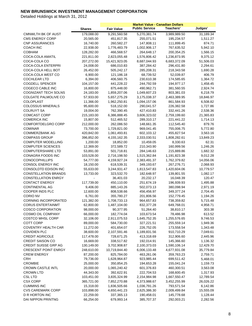|                             |                        |                            | <b>Market Value - Canadian Dollars</b> |                              |                    |
|-----------------------------|------------------------|----------------------------|----------------------------------------|------------------------------|--------------------|
|                             | <b>Shares</b>          | <b>Fair Value</b>          | <b>Public Service</b>                  | Teachers'                    | Judges'            |
| <b>CMNWLTH BK OF AUST</b>   | 179,088.00             | 9,291,560.58               | 5,270,381.74                           | 3,989,989.50                 | 31,189.34          |
| <b>CMS ENERGY CORP</b>      | 20,565.00              | 451,817.35                 | 255,071.51                             | 195,234.57                   | 1,511.27           |
| <b>CNP ASSURANCES</b>       | 16,740.00              | 260,582.27                 | 147,808.11                             | 111,899.45                   | 874.71             |
| <b>COACH INC</b>            | 22,938.00              | 1,776,483.79               | 1,002,906.17                           | 767,635.52                   | 5,942.10           |
| <b>COBHAM</b>               | 128,282.00             | 466,568.57                 | 264,648.17                             | 200,354.25                   | 1,566.15           |
| COCA-COLA AMATIL            | 221,811.00             | 2,823,055.48               | 1,576,806.42                           | 1,236,873.95                 | 9,375.12           |
| COCA-COLA CO                | 207,272.00             | 15,421,923.05              | 8,687,044.93                           | 6,683,372.09                 | 51,506.03          |
| <b>COCA-COLA ENTERPRI</b>   | 24,008.00              | 686,010.83                 | 387,284.42                             | 296,431.80                   | 2,294.61           |
| COCA-COLA HELL BOT          | 26,452.00              | 505,242.17                 | 285,208.31                             | 218,343.58                   | 1,690.28           |
| COCA-COLA WEST CO           | 6,900.00               | 121,186.18                 | 68,739.52                              | 52,039.87                    | 406.79             |
| COCHLEAR LTD                | 6,394.00               | 406,560.75                 | 230,610.38                             | 174,585.65                   | 1,364.72           |
| <b>COGDELL SPENCER</b>      | 104,157.00             | 441,228.22                 | 244,792.59                             | 194,977.17                   | 1,458.45           |
| COGECO CABLE INC            | 16,800.00              | 875,448.00                 | 490,962.71                             | 381,560.55                   | 2,924.74           |
| COGNIZANT TECH SOLNS        | 24,183.00              | 1,859,207.06               | 1,049,607.23                           | 803,381.03                   | 6,218.79           |
| COLGATE PALMOLIVE CO        | 57,933.00              | 5,657,275.29               | 3,175,038.37                           | 2,463,389.95                 | 18,846.97          |
| COLOPLAST                   | 11,366.00              | 1,962,250.81               | 1,094,157.06                           | 861,584.93                   | 6,508.82           |
| <b>COLOSSUS MINERALS</b>    | 95,600.00              | 518,152.00                 | 290,041.57                             | 226,382.58                   | 1,727.86           |
| <b>COLRUYT SA</b>           | 19,004.00              | 762,390.45                 | 427,410.83                             | 332,441.26                   | 2,538.36           |
| <b>COMCAST CORP</b>         | 215,183.00             | 6,386,888.45               | 3,606,323.02                           | 2,759,199.60                 | 21,365.83          |
| <b>COMERICA INC</b>         | 15,807.00              | 512,465.52                 | 289,310.17                             | 221,441.22                   | 1,714.13           |
| COMFORTDELGRO CORP          | 212,000.00             | 262,086.50                 | 148,661.35                             | 112,545.40                   | 879.76             |
| <b>COMINAR</b>              | 73,700.00              | 1,729,821.00               | 969,041.45                             | 755,006.75                   | 5,772.80           |
| COMMERZBANK AG              | 420,842.00             | 1,061,493.81               | 602,103.12                             | 455,827.54                   | 3,563.16           |
| <b>COMPASS GROUP</b>        | 396,852.00             | 4, 155, 162. 35            | 2,333,030.51                           | 1,808,282.61                 | 13,849.23          |
| <b>COMPUTER MODELLING</b>   | 1,200.00               | 18,852.00                  | 10,459.05                              | 8,330.63                     | 62.31              |
| <b>COMPUTER SCIENCES</b>    | 12,369.00              | 372,589.72                 | 210,343.90                             | 160,999.56                   | 1,246.26           |
| <b>COMPUTERSHARE LTD</b>    | 53,891.00              | 501,718.81                 | 284,146.63                             |                              |                    |
| CONAGRA FOODS INC           | 103,528.00             | 2,716,198.50               |                                        | 215,889.86                   | 1,682.32           |
| <b>CONOCOPHILLIPS</b>       | 54,777.00              | 4,159,927.24               | 1,515,362.84<br>2,383,491.37           | 1,191,823.38<br>1,762,379.82 | 9,012.28           |
| CONSOL ENERGY INC           |                        |                            |                                        |                              | 14,056.06          |
| CONSOLDTD EDISON INC        | 18,150.00<br>55,633.00 | 618,539.31<br>3,244,931.47 | 349,193.67<br>1,813,547.83             | 267,276.71<br>1,420,604.06   | 2,068.93           |
| <b>CONSTELLATION BRANDS</b> | 13,733.00              | 323,532.70                 | 182,648.97                             |                              | 10,779.57          |
| <b>CONSTELLATION ENRGY</b>  |                        | 36,401.03                  | 20,232.17                              | 139,801.55                   | 1,082.17<br>120.47 |
| <b>CONTACT ENERGY</b>       | 117,739.00             |                            |                                        | 16,048.39                    |                    |
| <b>CONTINENTAL AG</b>       |                        | 450,110.00<br>885,143.26   | 251,674.19                             | 196,939.93                   | 1,495.88           |
|                             | 9,406.00               |                            | 502,073.13                             | 380,098.94                   | 2,971.19           |
| COOPER INDS PLC             | 12,600.00              | 808,538.66                 | 456,456.97                             | 349,377.24                   | 2,704.45           |
| <b>CORIO NV</b>             | 6,761.00               | 355,780.27                 | 201,806.56                             | 152,779.45                   | 1,194.26           |
| <b>CORNING INCORPORATED</b> | 121,382.00             | 1,708,733.13               | 964,657.83                             | 738,359.82                   | 5,715.48           |
| <b>CORUS ENTERTAINMT</b>    | 62,800.00              | 1,487,104.00               | 832,377.28                             | 649,768.01                   | 4,958.71           |
| <b>COSCO CORPORATION</b>    | 98,000.00              | 90,377.95                  | 51,264.40                              | 38,810.17                    | 303.38             |
| COSMO OIL COMPANY           | 66,000.00              | 182,774.04                 | 103,673.54                             | 78,486.98                    | 613.52             |
| <b>COSTCO WHSL CORP</b>     | 32,106.00              | 2,911,075.53               | 1,645,752.35                           | 1,255,576.65                 | 9,746.53           |
| <b>COTT CORP</b>            | 89,000.00              | 584,730.00                 | 327,221.51                             | 255,559.14                   | 1,949.36           |
| <b>COVENTRY HEALTH CAR</b>  | 11,272.00              | 401,654.07                 | 226,752.05                             | 173,558.54                   | 1,343.48           |
| <b>COVIDIEN PLC</b>         | 38,600.00              | 2,107,591.46               | 1,189,831.56                           | 910,710.29                   | 7,049.61           |
| <b>CREDIT AGRICOLE</b>      | 117,478.00             | 728,671.25                 | 413,318.69                             | 312,906.60                   | 2,445.96           |
| <b>CREDIT SAISON CO</b>     | 16,669.00              | 338,517.82                 | 192,014.91                             | 145,366.60                   | 1,136.32           |
| <b>CREDIT SUISSE GRP AG</b> | 130,149.00             | 3,702,908.87               | 2,100,373.03                           | 1,590,106.14                 | 12,429.70          |
| <b>CRESCENT POINT ENRGY</b> | 248,610.00             | 10,719,844.40              | 6,006,133.48                           | 4,677,931.08                 | 35,779.84          |
| <b>CREW ENERGY</b>          | 87,200.00              | 825,784.00                 | 463,261.06                             | 359,763.23                   | 2,759.71           |
| <b>CRH</b>                  | 79,736.00              | 1,628,964.87               | 923,985.44                             | 699,511.42                   | 5,468.01           |
| <b>CROMBIE</b>              | 25,000.00              | 350,854.25                 | 194,653.28                             | 155,041.24                   | 1,159.73           |
| <b>CROWN CASTLE INTL</b>    | 20,000.00              | 1,065,240.42               | 601,376.83                             | 460,300.51                   | 3,563.08           |
| <b>CROWN LTD</b>            | 44,343.00              | 392,622.91                 | 222,704.53                             | 168,600.45                   | 1,317.93           |
| <b>CSL LTD</b>              | 103,451.00             | 3,835,324.99               | 2,154,984.98                           | 1,667,550.47                 | 12,789.54          |
| <b>CSX CORP</b>             | 365,721.00             | 7,852,270.88               | 4,373,988.67                           | 3,452,255.99                 | 26,026.22          |
| <b>CUMMINS INC</b>          | 15,318.00              | 1,836,505.66               | 1,036,791.26                           | 793,571.54                   | 6,142.86           |
| <b>CVS CAREMARK CORP</b>    | 103,898.00             | 4,650,441.23               | 2,625,386.30                           | 2,009,499.84                 | 15,555.09          |
| D R HORTON INC              | 22,259.00              | 337,365.13                 | 190,458.01                             | 145,778.68                   | 1,128.44           |
| DAI NIPPON PRINTNG          | 66,254.00              | 679,993.14                 | 385,707.37                             | 292,003.21                   | 2,282.56           |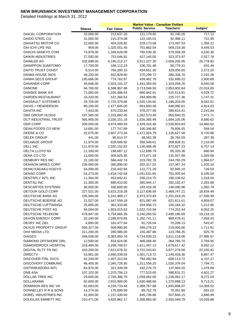|                             |               |                   | <b>Market Value - Canadian Dollars</b> |                  |           |
|-----------------------------|---------------|-------------------|----------------------------------------|------------------|-----------|
|                             | <b>Shares</b> | <b>Fair Value</b> | <b>Public Service</b>                  | <b>Teachers'</b> | Judges'   |
| DAICEL CORPORATION          | 33,000.00     | 213,637.20        | 121,179.82                             | 91,740.26        | 717.12    |
| DAIDO STEEL CO              | 31,000.00     | 215,374.08        | 122,165.01                             | 92,486.11        | 722.95    |
| DAIHATSU MOTOR CO           | 22,000.00     | 404,026.82        | 229,173.08                             | 173,497.53       | 1,356.21  |
| <b>DAI-ICHI LIFE INS</b>    | 959.00        | 1,325,551.45      | 751,882.54                             | 569,219.38       | 4,449.53  |
| DAIICHI SANKYO COM          | 73,979.00     | 1,349,628.09      | 765,539.35                             | 579,558.39       | 4,530.35  |
| <b>DAIKIN INDUSTRIES</b>    | 27,592.00     | 753,046.81        | 427,145.05                             | 323,373.97       | 2,527.78  |
| DAIMLER AG                  | 102,698.00    | 6,190,212.17      | 3,511,227.30                           | 2,658,205.95     | 20,778.92 |
| DAINIPPON SUMITOMO          | 17,700.00     | 188,112.23        | 106,701.48                             | 80,779.31        | 631.44    |
| DAITO TRUST CONST           | 8,514.00      | 766,280.15        | 434,651.30                             | 329,056.65       | 2,572.20  |
| DAIWA HOUSE INDS            | 49,220.00     | 652,829.80        | 370,299.72                             | 280,338.70       | 2,191.38  |
| <b>DAIWA SECS GROUP</b>     | 195,666.00    | 774,762.67        | 439,462.78                             | 332,699.22       | 2,600.68  |
| <b>DANAHER CORP</b>         | 45,646.00     | 2,553,191.37      | 1,441,393.05                           | 1,103,258.25     | 8,540.08  |
| <b>DANONE</b>               | 94,760.00     | 6,588,967.98      | 3,713,048.50                           | 2,853,902.64     | 22,016.85 |
| DANSKE BANK A/S             | 71,083.00     | 1,200,486.54      | 680,942.91                             | 515,513.91       | 4,029.72  |
| DARDEN RESTAURANT           | 10,220.00     | 522,384.63        | 294,909.96                             | 225,727.36       | 1,747.31  |
| DASSAULT SYSTEMES           | 29,705.00     | 2,725,379.66      | 1,520,134.60                           | 1,196,203.05     | 9,042.01  |
| DAVIS + HENDERSON           | 80,100.00     | 1,477,845.00      | 824,850.36                             | 648,080.61       | 4,914.03  |
| <b>DAVITA INC</b>           | 7,443.00      | 670,233.84        | 378,377.59                             | 289,614.41       | 2,241.84  |
| DBS GROUP HLDGS             | 197,585.00    | 2,225,882.45      | 1,262,570.49                           | 955,840.25       | 7,471.71  |
| DCT INDUSTRIAL TRUST        | 565,900.00    | 3,330,151.16      | 1,626,365.49                           | 1,694,105.06     | 9,680.62  |
| DDR CORP                    | 339,000.00    | 4,974,480.93      | 2,429,416.48                           | 2,530,603.83     | 14,460.62 |
| DEAN FOODS CO NEW           | 14,691.00     | 177,747.89        | 100,346.80                             | 76,806.55        | 594.54    |
| DEERE & CO                  | 32,075.00     | 2,607,273.34      | 1,471,924.79                           | 1,126,627.58     | 8,720.98  |
| <b>DELEK GROUP</b>          | 441.00        | 85,614.37         | 48,562.39                              | 36,764.59        | 287.39    |
| <b>DELHAIZE GROUP</b>       | 11,974.00     | 628,586.92        | 356,548.61                             | 269,928.31       | 2,110.00  |
| DELL INC                    | 121,879.00    | 2,020,152.83      | 1,140,468.46                           | 872,927.23       | 6,757.14  |
| DELTA LLOYD NV              | 11,330.00     | 198,687.12        | 112,699.79                             | 85,320.38        | 666.94    |
| DENA CO LTD                 | 11,000.00     | 305,825.85        | 173,471.29                             | 131,327.99       | 1,026.58  |
| DENBURY RES INC             | 31,100.00     | 566,442.74        | 319,782.78                             | 244,765.29       | 1,894.67  |
| <b>DENISON MINES CORP</b>   | 239,000.00    | 360,890.00        | 202,317.52                             | 157,367.24       | 1,205.24  |
| DENKI KAGAKU KOGYO          | 54,000.00     | 216,442.94        | 122,771.29                             | 92,945.10        | 726.54    |
| <b>DENSO CORP</b>           | 54,273.00     | 1,818,742.64      | 1,031,631.65                           | 781,005.94       | 6,105.04  |
| DENTSPLY INTL INC           | 11,304.00     | 453,842.41        | 256,214.75                             | 196,109.62       | 1,518.04  |
| <b>DENTSU INC</b>           | 21,300.00     | 680,410.60        | 385,944.17                             | 292,182.47       | 2,283.96  |
| <b>DESCARTES SYSTEMS</b>    | 38,000.00     | 330,600.00        | 183,416.26                             | 146,090.96       | 1,092.78  |
| DETOUR GOLD CORP            | 227,521.00    | 5,615,218.28      | 3,127,836.59                           | 2,468,747.21     | 18,634.48 |
| <b>DEUTSCHE BANK AG</b>     | 105,584.00    | 5,241,989.17      | 2,973,373.93                           | 2,251,019.25     | 17,595.99 |
| DEUTSCHE BOERSE AG          | 21,527.00     | 1,447,558.18      | 821,087.49                             | 621,611.61       | 4,859.07  |
| DEUTSCHE LUFTHANSA          | 25,805.00     | 361,333.96        | 204,956.73                             | 155,164.32       | 1,212.90  |
| DEUTSCHE POST AG            | 94,004.00     | 1,803,015.63      | 1,022,710.94                           | 774,252.44       | 6,052.25  |
| DEUTSCHE TELEKOM            | 478,947.00    | 5,754,665.39      | 3,240,260.55                           | 2,495,186.69     | 19,218.16 |
| DEVON ENERGY CORP           | 32,240.00     | 2,289,878.85      | 1,292,741.11                           | 989,478.41       | 7,659.33  |
| DEVRY INC DEL               | 4,800.00      | 162,477.64        | 91,726.04                              | 70,208.13        | 543.47    |
| <b>DEXUS PROPERTY GROUP</b> | 569,327.00    | 509,990.80        | 289,278.23                             | 219,000.66       | 1,711.91  |
| DHX MEDIA LTD               | 311,200.00    | 280,080.00        | 155,387.86                             | 123,766.35       | 925.79    |
| <b>DIAGEO</b>               | 348,506.00    | 8,363,950.78      | 4,724,839.15                           | 3,611,116.06     | 27,995.57 |
| DIAMOND OFFSHORE DRL        | 12,500.00     | 833,624.06        | 466,068.40                             | 364,785.70       | 2,769.95  |
| DIAMONDROCK HOSPITAL        | 318,484.00    | 3,299,706.67      | 1,611,497.13                           | 1,678,617.42     | 9,592.12  |
| DIGITAL RLTY TR INC         | 103,200.00    | 7,621,678.31      | 3,722,243.81                           | 3,877,278.58     | 22,155.92 |
| <b>DIRECTV</b>              | 53,961.00     | 2,660,039.55      | 1,501,713.72                           | 1,149,428.36     | 8,897.47  |
| <b>DISCOVER FINL SVCS</b>   | 42,249.00     | 1,407,313.94      | 794,492.94                             | 608,113.72       | 4,707.27  |
| DISCOVERY COMMUNIC          | 46,400.00     | 2,345,726.95      | 1,311,556.20                           | 1,026,376.04     | 7,794.71  |
| DISTRIBUIDORA INTL          | 64,970.00     | 321,349.59        | 182,276.70                             | 137,994.20       | 1,078.69  |
| <b>DNB ASA</b>              | 107,102.00    | 1,370,756.13      | 777,523.65                             | 588,631.21       | 4,601.27  |
| DOLLAR TREE INC             | 29,600.00     | 2,794,386.79      | 1,559,062.60                           | 1,226,052.17     | 9,272.03  |
| DOLLARAMA                   | 62,600.00     | 2,910,900.00      | 1,630,488.66                           | 1,270,698.13     | 9,713.21  |
| DOMINION RES INC VA         | 82,683.00     | 4,228,733.48      | 2,368,767.88                           | 1,845,896.07     | 14,069.52 |
| DONNELLEY R R & SONS        | 14,274.00     | 176,695.69        | 99,752.78                              | 76,351.89        | 591.02    |
| DOREL INDUSTRIES INC        | 41,000.00     | 1,157,430.00      | 645,736.86                             | 507,846.15       | 3,846.99  |
| DOUGLAS EMMETT INC          | 210,471.00    | 4,825,962.17      | 2,356,883.50                           | 2,455,049.79     | 14,028.88 |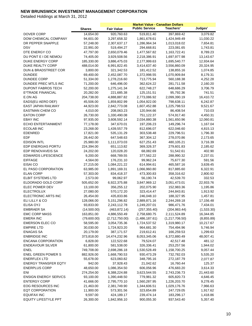|                                                    |                       |                          | <b>Market Value - Canadian Dollars</b> |                          |                      |
|----------------------------------------------------|-----------------------|--------------------------|----------------------------------------|--------------------------|----------------------|
|                                                    | <b>Shares</b>         | <b>Fair Value</b>        | <b>Public Service</b>                  | Teachers'                | Judges'              |
| <b>DOVER CORP</b>                                  | 14,654.00             | 920,760.63               | 519,811.40                             | 397,869.42               | 3,079.82             |
| DOW CHEMICAL COMPANY                               | 94,601.00             | 3,297,658.32             | 1,861,678.61                           | 1,424,949.49             | 11,030.22            |
| DR PEPPER SNAPPLE                                  | 57,248.00             | 2,307,637.17             | 1,286,964.34                           | 1,013,018.02             | 7,654.81             |
| <b>DSV</b>                                         | 22,991.00             | 519,494.27               | 294,668.81                             | 223,081.65               | 1,743.81             |
| DTE ENERGY CO                                      | 47,797.00             | 2,650,079.46             | 1,477,567.82                           | 1,163,722.41             | 8,789.23             |
| DU PONT E I DE NEMOU                               | 74,405.00             | 3,929,508.56             | 2,218,386.91                           | 1,697,977.98             | 13,143.67            |
| <b>DUKE ENERGY CORP</b>                            | 185,330.00            | 3,886,475.03             | 2,177,999.63                           | 1,695,540.77             | 12,934.64            |
| DUKE REALTY CORP                                   | 488,014.00            | 6,991,822.45             | 3,414,637.40                           | 3,556,860.09             | 20,324.95            |
| DUN & BRADSTREET COR                               | 3,800.00              | 321,342.53               | 181,412.52                             | 138,855.16               | 1,074.85             |
| <b>DUNDEE</b>                                      | 69,400.00             | 2,452,087.70             | 1,372,998.55                           | 1,070,909.84             | 8,179.31             |
| <b>DUNDEE CORP</b>                                 | 51,334.00             | 1,278,216.60             | 713,775.94                             | 560,188.38               | 4,252.28             |
| DUNDEE PREC MTLS INC                               | 71,200.00             | 646,496.00               | 362,624.22                             | 281,711.58               | 2,160.20             |
| <b>DUPONT FABROS TECH</b>                          | 52,200.00             | 1,275,141.34             | 622,748.27                             | 648,686.29               | 3,706.79             |
| E*TRADE FINANCIAL                                  | 20,282.00             | 221,685.38               | 125, 151.51                            | 95,792.36                | 741.51               |
| E.ON AG                                            | 204,738.00            | 4,888,887.82             | 2,773,086.92                           | 2,099,390.19             | 16,410.72            |
| EADS(EU AERO DEF)                                  | 45,506.00             | 1,859,802.99             | 1,054,922.00                           | 798,638.11               | 6,242.87             |
| EAST JAPAN RAILWAY                                 | 44,923.00             | 2,842,773.08             | 1,607,452.88                           | 1,225,798.53             | 9,521.67             |
| <b>EASTMAN CHEM CO</b>                             | 4,010.00              | 208,063.23               | 120,944.66                             | 86,408.54                | 710.03               |
| <b>EATON CORP</b>                                  | 26,730.00             | 1,330,490.08             | 751,122.37                             | 574,917.40               | 4,450.31             |
| <b>EBAY INC</b>                                    | 97,935.00             | 3,608,592.14             | 2,034,880.38                           | 1,561,650.96             | 12,060.81            |
| <b>ECHO ENTERTAINMENT</b>                          | 77,178.00             | 347,670.01               | 197,206.23                             | 149,296.74               | 1,167.04             |
| <b>ECOLAB INC</b>                                  | 23,268.00             | 1,439,557.79             | 812,696.07                             | 622,046.60               | 4,815.13             |
| <b>EDENRED</b>                                     | 17,821.00             | 535,131.29               | 303,538.48                             | 229,796.51               | 1,796.30             |
| <b>EDF</b>                                         | 28,442.00             | 647,548.63               | 367,304.12                             | 278,070.86               | 2,173.65             |
| <b>EDISON INTL</b>                                 | 25,980.00             | 1,111,073.03             | 627,251.43                             | 480,105.21               | 3,716.39             |
| EDP ENERGIAS PORTU                                 | 224,394.00            | 651,113.82               | 369,326.37                             | 279,601.83               | 2,185.62             |
| EDP RENOVAVEIS SA                                  | 24,202.00             | 120,028.20               | 68,082.69                              | 51,542.61                | 402.90               |
| <b>EDWARDS LIFESCIENCE</b>                         | 9,200.00              | 668,789.55               | 377,562.22                             | 288,990.32               | 2,237.01             |
| <b>EIFFAGE</b>                                     | 4,564.00              | 176,231.10               | 99,962.24                              | 75,677.30                | 591.56               |
| EISAI CO                                           | 27,215.00             | 1,084,221.22             | 614,994.61                             | 465,587.16               | 3,639.45             |
| EL PASO CORPORATION                                | 63,985.00             | 1,891,169.31             | 1,066,960.80                           | 817,885.60               | 6,322.91             |
| <b>ELAN CORP</b>                                   | 57,303.00             | 834,418.37               | 473,300.83                             | 358,316.62               | 2,800.92             |
| <b>ELBIT SYSTEMS LTD</b>                           | 2,573.00              | 99,062.97                | 56,190.74                              | 42,539.70                | 332.53               |
| ELDORADO GOLD CORP                                 | 505,652.00            | 6,922,375.88             | 3,847,969.12                           | 3,051,473.01             | 22,933.76            |
| ELEC POWER DEV                                     | 13,100.00             | 356,255.12               | 202,075.90                             | 152,983.36               | 1,195.86             |
| <b>ELECTROLUX</b>                                  | 27,080.00             | 570,172.20               | 323,414.47                             | 244,843.81               | 1,913.92             |
| ELECTRONIC ARTS INC                                | 26,454.00             | 435,833.86               | 246,048.10                             | 188,327.95               | 1,457.81             |
| ELI LILLY & CO                                     | 128,066.00            | 5, 151, 296.82           | 2,889,871.16                           | 2,244,269.18             | 17,156.48            |
| <b>ELISA OYJ</b>                                   | 93,833.00             | 2,243,112.78             | 1,249,207.01                           | 986,471.76               | 7,434.01             |
| <b>EMBRAER SA</b>                                  | (14,500.00)           | (463, 872.14)            | (257, 355.40)                          | (204, 983.44)            | (1,533.30)           |
| <b>EMC CORP MASS</b>                               | 163,851.00            | 4,886,550.49             | 2,758,680.75                           | 2,111,524.89             | 16,344.85            |
| <b>EMERA INC</b>                                   | (79,600.00)           | (2,712,750.00)           | (1,486,187.61)                         | (1,217,706.50)           | (8,855.89)           |
| <b>EMERSON ELEC CO</b>                             | 58,595.00             | 3,054,735.36             | 1,724,537.52                           | 1,319,980.17             | 10,217.67            |
| <b>EMPIRE LTD</b>                                  | 30,030.00             | 1,724,923.20             | 964,681.30                             | 754,494.96               | 5,746.94             |
| <b>ENAGAS SA</b>                                   | 20,179.00             | 387,171.57               | 219,612.41                             | 166,259.53               | 1,299.63             |
| <b>ENBRIDGE INC</b>                                | 373,818.00            | 14,474,232.96            | 8,053,345.06                           | 6,372,880.49             | 48,007.41            |
| <b>ENCANA CORPORATION</b>                          | 6,828.00              | 122,522.68               | 79,524.07                              | 42,517.48                | 481.12               |
| <b>ENDEAVOUR SILVER</b>                            | 61,800.00             | 581,538.00               | 326,336.41                             | 253,257.56               | 1,944.02             |
| ENEL                                               | 749,708.00            | 2,698,286.18             | 1,530,528.49                           | 1,158,700.25             | 9,057.44             |
| <b>ENEL GREEN POWER S</b><br><b>ENERFLEX LTD</b>   | 882,926.00            | 1,668,790.53             | 930,473.29                             | 732,782.03               | 5,535.20             |
|                                                    | 55,678.00             | 623,060.82               | 348,795.16                             | 272,187.79               | 2,077.87             |
| <b>ENERGY TRANSFER EQTY</b>                        | 942.00                | 37,928.43                | 21,042.62                              | 16,760.44                | 125.37               |
| <b>ENERPLUS CORP</b>                               | 48,650.00             | 1,086,354.50             | 606,056.96                             | 476,683.20               | 3,614.33             |
| ENI                                                | 274,254.00            | 6,388,224.88             | 3,623,544.55                           | 2,743,236.73             | 21,443.60            |
| <b>ENSIGN ENERGY SERVCS</b><br><b>ENTERGY CORP</b> | 93,100.00             | 1,390,448.50             | 779,981.32                             | 605,820.73               | 4,646.45             |
| EOG RESOURCES INC                                  | 41,666.00             | 2,795,770.10             | 1,560,287.95                           | 1,226,203.70             | 9,278.45             |
|                                                    | 21,463.00             | 2,381,749.90             | 1,344,606.51                           | 1,029,176.76             | 7,966.63             |
| <b>EQT CORPORATION</b><br><b>EQUIFAX INC</b>       | 11,900.00<br>9,597.00 | 573,301.56<br>424,189.17 | 323,654.89<br>239,474.14               | 247,729.05<br>183,296.17 | 1,917.62<br>1,418.86 |
| <b>EQUITY LIFESTYLE PPT</b>                        | 26,300.00             | 1,842,956.10             | 900,055.30                             | 937,543.40               | 5,357.40             |
|                                                    |                       |                          |                                        |                          |                      |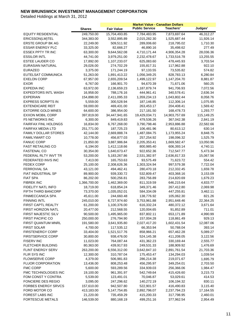|                             |               |                   | <b>Market Value - Canadian Dollars</b> |               |            |
|-----------------------------|---------------|-------------------|----------------------------------------|---------------|------------|
|                             | <b>Shares</b> | <b>Fair Value</b> | <b>Public Service</b>                  | Teachers'     | Judges'    |
| <b>EQUITY RESIDENTIAL</b>   | 249,750.00    | 15,704,493.85     | 7,784,483.95                           | 7,873,697.64  | 46,312.27  |
| ERICSSON(LM)TEL             | 344,383.00    | 3,552,895.89      | 2,015,282.30                           | 1,525,687.44  | 11,926.14  |
| ERSTE GROUP BK AG           | 22,249.00     | 509,511.92        | 289,006.60                             | 218,795.02    | 1,710.30   |
| <b>ESSAR ENERGY PLC</b>     | 33,325.00     | 82,666.27         | 46,890.16                              | 35,498.62     | 277.49     |
| ESSEX PPTY TR INC           | 63,300.00     | 9,644,562.08      | 4,710,171.44                           | 4,906,354.28  | 28,036.36  |
| <b>ESSILOR INTL</b>         | 44,741.00     | 3,979,251.00      | 2,232,478.67                           | 1,733,516.78  | 13,255.55  |
| <b>ESTEE LAUDER CO</b>      | 17,892.00     | 1,107,233.07      | 625,083.60                             | 478,445.93    | 3,703.54   |
| EURASIAN NATURAL            | 29,026.00     | 274,702.29        | 155,817.31                             | 117,962.88    | 922.10     |
| <b>EURAZEO</b>              | 3,375.00      | 171,244.19        | 97,133.55                              | 73,535.82     | 574.82     |
| EUTELSAT COMMUNICA          | 51,263.00     | 1,891,413.22      | 1,056,349.25                           | 828,783.13    | 6,280.84   |
| <b>EXELON CORP</b>          | 67,957.00     | 2,655,209.54      | 1,499,122.97                           | 1,147,204.70  | 8,881.87   |
| <b>EXOR</b>                 | 6,767.00      | 166,901.70        | 94,670.39                              | 71,671.06     | 560.25     |
| EXPEDIA INC                 | 63,972.00     | 2,136,659.23      | 1,187,879.74                           | 941,706.93    | 7,072.56   |
| <b>EXPEDITORS INTL WASH</b> | 16,958.00     | 788,176.16        | 444,961.41                             | 340,578.41    | 2,636.34   |
| <b>EXPERIAN</b>             | 154,898.00    | 2,411,095.33      | 1,359,234.13                           | 1,043,802.44  | 8,058.76   |
| <b>EXPRESS SCRIPTS IN</b>   | 5,559.00      | 300,528.94        | 187,146.85                             | 112,306.14    | 1,075.95   |
| <b>EXTENDICARE REIT</b>     | 59,000.00     | 469,431.00        | 263,453.17                             | 204,408.41    | 1,569.42   |
| <b>EXTORRE GOLD MINES</b>   | 64,600.00     | 386,954.00        | 217,181.50                             | 168,478.73    | 1,293.77   |
| <b>EXXON MOBIL CORP</b>     | 397,819.00    | 34,447,941.65     | 19,429,034.71                          | 14,903,757.69 | 115,149.25 |
| <b>F5 NETWORKS INC</b>      | 6,300.00      | 849,419.83        | 479,536.26                             | 367,042.38    | 2,841.19   |
| <b>FAIRFAX FINL HOLDNGS</b> | 16,834.00     | 6,767,268.00      | 3,790,798.46                           | 2,953,886.88  | 22,582.66  |
| <b>FAIRFAX MEDIA LTD</b>    | 251,771.00    | 187,725.23        | 106,481.96                             | 80,613.12     | 630.14     |
| <b>FAMILY DOLLAR STORES</b> | 42,144.00     | 2,669,888.74      | 1,487,084.75                           | 1,173,955.24  | 8,848.75   |
| <b>FAMILYMART CO</b>        | 10,778.00     | 456,877.03        | 257,254.92                             | 198,096.32    | 1,525.79   |
| <b>FANUC CORP</b>           | 21,850.00     | 3,887,986.84      | 2,205,353.41                           | 1,669,582.47  | 13,050.96  |
| <b>FAST RETAILING CO</b>    | 6,194.00      | 1,412,118.66      | 800,985.40                             | 606,393.14    | 4,740.11   |
| <b>FASTENAL CO</b>          | 30,354.00     | 1,640,673.47      | 922,652.36                             | 712,547.77    | 5,473.34   |
| FEDERAL RLTY INVT TR        | 53,200.00     | 5,183,267.86      | 2,531,382.97                           | 2,636,817.33  | 15,067.56  |
| FEDERATED INVS INC          | 7,413.00      | 165,753.63        | 93,575.49                              | 71,623.72     | 554.42     |
| <b>FEDEX CORP</b>           | 25,100.00     | 2,308,626.36      | 1,303,324.94                           | 997,579.38    | 7,722.04   |
| <b>FERROVIAL SA</b>         | 43,121.00     | 494,462.41        | 280,470.18                             | 212,332.45    | 1,659.78   |
| <b>FIAT INDUSTRIAL SP</b>   | 89,900.00     | 939,330.72        | 532,809.47                             | 403,368.16    | 3,153.09   |
| <b>FIAT SPA</b>             | 86,202.00     | 500,256.81        | 283,756.89                             | 214,820.69    | 1,679.23   |
| <b>FIBREK INC</b>           | 1,366,700.00  | 1,462,369.00      | 811,319.59                             | 646,215.64    | 4,833.77   |
| FIDELITY NATL INFO          | 18,719.00     | 618,854.24        | 349,371.46                             | 267,412.80    | 2,069.98   |
| <b>FIFTH THIRD BANCORP</b>  | 73,370.00     | 1,035,052.01      | 584,334.09                             | 447,255.81    | 3,462.11   |
| <b>FINMECCANICA SPA</b>     | 45,611.00     | 244,660.48        | 138,776.92                             | 105,062.30    | 821.26     |
| <b>FINNING INTL</b>         | 245,010.00    | 6,727,974.60      | 3,753,961.88                           | 2,951,648.46  | 22,364.25  |
| FIRST CAPTL REALTY          | 61,200.00     | 1,100,376.00      | 616,332.24                             | 480,372.12    | 3,671.64   |
| FIRST HORIZON NATL          | 20,477.00     | 212,568.55        | 120,004.65                             | 91,852.89     | 711.01     |
| FIRST MAJESTIC SILV         | 90,500.00     | 1,495,965.00      | 837,802.11                             | 653,171.89    | 4,990.99   |
| FIRST PACIFIC CO            | 250,000.00    | 276,794.90        | 157,004.28                             | 118,861.49    | 929.13     |
| FIRST QUANTUM MNRL          | 191,580.00    | 3,641,935.80      | 2,027,417.20                           | 1,602,431.54  | 12,087.06  |
| <b>FIRST SOLAR</b>          | 4,700.00      | 117,535.12        | 66,353.94                              | 50,788.04     | 393.14     |
| <b>FIRSTENERGY CORP</b>     | 33,404.00     | 1,521,517.76      | 858,966.21                             | 657,462.28    | 5,089.27   |
| <b>FIRSTSERVICE CORP</b>    | 30,800.00     | 938,476.00        | 524,145.38                             | 411,208.05    | 3,122.56   |
| <b>FISERV INC</b>           | 11,023.00     | 764,087.44        | 431,362.23                             | 330,169.44    | 2,555.77   |
| FLETCHER BUILDING           | 80,363.00     | 439,917.93        | 249,531.33                             | 188,909.92    | 1,476.69   |
| FLINT ENERGY SERV           | 263,200.00    | 6,556,312.00      | 3,642,847.10                           | 2,891,761.54  | 21,703.36  |
| FLIR SYS INC                | 12,300.00     | 310,787.04        | 175,453.47                             | 134,294.03    | 1,039.54   |
| <b>FLOWSERVE CORP</b>       | 4,379.00      | 506,981.83        | 286,214.38                             | 219,071.67    | 1,695.79   |
| <b>FLUOR CORPORATION</b>    | 13,436.00     | 808,253.48        | 456,295.97                             | 349,254.01    | 2,703.50   |
| <b>FMC CORP</b>             | 5,600.00      | 593,289.56        | 334,939.03                             | 256,366.06    | 1,984.47   |
| FMC TECHNOLOGIES INC        | 19,100.00     | 961,391.97        | 542,749.64                             | 415,426.60    | 3,215.73   |
| FOM CONST Y CONTRA          | 5,539.00      | 123,491.01        | 70,046.87                              | 53,029.61     | 414.53     |
| FONCIERE DES REGIO          | 3,095.00      | 247,296.62        | 140,272.19                             | 106,194.32    | 830.11     |
| <b>FORBES ENERGY SRVCS</b>  | 157,610.00    | 942,507.80        | 522,901.57                             | 416,490.83    | 3,115.40   |
| FORD MOTOR CO               | 413,183.00    | 5, 147, 754.85    | 2,892,796.07                           | 2,237,794.23  | 17,164.55  |
| FOREST LABS INC             | 21,220.00     | 735,459.29        | 415,200.33                             | 317,798.95    | 2,460.01   |
| <b>FORTESCUE METALS</b>     | 146,539.00    | 880,168.19        | 499,251.16                             | 377,962.54    | 2,954.49   |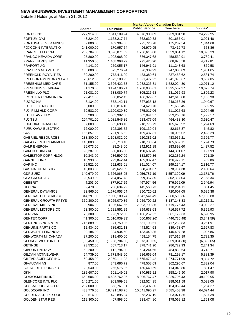|                                            |                           |                              | <b>Market Value - Canadian Dollars</b> |                             |                        |
|--------------------------------------------|---------------------------|------------------------------|----------------------------------------|-----------------------------|------------------------|
|                                            | <b>Shares</b>             | <b>Fair Value</b>            | <b>Public Service</b>                  | Teachers'                   | Judges'                |
| <b>FORTIS INC</b>                          | 227,914.00                | 7,341,109.94                 | 4,076,908.09                           | 3,239,901.90                | 24,299.95              |
| FORTUM OYJ                                 | 48,224.00                 | 1,168,217.74                 | 662,639.33                             | 501,657.01                  | 3,921.40               |
| FORTUNA SILVER MINES                       | 89,800.00                 | 402,304.00                   | 225,726.78                             | 175,232.54                  | 1,344.68               |
| <b>FOXCONN INTERNATIO</b>                  | 241,000.00                | 170,957.54                   | 96,970.95                              | 73,412.73                   | 573.86                 |
| <b>FRANCE TELECOM</b>                      | 209,704.00                | 3,096,871.59                 | 1,756,615.08                           | 1,329,861.12                | 10,395.39              |
| FRANCO NEVADA CORP                         | 25,800.00                 | 1,098,668.00                 | 636,347.68                             | 458,530.91                  | 3,789.41               |
| <b>FRANKLIN RES INC</b>                    | 11,350.00                 | 1,408,968.29                 | 795,426.90                             | 608,828.58                  | 4,712.81               |
| <b>FRAPORT AG</b>                          | 4,141.00                  | 259,055.17                   | 146,941.91                             | 111,243.68                  | 869.58                 |
| <b>FRASER &amp; NEAVE LTD</b>              | 108,000.00                | 575,276.94                   | 326,309.99                             | 247,035.89                  | 1,931.05               |
| <b>FREEHOLD ROYALTIES</b>                  | 39,200.00                 | 773,416.00                   | 433,380.64                             | 337,453.62                  | 2,581.74               |
| FREEPORT-MCMORAN C&G                       | 75,612.00                 | 2,872,180.95                 | 1,621,477.22                           | 1,241,096.67                | 9,607.05               |
| <b>FRESENIUS MED CARE</b>                  | 51,155.00                 | 3,626,422.73                 | 2,032,326.81                           | 1,582,024.80                | 12,071.12              |
| FRESENIUS SE&KGAA                          | 31,170.00                 | 3,194,186.71                 | 1,788,005.61                           | 1,395,557.37                | 10,623.74              |
| <b>FRESNILLO PLC</b>                       | 21,081.00                 | 538,089.74                   | 305,216.58                             | 231,066.93                  | 1,806.23               |
| <b>FRONTIER COMMUNICA</b>                  | 79,411.00                 | 330,052.45                   | 186,329.67                             | 142,618.80                  | 1,103.98               |
| <b>FUGRO NV</b>                            | 8,134.00                  | 578,142.11                   | 327,935.18                             | 248,266.26                  | 1,940.67               |
| FUJI ELECTRIC CO L                         | 63,000.00                 | 166,814.10                   | 94,620.70                              | 71,633.45                   | 559.95                 |
| FUJI FILM HLD CORP                         | 50,582.00                 | 1,190,039.39                 | 675,017.06                             | 511,027.68                  | 3,994.65               |
| FUJI HEAVY INDS                            | 66,200.00                 | 533,902.30                   | 302,841.37                             | 229,268.76                  | 1,792.17               |
| <b>FUJITSU</b>                             | 204,701.00                | 1,081,545.86                 | 613,477.09                             | 464,438.30                  | 3,630.47               |
| <b>FUKUOKA FINANCIAL</b>                   | 87,000.00                 | 385,698.40                   | 218,776.79                             | 165,626.92                  | 1,294.69               |
| <b>FURUKAWA ELECTRIC</b>                   | 72,000.00                 | 192,393.72                   | 109,130.04                             | 82,617.87                   | 645.82                 |
| G4S                                        | 165,857.00                | 721,916.62                   | 409,487.31                             | 310,006.02                  | 2,423.29               |
| <b>GABRIEL RESOURCES</b>                   | 238,800.00                | 1,108,032.00                 | 620,381.02                             | 483,955.21                  | 3,695.77               |
| <b>GALAXY ENTERTAINMENT</b>                | 140,000.00                | 385,710.48                   | 218,783.64                             | 165,632.11                  | 1,294.73               |
| <b>GALP ENERGIA</b>                        | 26,073.00                 | 428,248.00                   | 242,911.88                             | 183,898.60                  | 1,437.52               |
| <b>GAM HOLDING AG</b>                      | 23,287.00                 | 336,036.50                   | 190,607.45                             | 144,301.07                  | 1,127.99               |
| <b>GAMESTOP CORP HLDG</b>                  | 10,843.00                 | 236,597.99                   | 133,570.36                             | 102,236.24                  | 791.39                 |
| <b>GANNETT INC</b>                         | 18,938.00                 | 293,842.44                   | 165,887.47                             | 126,972.11                  | 982.86                 |
| <b>GAP INC</b>                             | 26,521.00                 | 692,635.01                   | 391,024.07                             | 299,294.17                  | 2,316.77               |
| <b>GAS NATURAL SDG</b>                     | 40,808.00                 | 649,629.39                   | 368,484.37                             | 278,964.38                  | 2,180.64               |
| <b>GDF SUEZ</b>                            | 140,679.00                | 3,626,068.05                 | 2,056,787.19                           | 1,557,109.09                | 12,171.76              |
| <b>GEA GROUP AG</b>                        | 20,530.00                 | 704,057.73                   | 399,357.35                             | 302,337.04                  | 2,363.34               |
| <b>GEBERIT</b>                             | 4,203.00                  | 877,917.59                   | 497,974.56                             | 376,996.09                  | 2,946.94               |
| <b>GECINA</b>                              | 2,470.00                  | 256,634.29                   | 145,568.73                             | 110,204.11                  | 861.45                 |
| <b>GENERAL DYNAMICS</b>                    | 22,865.00                 | 1,676,953.04                 | 950,720.62                             | 720,607.05                  | 5,625.38               |
| <b>GENERAL ELECTRIC CO</b>                 | 844,291.00                | 17,080,180.74                | 9,642,541.49                           | 7,380,508.36                | 57,130.88              |
| <b>GENERAL GROWTH PPTYS</b>                | 369,300.00                | 6,265,070.36                 | 3,059,709.22                           | 3,187,148.83                | 18,212.31              |
| <b>GENERAL MILLS INC</b>                   | 99,904.00                 | 3,936,667.56                 | 2,203,799.86                           | 1,719,775.43                | 13,092.27              |
| <b>GENERAL MOTORS CO</b><br><b>GENIVAR</b> | 63,300.00                 | 1,621,551.29                 | 899,633.63                             | 716,557.72                  | 5,359.93               |
| <b>GENTEX CORP</b>                         | 75,300.00                 | 1,993,972.50                 | 1,106,252.22<br>(560, 867.26)          | 881,129.33                  | 6,590.95               |
| <b>GENTING SINGAPORE</b>                   | (41,300.00)<br>716,889.00 | (1,010,939.33)<br>971,750.35 | 551,198.61                             | (446, 730.48)<br>417,289.83 | (3,341.59)<br>3,261.91 |
| <b>GENUINE PARTS CO</b>                    | 12,434.00                 | 785,631.13                   | 443,524.63                             | 339,478.67                  | 2,627.83               |
| <b>GENWORTH FINANCIAL</b>                  | 39,184.00                 | 324,934.50                   | 183,440.35                             | 140,407.28                  |                        |
| <b>GENWORTH MI CANADA</b>                  | 37,200.00                 | 818,400.00                   | 458,154.75                             | 357,515.89                  | 1,086.86<br>2,729.35   |
| <b>GEORGE WESTON LTD</b>                   | (30, 450.00)              | (1,938,784.00)               | (1,073,310.65)                         | (859,081.30)                | (6,392.05)             |
| <b>GETINGE</b>                             | 23,532.00                 | 667,713.17                   | 378,741.90                             | 286,729.93                  | 2,241.34               |
| <b>GIBSON ENERGY</b>                       | 52,200.00                 | 1,112,794.00                 | 624,244.65                             | 484,830.64                  | 3,718.71               |
| <b>GILDAN ACTIVEWEAR</b>                   | 64,739.00                 | 1,773,848.60                 | 986,669.04                             | 781,298.17                  | 5,881.39               |
| GILEAD SCIENCES INC                        | 60,458.00                 | 2,950,111.23                 | 1,665,472.42                           | 1,274,771.09                | 9,867.72               |
| <b>GIVAUDAN AG</b>                         | 877.00                    | 843,686.79                   | 478,558.09                             | 362,296.67                  | 2,832.04               |
| <b>GJENSIDIGE FORSIKR</b>                  | 22,540.00                 | 265,575.86                   | 150,640.59                             | 114,043.80                  | 891.47                 |
| <b>GKN</b>                                 | 182,607.00                | 601,149.02                   | 340,985.22                             | 258,145.90                  | 2,017.90               |
| <b>GLAXOSMITHKLINE</b>                     | 658,604.00                | 14,685,762.85                | 8,306,767.47                           | 6,329,795.43                | 49,199.95              |
| <b>GLENCORE INTL PLC</b>                   | 145,271.00                | 903,569.58                   | 512,524.95                             | 388,011.58                  | 3,033.05               |
| <b>GLOBAL LOGISTIC PR</b>                  | 207,000.00                | 358,761.01                   | 203,497.30                             | 154,059.44                  | 1,204.27               |
| GOLDCORP INC                               | 433,776.00                | 19,491,168.78                | 10,841,090.97                          | 8,585,453.38                | 64,624.44              |
| <b>GOLDEN AGRI RESOUR</b>                  | 790,514.00                | 472,895.94                   | 268,237.19                             | 203,071.36                  | 1,587.39               |
| <b>GOLDEN STAR RES</b>                     | 219,300.00                | 407,898.00                   | 228,474.80                             | 178,062.12                  | 1,361.08               |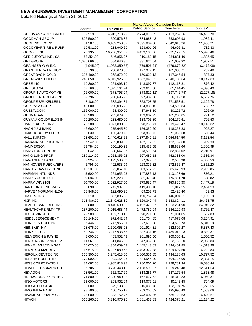|                                 |               |                   | <b>Market Value - Canadian Dollars</b> |               |            |
|---------------------------------|---------------|-------------------|----------------------------------------|---------------|------------|
|                                 | <b>Shares</b> | <b>Fair Value</b> | <b>Public Service</b>                  | Teachers'     | Judges'    |
| <b>GOLDMAN SACHS GROUP</b>      | 39,519.00     | 4,913,713.22      | 2,774,015.35                           | 2,123,262.16  | 16,435.70  |
| <b>GOODMAN GROUP</b>            | 826,500.00    | 590,576.82        | 334,988.43                             | 253,605.98    | 1,982.41   |
| <b>GOODRICH CORP</b>            | 51,387.00     | 6,459,253.07      | 3,595,834.60                           | 2,842,018.26  | 21,400.21  |
| <b>GOODYEAR TIRE &amp; RUBR</b> | 19,531.00     | 218,940.60        | 123,601.96                             | 94,606.31     | 732.33     |
| <b>GOOGLE INC</b>               | 26,195.00     | 16,786,351.67     | 9,439,183.06                           | 7,291,172.15  | 55,996.46  |
| <b>GPE EUROTUNNEL SA</b>        | 63,354.00     | 546,856.27        | 310,189.15                             | 234,831.46    | 1,835.65   |
| <b>GPT GROUP</b>                | 1,080,066.00  | 584,646.36        | 331,624.54                             | 251,059.32    | 1,962.51   |
| <b>GRAINGER WW INC</b>          | (4,945.00)    | (1,062,850.52)    | (579, 506.21)                          | (479, 872.22) | (3,472.08) |
| <b>GRAN TIERRA ENERGY</b>       | 36,790.00     | 230,673.30        | 127,977.12                             | 101,933.71    | 762.48     |
| <b>GREAT BASIN GOLD</b>         | 395,400.00    | 268,872.00        | 150,629.13                             | 117,345.54    | 897.33     |
| <b>GREAT-WEST LIFECO</b>        | 246,650.00    | 6,042,925.00      | 3,382,043.53                           | 2,640,733.64  | 20,147.83  |
| <b>GREE INC</b>                 | 10,300.00     | 261,093.10        | 148,097.87                             | 112,118.81    | 876.42     |
| <b>GRIFOLS SA</b>               | 62,768.00     | 1,325,161.24      | 739,618.30                             | 581,144.45    | 4,398.49   |
| <b>GROUP 1 AUTOMOTIVE</b>       | (12,000.00)   | (673, 793.04)     | (373, 819.12)                          | (297, 746.74) | (2,227.18) |
| GROUPE AEROPLAN INC             | 159,796.00    | 1,960,696.92      | 1,097,439.58                           | 856,719.58    | 6,537.76   |
| <b>GROUPE BRUXELLES L</b>       | 8,186.00      | 632,394.84        | 358,708.55                             | 271,563.51    | 2,122.78   |
| <b>GS YUASA CORP</b>            | 40,000.00     | 220,086.76        | 124,838.15                             | 94,509.84     | 738.77     |
| <b>GUESTLOGIX</b>               | 152,000.00    | 68,400.00         | 37,948.19                              | 30,225.72     | 226.09     |
| <b>GUNMA BANK</b>               | 43,900.00     | 235,679.88        | 133,682.92                             | 101,205.85    | 791.12     |
| <b>GUYANA GOLDFIELDS IN</b>     | 70,200.00     | 238,680.00        | 133,703.89                             | 104,179.61    | 796.50     |
| <b>H&amp;R REAL EST INV</b>     | 128,300.00    | 3,027,880.00      | 1,698,266.71                           | 1,319,496.47  | 10,116.82  |
| <b>HACHIJUNI BANK</b>           | 46,600.00     | 275,645.30        | 156,352.20                             | 118,367.83    | 925.27     |
| <b>HAKUHODO DY HLDGS</b>        | 2,630.00      | 165,470.75        | 93,858.72                              | 71,056.58     | 555.44     |
| <b>HALLIBURTON</b>              | 73,601.00     | 2,440,618.65      | 1,377,840.61                           | 1,054,614.50  | 8,163.54   |
| <b>HAMAMATSU PHOTONIC</b>       | 7,542.00      | 285,809.62        | 162,117.63                             | 122,732.60    | 959.39     |
| <b>HAMMERSON</b>                | 83,784.00     | 556,190.23        | 315,483.58                             | 238,839.66    | 1,866.99   |
| <b>HANG LUNG GROUP</b>          | 103,042.00    | 658,647.67        | 373,599.74                             | 282,837.02    | 2,210.91   |
| <b>HANG LUNG PROP</b>           | 289,114.00    | 1,053,356.02      | 597,487.18                             | 452,333.00    | 3,535.84   |
| <b>HANG SENG BANK</b>           | 89,924.00     | 1,193,586.53      | 677,029.07                             | 512,550.90    | 4,006.56   |
| HANNOVER RUECKVERS              | 6,796.00      | 402,533.99        | 228,326.32                             | 172,856.47    | 1,351.20   |
| HARLEY DAVIDSON INC             | 18,207.00     | 892,067.70        | 503,612.93                             | 385,470.93    | 2,983.85   |
| HARMAN INTL INDS                | 5,600.00      | 261,956.03        | 147,886.13                             | 113,193.69    | 876.21     |
| <b>HARRIS CORP DEL</b>          | 9,084.00      | 409,228.92        | 231,028.40                             | 176,831.70    | 1,368.82   |
| <b>HARRY WINSTON</b>            | 70,700.00     | 1,032,927.00      | 578,650.47                             | 450,829.38    | 3,447.15   |
| <b>HARTFORD FINL SVCS</b>       | 35,090.00     | 742,907.88        | 419,405.40                             | 321,017.55    | 2,484.93   |
| HARVEY NORMAN HLDG              | 58,948.00     | 122,090.96        | 69,252.73                              | 52,428.40     | 409.83     |
| <b>HASBRO INC</b>               | 9,210.00      | 337,886.83        | 190,752.54                             | 146,004.11    | 1,130.19   |
| HCP INC                         | 313,486.00    | 12,349,628.30     | 6,129,340.44                           | 6,183,824.11  | 36,463.75  |
| HEALTH CARE REIT INC            | 153,800.00    | 8,440,630.59      | 4,192,428.37                           | 4,223,261.90  | 24,940.32  |
| HEALTHCARE RLTY TR              | 137,200.00    | 3,015,683.44      | 1,472,787.04                           | 1,534,129.93  | 8,766.47   |
| <b>HECLA MINING CO</b>          | 72,500.00     | 162,710.18        | 90,271.30                              | 71,901.05     | 537.83     |
| HEIDELBERGCEMENT                | 16,149.00     | 972,642.84        | 551,704.85                             | 417,673.08    | 3,264.91   |
| <b>HEINEKEN HOLDING</b>         | 37,446.00     | 1,747,955.51      | 977,618.58                             | 764,526.73    | 5,810.19   |
| <b>HEINEKEN NV</b>              | 28,675.00     | 1,590,053.98      | 901,914.31                             | 682,802.27    | 5,337.40   |
| HEINZ H J CO                    | 60,746.00     | 3,277,938.65      | 1,832,031.16                           | 1,435,018.13  | 10,889.37  |
| <b>HELMERICH &amp; PAYNE</b>    | 8,600.00      | 463,552.43        | 261,696.50                             | 200,305.41    | 1,550.52   |
| HENDERSON LAND DEV              | 111,561.00    | 611,845.29        | 347,052.38                             | 262,739.10    | 2,053.80   |
| HENKEL AG&CO. KGAA              | 65,020.00     | 4,354,059.43      | 2,445,143.63                           | 1,894,401.85  | 14,513.96  |
| <b>HENNES &amp; MAURITZ</b>     | 117,515.00    | 4,237,089.68      | 2,403,372.38                           | 1,819,494.50  | 14,222.80  |
| HEROUX-DEVTEK INC               | 366,300.00    | 3,245,418.00      | 1,800,551.85                           | 1,434,138.63  | 10,727.52  |
| <b>HERSHA HOSPIT TR</b>         | 179,900.00    | 992,154.26        | 484,544.20                             | 504,725.90    | 2,884.15   |
| <b>HESS CORPORATION</b>         | 84,682.00     | 4,985,818.98      | 2,780,001.20                           | 2,189,281.34  | 16,536.44  |
| HEWLETT PACKARD CO              | 157,705.00    | 3,770,448.19      | 2,128,590.07                           | 1,629,246.48  | 12,611.64  |
| <b>HEXAGON</b>                  | 28,561.00     | 552,317.29        | 313,286.77                             | 237,176.54    | 1,853.98   |
| HIGHWOODS PPTYS INC             | 71,800.00     | 2,390,940.22      | 1,167,677.52                           | 1,216,312.33  | 6,950.37   |
| <b>HINO MOTORS</b>              | 29,000.00     | 209,932.64        | 119,078.51                             | 90,149.45     | 704.69     |
| <b>HIROSE ELECTRIC</b>          | 3,600.00      | 379,103.08        | 215,035.78                             | 162,794.75    | 1,272.55   |
| HIROSHIMA BANK                  | 98,700.00     | 450,755.17        | 253,255.62                             | 195,996.49    | 1,503.06   |
| <b>HISAMITSU PHARM CO</b>       | 28,000.00     | 1,333,152.46      | 743,002.35                             | 585,729.53    | 4,420.57   |
| <b>HITACHI</b>                  | 515,265.00    | 3,316,975.26      | 1,881,462.83                           | 1,424,378.21  | 11,134.22  |
|                                 |               |                   |                                        |               |            |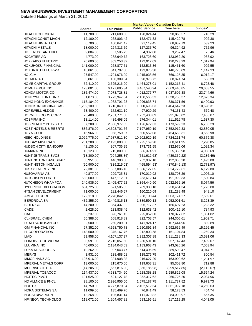|                                 |                        |                          | <b>Market Value - Canadian Dollars</b> |                        |             |
|---------------------------------|------------------------|--------------------------|----------------------------------------|------------------------|-------------|
|                                 | <b>Shares</b>          | <b>Fair Value</b>        | <b>Public Service</b>                  | Teachers'              | Judges'     |
| <b>HITACHI CHEMICAL</b>         | 11,700.00              | 211,600.30               | 120,024.44                             | 90,865.57              | 710.29      |
| HITACHI CONST MACH              | 12,100.00              | 268,803.42               | 152,471.33                             | 115,429.78             | 902.30      |
| HITACHI HIGH-TECH               | 6,700.00               | 160,641.47               | 91,119.45                              | 68,982.79              | 539.23      |
| <b>HITACHI METALS</b>           | 18,000.00              | 224,313.59               | 127,235.70                             | 96,324.92              | 752.96      |
| HKT TRUST AND HKT               | 9,804.00               | 7,585.73                 | 4,302.80                               | 3,257.47               | 25.46       |
| <b>HOCHTIEF AG</b>              | 4,773.00               | 288,649.72               | 163,728.60                             | 123,952.20             | 968.92      |
| <b>HOKKAIDO ELECTRIC</b>        | 20,600.00              | 303,253.32               | 172,012.09                             | 130,223.29             | 1,017.94    |
| <b>HOKUHOKU FINANCIAL</b>       | 141,000.00             | 268,877.51               | 152,513.36                             | 115,461.60             | 902.55      |
| HOKURIKU ELEC PWR               | 18,861.00              | 341,797.80               | 193,875.38                             | 146,775.09             | 1,147.33    |
| <b>HOLCIM</b>                   | 27,547.00              | 1,791,076.09             | 1,015,938.56                           | 769,125.35             | 6,012.17    |
| <b>HOLMEN AB</b>                | 5,861.00               | 160,389.84               | 90,976.72                              | 68,874.74              | 538.39      |
| <b>HOME CAPITAL GROUP</b>       | 52,410.00              | 2,625,216.90             | 1,464,278.01                           | 1,152,215.41           | 8,723.48    |
| HOME DEPOT INC                  | 123,001.00             | 6,177,695.34             | 3,487,590.94                           | 2,669,440.85           | 20,663.55   |
| <b>HONDA MOTOR CO</b>           | 185,474.00             | 7,073,728.81             | 4,012,377.77                           | 3,037,606.38           | 23,744.66   |
| HONEYWELL INTL INC              | 61,873.00              | 3,773,947.04             | 2,130,565.33                           | 1,630,758.37           | 12,623.34   |
| HONG KONG EXCHANGE              | 115,184.00             | 1,933,701.23             | 1,096,838.74                           | 830,371.56             | 6,490.93    |
| <b>HONGKONG&amp;CHINA GAS</b>   | 1,259,100.00           | 3,216,040.56             | 1,800,695.03                           | 1,404,647.23           | 10,698.31   |
| <b>HOPEWELL HLDGS</b>           | 63,400.00              | 172,631.19               | 97,920.29                              | 74,131.43              | 579.48      |
| <b>HORMEL FOODS CORP</b>        | 76,400.00              | 2,251,771.58             | 1,252,438.89                           | 991,876.82             | 7,455.87    |
| <b>HOSPIRA INC</b>              | 13,114.00              | 489,498.09               | 276,344.01                             | 211,516.78             | 1,637.30    |
| HOSPITALITY PPTYS TR            | 87,200.00              | 2,306,977.85             | 1,126,672.33                           | 1,173,599.23           | 6,706.29    |
| <b>HOST HOTELS &amp; RESRTS</b> | 886,876.00             | 14,593,701.56            | 7,197,959.19                           | 7,352,912.33           | 42,830.05   |
| <b>HOYA CORP</b>                | 46,966.00              | 1,058,759.37             | 600,552.08                             | 454,653.31             | 3,553.98    |
| <b>HSBC HOLDINGS</b>            | 2,029,775.00           | 17,987,511.30            | 10,202,920.19                          | 7,724,211.74           | 60,379.38   |
| <b>HUDBAY MINERALS</b>          | 201,200.00             | 2,193,080.00             | 1,225,169.20                           | 960,611.95             | 7,298.85    |
| HUDSON CITY BANCORP             | 42,136.00              | 307,736.95               | 173,731.55                             | 132,976.06             | 1,029.34    |
| <b>HUMANA INC</b>               | 13,123.00              | 1,215,800.58             | 686,374.91                             | 525,358.98             | 4,066.69    |
| HUNT JB TRANS SVCS              | (18,300.00)            | (994, 258.36)            | (551, 612.68)                          | (439, 359.22)          | (3,286.46)  |
| <b>HUNTINGTON BANCSHARE</b>     | 68,951.00              | 446,380.38               | 252,002.10                             | 192,885.20             | 1,493.08    |
| HUNTINGTON INGALLS              | (20,900.00)            | (839, 215.03)            | (465, 594.93)                          | (370, 846.13)          | (2,773.97)  |
| <b>HUSKY ENERGY INC</b>         | 72,381.00              | 1,857,086.46             | 1,036,127.05                           | 814,779.61             | 6,179.80    |
| HUSQVARNA AB                    | 49,877.00              | 299,725.31               | 170,010.92                             | 128,708.29             | 1,006.10    |
| HUTCHISON PORT HL               | 588,600.00             | 447,112.31               | 253,612.14                             | 191,999.33             | 1,500.84    |
| <b>HUTCHISON WHAMPOA</b>        | 240,935.00             | 2,405,477.62             | 1,364,440.90                           | 1,032,962.16           | 8,074.56    |
| <b>HYPERION EXPLORATION</b>     | 634,725.00             | 521,505.33               | 289,330.18                             | 230,451.34             | 1,723.80    |
| HYSAN DEVELOPMENT               | 71,000.00              | 282,446.67               | 160,210.09                             | 121,288.48             | 948.10      |
| <b>IAMGOLD CORP</b>             | 172,118.00             | 2,278,842.32             | 1,268,108.44                           | 1,003,174.27           | 7,559.61    |
| <b>IBERDROLA SA</b>             | 432,355.00             | 2,449,815.13             | 1,389,590.13                           | 1,052,001.61           | 8,223.39    |
| <b>IBIDEN CO</b>                | 14,200.00              | 364,437.92               | 206,717.37                             | 156,497.23             | 1,223.32    |
| ICADE                           | 2,628.00               | 233,838.46               | 132,638.42                             | 100,415.10             | 784.93      |
| <b>ICAP</b>                     | 63,237.00              | 396,761.45               | 225,052.00                             | 170,377.62             | 1,331.82    |
| ICL-ISRAEL CHEM                 | 50,388.00              | 568,918.89               | 322,703.57                             | 244,305.61             | 1,909.71    |
| <b>IDEMITSU KOSAN CO</b>        | 2,500.00               | 250,209.01               | 141,924.17                             | 107,444.96             | 839.89      |
| <b>IGM FINANCIAL INC</b>        | 97,352.00              | 4,558,750.78             | 2,550,891.84                           | 1,992,662.49           | 15,196.45   |
| <b>IHI CORPORATION</b>          | 148,500.00             | 375,167.76               | 212,803.58                             | 161,104.84             | 1,259.34    |
| <b>ILIAD</b>                    | 29,958.00              | 4, 107, 137. 27          | 2,282,307.88                           | 1,811,238.33           | 13,591.06   |
| <b>ILLINOIS TOOL WORKS</b>      | 38,591.00              | 2,215,057.60             | 1,250,501.10                           | 957,147.43             | 7,409.07    |
| <b>ILLUMINA INC</b>             | 40,600.00              | 2,134,043.63             | 1,183,963.43                           | 943,026.26             | 7,053.94    |
| <b>ILUKA RESOURCES</b>          | 49,262.00              | 907,043.77               | 514,495.59                             | 389,503.47             | 3,044.71    |
| <b>IMERYS</b>                   | 3,931.00               | 238,488.01               | 135,275.75                             | 102,411.72             | 800.54      |
| <b>IMMOFINANZ AG</b>            | 105,916.00             | 381,908.88               | 216,627.29                             | 163,999.62             | 1,281.97    |
| <b>IMPERIAL METALS CORP</b>     | 13,000.00              | 215,670.00               | 119,653.31                             | 95,303.80              | 712.88      |
| <b>IMPERIAL OIL LTD</b>         | (14, 205.00)           | (657, 816.90)            | (356, 186.98)                          | (299, 517.85)          | (2, 112.07) |
| <b>IMPERIAL TOBACCO</b>         | 114,437.00             | 4,633,734.60             | 2,628,358.28                           | 1,989,822.08           | 15,554.24   |
| <b>INCITEC PIVOT</b>            | 191,625.00             | 621,127.78               | 352,317.62                             | 266,725.20             | 2,084.96    |
| IND ALLNCE & FNCL               | 98,100.00              | 2,996,955.00             | 1,675,187.75                           | 1,311,787.52           | 9,979.73    |
| <b>INDITEX</b>                  | 44,750.00              | 4,277,870.34             | 2,402,512.54                           | 1,861,097.18           | 14,260.63   |
| <b>INDRA SISTEMAS SA</b>        |                        |                          |                                        |                        | 454.74      |
| <b>INDUSTRIVARDEN</b>           | 11,099.00<br>13,268.00 | 135,469.76<br>195,831.14 | 76,841.49<br>111,079.82                | 58,173.53<br>84,093.97 | 657.35      |
| INFINEON TECHNOLOG              | 118,072.00             | 1,204,457.81             | 683,195.51                             | 517,219.25             | 4,043.05    |
|                                 |                        |                          |                                        |                        |             |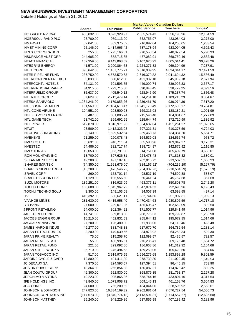|                                      |                        |                          | <b>Market Value - Canadian Dollars</b> |                         |                      |
|--------------------------------------|------------------------|--------------------------|----------------------------------------|-------------------------|----------------------|
|                                      | <b>Shares</b>          | <b>Fair Value</b>        | <b>Public Service</b>                  | Teachers'               | Judges'              |
| ING GROEP NV CVA                     | 435,832.00             | 3,623,929.97             | 2,055,574.43                           | 1,556,190.96            | 12,164.59            |
| <b>INGERSOLL-RAND PLC</b>            | 23,700.00              | 979,113.00               | 552,753.97                             | 423,084.03              | 3,275.00             |
| <b>INMARSAT</b>                      | 52,041.00              | 382,375.62               | 216,892.04                             | 164,200.05              | 1,283.54             |
| <b>INMET MINING CORP</b>             | 25,146.00              | 1,414,965.42             | 787,178.94                             | 623,094.05              | 4,692.43             |
| <b>INPEX CORPORATION</b>             | 255.00                 | 1,725,166.81             | 978,553.34                             | 740,822.54              | 5,790.93             |
| <b>INSURANCE AUST GRP</b>            | 244,605.00             | 858,715.85               | 487,082.91                             | 368,750.46              | 2,882.48             |
| <b>INTACT FINANCIAL</b>              | 152,359.00             | 9,143,063.59             | 5,107,620.92                           | 4,005,014.41            | 30,428.26            |
| <b>INTEGRYS ENERGY</b>               | 41,571.00              | 2,200,864.73             | 1,224,271.83                           | 969,304.99              | 7,287.91             |
| <b>INTEL CORP</b>                    | 398,642.00             | 11, 187, 775. 71         | 6,316,009.95                           | 4,834,344.17            | 37,421.59            |
| <b>INTER PIPELINE FUND</b>           | 237,750.00             | 4,673,570.63             | 2,616,379.82                           | 2,041,604.32            | 15,586.49            |
| <b>INTERCONTINENTALEXCH</b>          | 5,830.00               | 800,612.30               | 451,982.18                             | 345,952.18              | 2,677.94             |
| <b>INTERCONTL HOTELS</b>             | 34,131.00              | 791,593.75               | 449,009.74                             | 339,926.83              | 2,657.17             |
| <b>INTERNATIONAL PAPER</b>           | 34,915.00              | 1,223,715.86             | 690,843.45                             | 528,779.25              | 4,093.16             |
| <b>INTERPUBLIC GROUP</b>             | 35,637.00              | 405,540.12               | 228,945.90                             | 175,237.74              | 1,356.48             |
| <b>INTERTEK GROUP</b>                | 67,629.00              | 2,712,479.14             | 1,514,261.18                           | 1,189,213.29            | 9,004.67             |
| <b>INTESA SANPAOLO</b>               | 1,234,246.00           | 2,179,853.26             | 1,236,461.70                           | 936,074.36              | 7,317.20             |
| INTL BUSINESS MCHN                   | 101,560.00             | 21,184,613.47            | 11,941,178.49                          | 9,172,650.17            | 70,784.81            |
| <b>INTL CONS AIRLINE</b>             | 104,551.00             | 298,500.23               | 169,316.03                             | 128,182.21              | 1,001.99             |
| <b>INTL FLAVORS &amp; FRAGR</b>      | 6,487.00               | 381,805.24               | 215,546.48                             | 164,981.67              | 1,277.09             |
| <b>INTL GAME TECH</b>                | 23,742.00              | 399,692.65               | 225,644.74                             | 172,710.99              | 1,336.92             |
| <b>INTL POWER</b>                    | 512,870.00             | 3,316,971.96             | 1,854,687.04                           | 1,451,261.27            | 11,023.65            |
| <b>INTUIT</b>                        | 23,509.00              | 1,412,323.93             | 797,321.31                             | 610,278.59              | 4,724.03             |
| <b>INTUITIVE SURGIC INC</b>          | 3,140.00               | 1,699,532.64             | 959,463.73                             | 734,384.20              | 5,684.71             |
| <b>INVENSYS</b>                      | 91,259.00              | 290,078.48               | 164,539.03                             | 124,565.74              | 973.72               |
| <b>INVESCO LTD</b>                   | 35,631.00              | 948,711.54               | 535,590.96                             | 409,947.27              | 3,173.31             |
| <b>INVESTEC</b>                      | 54,486.00              | 332,717.74               | 188,724.97                             | 142,875.92              | 1,116.85             |
| <b>INVESTOR AB</b>                   | 49,053.00              | 1,083,791.88             | 614,751.08                             | 465,402.79              | 3,638.01             |
| <b>IRON MOUNTAIN INC</b>             | 13,700.00              | 397,626.81               | 224,478.48                             | 171,818.32              | 1,330.01             |
| <b>ISETAN MITSUKOSHI</b>             | 42,200.00              | 497,187.16               | 282,015.72                             | 213,502.51              | 1,668.93             |
| <b>ISHARES S&amp;P/TSX</b>           | (74, 350.00)           | (1,593,675.00)           | (884, 167.92)                          | (704, 239.29)           | (5,267.79)           |
| <b>ISHARES SILVER TRUST</b>          | (15,200.00)            | (476, 546.72)            | (264, 387.23)                          | (210, 584.29)           | (1,575.19)           |
| <b>ISRAEL CORP</b>                   | 260.00                 | 173,701.14               | 98,527.19                              | 74,590.88               | 583.07               |
| <b>ISRAEL DISCOUNT BK</b>            | 81,129.00              | 106,556.50               | 60,441.24                              | 45,757.58               | 357.68               |
| <b>ISUZU MOTORS</b>                  | 139,251.00             | 816,923.09               | 463,377.11                             | 350,803.78              | 2,742.20             |
| <b>ITOCHU CORP</b>                   | 168,680.00             | 1,845,967.72             | 1,047,074.33                           | 792,696.96              | 6,196.43             |
| <b>ITOCHU TECHNO SOLU</b>            | 3,300.00               | 148,103.08               | 84,007.39                              | 63,598.55               | 497.14               |
| <b>ITV</b>                           | 416,392.00             | 586,621.11               | 332,744.66                             | 251,907.31              | 1,969.13             |
| <b>IVANHOE MINES</b>                 | 281,630.00             | 4,415,958.40             | 2,470,434.63                           | 1,930,806.59            | 14,717.18            |
| <b>IYO BANK</b><br>J FRONT RETAILING | 27,000.00              | 239,071.06               | 135,606.47                             | 102,662.09              | 802.50               |
| <b>JABIL CIRCUIT INC</b>             | 54,000.00              | 302,364.22               | 171,507.77                             | 129,841.49              | 1,014.96             |
| JACOBS ENGR GROUP                    | 14,741.00              | 369,813.38               | 208,776.53                             | 159,799.87              | 1,236.98<br>1,514.66 |
| JAGUAR MINING INC                    | 10,215.00<br>27,200.00 | 452,831.63<br>126,480.00 | 255,644.12<br>71,938.06                | 195,672.85<br>54,113.46 | 428.48               |
| JAMES HARDIE INDUS                   | 49,277.00              | 383,748.38               | 217,670.70                             | 164,789.54              | 1,288.14             |
| JAPAN PETROLEUM EX                   | 3,200.00               | 149,639.56               | 84,878.92                              | 64,258.34               | 502.30               |
| JAPAN PRIME REALTY                   | 75.00                  | 215,258.70               | 122,099.57                             | 92,436.57               | 722.57               |
| JAPAN REAL ESTATE                    | 55.00                  | 486,996.61               | 276,235.41                             | 209,126.48              | 1,634.72             |
| JAPAN RETAIL FUND                    | 221.00                 | 329,092.86               | 186,668.86                             | 141,319.32              | 1,104.68             |
| JAPAN STEEL WORKS                    | 35,710.00              | 245,494.63               | 139,250.06                             | 105,420.50              | 824.06               |
| JAPAN TOBACCO INC                    | 517.00                 | 2,919,975.55             | 1,656,275.68                           | 1,253,898.28            | 9,801.59             |
| <b>JARDINE CYCLE &amp; CARR</b>      | 12,800.00              | 491,411.80               | 278,739.80                             | 211,022.45              | 1,649.54             |
| <b>JC DECAUX SA</b>                  | 7,370.00               | 224,593.57               | 127,394.51                             | 96,445.15               | 753.90               |
| <b>JDS UNIPHASE CORP</b>             | 18,364.00              | 265,854.88               | 150,087.21                             | 114,878.42              | 889.25               |
| <b>JEAN COUTU GROUP</b>              | 46,300.00              | 652,830.00               | 368,879.35                             | 281,753.37              | 2,197.28             |
| <b>JERONIMO MARTINS</b>              | 49,223.00              | 995,865.86               | 558,744.16                             | 433,804.16              | 3,317.54             |
| JFE HOLDINGS INC                     | 49,840.00              | 1,073,908.72             | 609,145.13                             | 461,158.76              | 3,604.83             |
| <b>JGC CORP</b>                      | 24,600.00              | 765,209.59               | 434,044.06                             | 328,596.92              | 2,568.61             |
| <b>JOHNSON &amp; JOHNSON</b>         | 247,823.00             | 16,334,169.32            | 9,202,881.04                           | 7,076,727.54            | 54,560.73            |
| JOHNSON CONTROLS INC                 | (117, 673.00)          | (3,840,774.18)           | (2, 113, 591.31)                       | (1,714,557.27)          | (12,625.60)          |
| JOHNSON MATTHEY                      | 25,240.00              | 948,229.36               | 537,856.98                             | 407,189.42              | 3,182.96             |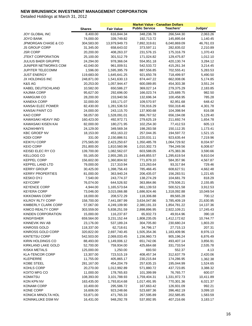|                           |               |                   | <b>Market Value - Canadian Dollars</b> |                  |           |
|---------------------------|---------------|-------------------|----------------------------------------|------------------|-----------|
|                           | <b>Shares</b> | <b>Fair Value</b> | <b>Public Service</b>                  | <b>Teachers'</b> | Judges'   |
| JOY GLOBAL INC            | 8,400.00      | 616,844.34        | 348,236.78                             | 266,544.30       | 2,063.26  |
| <b>JOYO BANK</b>          | 74,000.00     | 339,749.82        | 192,713.72                             | 145,895.64       | 1,140.45  |
| JPMORGAN CHASE & CO       | 304,583.00    | 13,979,949.73     | 7,892,319.61                           | 6,040,869.09     | 46,761.03 |
| JS GROUP CORP             | 31,345.00     | 658,643.02        | 373,597.11                             | 282,835.02       | 2,210.89  |
| <b>JSR CORP</b>           | 20,200.00     | 408,263.37        | 231,576.15                             | 175,316.79       | 1,370.43  |
| <b>JTEKT CORPORATION</b>  | 25,100.00     | 301,512.79        | 171,024.82                             | 129,475.87       | 1,012.10  |
| <b>JULIUS BAER GRUPPE</b> | 24,294.00     | 978,366.04        | 554,951.18                             | 420,130.74       | 3,284.12  |
| JUNIPER NETWORKS COM      | 42,040.00     | 961,009.51        | 542,533.72                             | 415,261.34       | 3,214.45  |
| <b>JUPITER TELECOMM</b>   | 1,596.00      | 1,595,395.79      | 887,556.85                             | 702,555.41       | 5,283.53  |
| <b>JUST ENERGY</b>        | 119,683.00    | 1,645,641.25      | 921,650.78                             | 718,499.97       | 5,490.50  |
| JX HOLDINGS INC           | 248,871.00    | 1,541,630.13      | 874,447.22                             | 662,008.06       | 5,174.85  |
| K&S AG                    | 20,253.00     | 1,057,944.47      | 600,089.85                             | 454,303.38       | 3,551.24  |
| KABEL DEUTSCHLAND         | 10,582.00     | 650,586.27        | 369,027.14                             | 279,375.29       | 2,183.85  |
| <b>KAJIMA CORP</b>        | 95,627.00     | 292,696.00        | 166,023.74                             | 125,689.75       | 982.50    |
| <b>KAMIGUMI CO</b>        | 28,200.00     | 233,940.56        | 132,696.34                             | 100,458.95       | 785.28    |
| <b>KANEKA CORP</b>        | 32,000.00     | 193,171.07        | 109,570.97                             | 82,951.68        | 648.42    |
| KANSAI ELEC POWER         | 82,430.00     | 1,281,536.53      | 726,916.29                             | 550,318.46       | 4,301.78  |
| KANSAI PAINT CO           | 24,000.00     | 243,115.70        | 137,900.68                             | 104,398.94       | 816.08    |
| KAO CORP                  | 58,057.00     | 1,528,091.01      | 866,767.52                             | 656,194.08       | 5,129.40  |
| KAWASAKI HEAVY IND        | 160,423.00    | 492,972.71        | 279,625.19                             | 211,692.74       | 1,654.78  |
| KAWASAKI KISEN KAI        | 82,000.00     | 180,271.95        | 102,254.30                             | 77,412.53        | 605.13    |
| <b>KAZAKHMYS</b>          | 24,129.00     | 349,569.34        | 198,283.58                             | 150,112.35       | 1,173.41  |
| <b>KBC GROEP NV</b>       | 18,153.00     | 453,163.22        | 257,044.35                             | 194,597.72       | 1,521.15  |
| <b>KDDI CORP</b>          | 331.00        | 2,150,886.51      | 1,220,031.11                           | 923,635.44       | 7,219.96  |
| <b>KEIKYU CORP</b>        | 275,565.00    | 2,423,250.67      | 1,350,485.78                           | 1,064,729.92     | 8,034.97  |
| <b>KEIO CORP</b>          | 251,800.00    | 1,810,560.96      | 1,010,302.73                           | 794,249.56       | 6,008.67  |
| KEISEI ELEC RY CO         | 139,700.00    | 1,082,562.07      | 603,588.05                             | 475,383.36       | 3,590.66  |
| <b>KELLOGG CO</b>         | 55,165.00     | 2,955,285.15      | 1,649,855.57                           | 1,295,619.54     | 9,810.04  |
| <b>KEPPEL CORP</b>        | 156,602.00    | 1,360,804.92      | 771,879.10                             | 584,357.96       | 4,567.87  |
| <b>KEPPEL LAND LTD</b>    | 79,000.00     | 217,310.94        | 123,263.64                             | 93,317.84        | 729.46    |
| <b>KERRY GROUP</b>        | 30,425.00     | 1,398,756.43      | 785,466.45                             | 608,627.51       | 4,662.48  |
| <b>KERRY PROPERTIES</b>   | 81,000.00     | 363,940.24        | 206,435.07                             | 156,283.51       | 1,221.65  |
| <b>KESKO OYJ</b>          | 7,540.00      | 243,774.37        | 138,274.29                             | 104,681.79       | 818.29    |
| <b>KEYCORP</b>            | 76,074.00     | 644,526.92        | 363,864.86                             | 278,506.21       | 2,155.85  |
| <b>KEYENCE CORP</b>       | 4,944.00      | 1,165,573.64      | 661,139.53                             | 500,521.58       | 3,912.53  |
| <b>KEYERA CORP</b>        | 73,046.00     | 3,015,066.88      | 1,686,924.46                           | 1,318,092.88     | 10,049.54 |
| <b>KIKKOMAN CORP</b>      | 18,000.00     | 208,572.29        | 118,306.88                             | 89,565.28        | 700.12    |
| KILROY RLTY CORP          | 158,700.00    | 7,441,087.99      | 3,634,047.86                           | 3,785,409.19     | 21,630.95 |
| KIMBERLY CLARK CORP       | 57,067.00     | 4,249,109.90      | 2,380,191.33                           | 1,854,781.22     | 14,137.36 |
| KIMCO REALTY CORP         | 303,559.00    | 5,838,251.59      | 2,898,896.95                           | 2,922,109.21     | 17,245.43 |
| <b>KINDEN CORPORATION</b> | 15,000.00     | 116,237.87        | 65,932.73                              | 49,914.96        | 390.18    |
| <b>KINGFISHER</b>         | 659,564.00    | 3,231,152.44      | 1,808,235.05                           | 1,412,172.62     | 10,744.77 |
| KINNEVIK INV AB           | 23,176.00     | 537,189.24        | 304,705.80                             | 230,680.24       | 1,803.20  |
| <b>KINROSS GOLD</b>       | 118,337.00    | 62,718.61         | 34,796.17                              | 27,715.13        | 207.31    |
| KINROSS GOLD CORP         | 320,822.00    | 2,697,740.45      | 1,505,354.36                           | 1,183,409.96     | 8,976.13  |
| <b>KINTETSU CORP</b>      | 542,503.00    | 2,069,033.45      | 1,156,960.73                           | 905,196.24       | 6,876.49  |
| KIRIN HOLDINGS CO         | 88,493.00     | 1,149,006.12      | 651,742.06                             | 493,407.14       | 3,856.91  |
| KIRKLAND LAKE GOLD        | 52,700.00     | 759,934.00        | 425,664.68                             | 331,733.54       | 2,535.78  |
| <b>KISKA METALS</b>       | 125,000.00    | 1,250.00          | 693.50                                 | 552.37           | 4.13      |
| <b>KLA-TENCOR CORP</b>    | 13,307.00     | 723,515.19        | 408,457.34                             | 312,637.79       | 2,420.06  |
| <b>KLEPIERRE</b>          | 11,755.00     | 405,865.17        | 230,215.84                             | 174,286.95       | 1,362.38  |
| KOBE STEEL                | 281,167.00    | 454,204.79        | 257,635.15                             | 195,044.99       | 1,524.65  |
| KOHLS CORP                | 20,270.00     | 1,012,992.89      | 571,880.72                             | 437,723.85       | 3,388.32  |
| KOITO MFG CO              | 11,000.00     | 178,765.83        | 101,399.99                             | 76,765.77        | 600.07    |
| <b>KOMATSU</b>            | 108,393.00    | 3,101,788.93      | 1,759,404.31                           | 1,331,972.73     | 10,411.89 |
| KON KPN NV                | 163,435.00    | 1,793,814.68      | 1,017,491.95                           | 770,301.36       | 6,021.37  |
| KONAMI CORP               | 10,400.00     | 295,586.72        | 167,663.42                             | 126,931.09       | 992.21    |
| KONE CORP                 | 16,606.00     | 923,248.66        | 523,687.36                             | 396,462.19       | 3,099.10  |
| KONICA MINOLTA HOL        | 53,871.00     | 471,765.33        | 267,595.89                             | 202,585.85       | 1,583.59  |
| KONINKLIJKE DSM NV        | 16,431.00     | 948,292.78        | 537,892.95                             | 407,216.66       | 3,183.17  |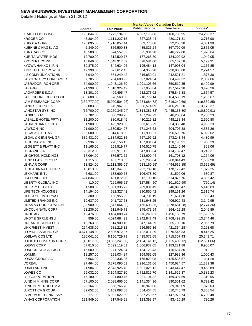|                                    |                         | <b>Market Value - Canadian Dollars</b> |                            |                          |                      |  |
|------------------------------------|-------------------------|----------------------------------------|----------------------------|--------------------------|----------------------|--|
|                                    | <b>Shares</b>           | <b>Fair Value</b>                      | <b>Public Service</b>      | Teachers'                | Judges'              |  |
| <b>KRAFT FOODS INC</b>             | 190,044.00              | 7,272,134.38                           | 4,087,175.06               | 3,160,708.95             | 24,250.37            |  |
| <b>KROGER CO</b>                   | 45,884.00               | 1,111,227.15                           | 627,338.44                 | 480,171.81               | 3,716.90             |  |
| <b>KUBOTA CORP</b>                 | 126,095.00              | 1,216,057.44                           | 689,775.08                 | 522,200.38               | 4,081.99             |  |
| KUEHNE & NAGEL AG                  | 6,349.00                | 856,500.38                             | 485,826.24                 | 367,799.09               | 2,875.05             |  |
| <b>KURARAY CO</b>                  | 40,500.00               | 574,557.62                             | 325,901.98                 | 246,727.00               | 1,928.64             |  |
| KURITA WATER INDS                  | 12,700.00               | 312,520.77                             | 177,268.80                 | 134,202.92               | 1,049.05             |  |
| KYOCERA CORP                       | 16,846.00               | 1,548,917.89                           | 878,581.00                 | 665,137.58               | 5,199.31             |  |
| KYOWA HAKKO KIRIN                  | 30,875.00               | 344,634.06                             | 195,484.18                 | 147,993.04               | 1,156.85             |  |
| KYUSHU ELEC POWER                  | 47,399.00               | 677,612.43                             | 384,356.98                 | 290,980.88               | 2,274.57             |  |
| L-3 COMMUNICATIONS                 | 7,940.00                | 561,249.42                             | 316,850.91                 | 242,521.21               | 1,877.30             |  |
| <b>LABORATORY CORP AMER</b>        | 7,705.00                | 704,680.92                             | 397,824.54                 | 304,499.32               | 2,357.06             |  |
| <b>LABRADOR IRON ORE</b>           | 54,900.00               | 1,948,126.50                           | 1,091,106.66               | 850,519.85               | 6,499.99             |  |
| LAFARGE                            | 21,398.00               | 1,018,924.49                           | 577,956.84                 | 437,547.38               | 3,420.26             |  |
| LAGARDERE S.C.A.                   | 13,301.00               | 409,495.47                             | 232,275.02                 | 175,845.88               | 1,374.57             |  |
| LAKE SHORE GOLD CORP               | 365,600.00              | 376,568.00                             | 210,779.14                 | 164,533.19               | 1,255.67             |  |
| LAM RESEARCH CORP                  | (132, 777.00)           | (5,920,504.26)                         | (3,284,684.72)             | (2,616,249.69)           | (19, 569.85)         |  |
| <b>LAND SECURITIES</b>             | 82,083.00               | 945,967.65                             | 536,574.09                 | 406,218.20               | 3,175.37             |  |
| <b>LANDSTAR SYS INC</b>            | (56,700.00)             | (3,270,345.04)                         | (1,814,381.33)             | (1,445,153.80)           | (10,809.91)          |  |
| <b>LANXESS AG</b>                  | 9,782.00                | 806,209.26                             | 457,299.99                 | 346,203.04               | 2,706.23             |  |
| <b>LASALLE HOTEL PPTYS</b>         | 31,200.00               | 880,918.46                             | 430,219.32                 | 448,138.34               | 2,560.80             |  |
| LAURENTIAN BK CDA                  | 31,900.00               | 1,492,920.00                           | 833,615.29                 | 654,338.48               | 4,966.23             |  |
| <b>LAWSON INC</b>                  | 21,900.00               | 1,380,534.27                           | 771,243.63                 | 604,705.38               | 4,585.26             |  |
| LEGACY OIL+GAS                     | 196,600.00              | 1,814,618.00                           | 1,011,998.21               | 796,590.76               | 6,029.02             |  |
| LEGAL & GENERAL GP                 | 639,431.00              | 1,334,922.35                           | 757,197.92                 | 573,243.44               | 4,480.99             |  |
| <b>LEGG MASON INC</b>              | 9,936.00                | 278,156.15                             | 157,031.84                 | 120,193.91               | 930.39               |  |
| LEGGETT & PLATT INC                | 11,165.00               | 259,519.77                             | 146,510.75                 | 112,140.96               | 868.06               |  |
| <b>LEGRAND SA</b>                  | 26,312.00               | 965,911.42                             | 547,886.64                 | 414,782.47               | 3,242.31             |  |
| LEIGHTON HOLDINGS                  | 17,064.00               | 376,572.62                             | 213,600.44                 | 161,708.12               | 1,264.06             |  |
| LEND LEASE GROUP                   | 61,115.00               | 467,710.05                             | 265,295.64                 | 200,844.43               | 1,569.98             |  |
| <b>LENNAR CORP</b>                 | 13,824.00               | (1, 111, 353.09)                       | (613, 160.55)              | (494, 532.85)            | (3,659.69)           |  |
| LEUCADIA NATL CORP                 | 15,813.00               | 412,347.85                             | 232,789.18                 | 178,179.42               | 1,379.25             |  |
| <b>LEXMARK INTL</b>                | 5,681.00                | 188,609.73                             | 106,478.80                 | 81,500.06                | 630.87               |  |
| LI & FUNG LTD                      | 624,834.00              | 1,431,872.28                           | 812,190.10                 | 614,875.76               | 4,806.42             |  |
| LIBERTY GLOBAL INC                 | (10.00)                 | (229, 965.62)                          | (127, 584.50)              | (101, 620.99)            | (760.14)             |  |
| <b>LIBERTY PPTY TR</b>             | 51,500.00               | 1,861,335.79                           | 909,031.49                 | 946,893.47               | 5,410.83             |  |
| LIFE TECHNOLOGIES                  | 14,194.00               | 692,327.42                             | 390,850.42                 | 299,161.26               | 2,315.74             |  |
| LIFESTYLE INTERNAT                 | 66,300.00               | 166,955.99                             | 94,701.19                  | 71,694.38                | 560.43               |  |
| LIMITED BRANDS INC                 | 19,637.00               | 941,727.68                             | 531,648.25                 | 406,929.48               | 3,149.95             |  |
| LINAMAR CORPORATION                | (38,900.00)             | (847,064.00)                           | (465, 608.36)              | (378, 681.28)            | (2,774.36)           |  |
| <b>LINCOLN NATL CORP</b>           | 23,236.00               | 611,949.71                             | 345,473.54                 | 264,429.28               | 2,046.89             |  |
| LINDE AG                           | 19,476.00               | 3,484,080.74                           | 1,976,248.81               | 1,496,136.79             | 11,695.15            |  |
| <b>LINDT &amp; SPRUENGLI</b>       | 859.00                  | 4,024,684.21                           | 2,242,847.49               | 1,768,492.25             | 13,344.46            |  |
| LINEAR TECHNOLOGY                  | 18,263.00               | 614,909.18                             | 347,144.29                 | 265,708.10               | 2,056.79             |  |
| LINK R/EST INVEST                  | 264,638.00              | 981,215.32                             | 556,567.36                 | 421,354.28               | 3,293.68             |  |
| LLOYDS BANKING GP                  | 4,671,148.00            | 2,506,972.87                           | 1,422,011.29               | 1,076,546.33             | 8,415.25             |  |
| LOBLAW COS LTD                     | 180,041.00              | 6,150,729.79                           | 3,415,072.65               | 2,715,307.43             | 20,349.71            |  |
| <b>LOCKHEED MARTIN CORP</b>        | (43,017.00)             | (3,862,241.30)                         | (2, 124, 141.12)           | (1,725,409.12)           | (12,691.06)          |  |
| LOEWS CORP                         | 67,810.00               | 2,699,119.01                           | 1,506,937.05               | 1,183,221.88             | 8,960.07             |  |
| LONDON STOCK EXCH<br><b>LONMIN</b> | 16,500.00               | 271,724.84                             | 154,128.43<br>169,052.05   | 116,684.30               | 912.11<br>1,000.43   |  |
| LONZA GROUP AG                     | 18,257.00               | 298,034.84                             |                            | 127,982.36               |                      |  |
|                                    | 5,666.00                | 292,336.95                             | 165,820.08                 | 125,535.57               | 981.30               |  |
| <b>L'OREAL</b>                     | 27,464.00               | 3,378,095.61                           | 1,916,131.66               | 1,450,624.57             | 11,339.38            |  |
| LORILLARD INC<br>LOWES CO          | 21,984.00<br>99,032.00  | 2,843,926.48                           | 1,591,025.12               | 1,243,447.47             | 9,453.89             |  |
| <b>LSI CORPORATION</b>             |                         | 3,104,827.30                           | 1,752,816.70               | 1,341,625.37             | 10,385.23            |  |
| <b>LUNDIN MINING CORP</b>          | 45,180.00<br>457,100.00 | 391,809.45<br>2,038,666.00             | 221,194.32<br>1,141,364.96 | 169,304.59<br>890,501.62 | 1,310.55<br>6,799.42 |  |
| LUNDIN PETROLEUM A                 | 26,164.00               | 558,766.78                             | 316,945.06                 | 239,946.09               | 1,875.63             |  |
| LUXOTTICA GROUP                    | 32,652.00               | 1,169,098.88                           | 654,464.55                 | 510,745.79               | 3,888.54             |  |
| LVMH MOET HENNESSY                 | 29,177.00               | 5,002,022.89                           | 2,837,259.67               | 2,147,972.74             | 16,790.48            |  |
| LYNAS CORPORATION                  | 191,849.00              | 217,549.51                             | 123,398.97                 | 93,420.29                | 730.26               |  |
|                                    |                         |                                        |                            |                          |                      |  |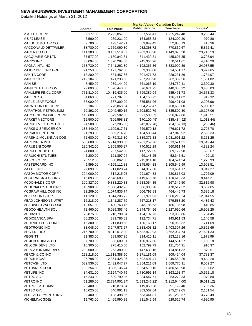|                               |               | <b>Market Value - Canadian Dollars</b> |                       |                |            |
|-------------------------------|---------------|----------------------------------------|-----------------------|----------------|------------|
|                               | <b>Shares</b> | <b>Fair Value</b>                      | <b>Public Service</b> | Teachers'      | Judges'    |
| M & T BK CORP                 | 32,177.00     | 2,792,057.33                           | 1,557,551.41          | 1,225,242.48   | 9,263.44   |
| M UFJ LEASE                   | 6,560.00      | 289,231.90                             | 164,058.83            | 124,202.20     | 970.88     |
| <b>MABUCHI MOTOR CO</b>       | 2,700.00      | 123,142.91                             | 69,849.42             | 52,880.13      | 413.36     |
| <b>MACDONALD DETTWILER</b>    | 38,780.00     | 1,759,060.80                           | 982,368.72            | 770,839.67     | 5,852.41   |
| <b>MACERICH CO</b>            | 141,383.00    | 8,157,519.87                           | 3,983,935.90          | 4,149,870.38   | 23,713.59  |
| MACQUARIE GP LTD              | 37,577.00     | 1,130,842.61                           | 641,439.31            | 485,607.35     | 3,795.94   |
| <b>MACYS INC</b>              | 33,094.00     | 1,320,294.08                           | 745,366.26            | 570,511.61     | 4,416.20   |
| <b>MAGNA INTL INC</b>         | 158,730.00    | 7,541,262.30                           | 4,192,365.36          | 3,323,909.39   | 24,987.55  |
| <b>MAJOR DRILLING GRP</b>     | 71,250.00     | 1,177,762.50                           | 659,303.08            | 514,531.77     | 3,927.65   |
| <b>MAKITA CORP</b>            | 13,200.00     | 531,487.66                             | 301,471.73            | 228,231.86     | 1,784.07   |
| <b>MAN GROUP</b>              | 219,184.00    | 471,238.36                             | 267,296.98            | 202,359.56     | 1,581.82   |
| <b>MAN SE</b>                 | 7,459.00      | 989,144.90                             | 561,065.19            | 424,759.41     | 3,320.30   |
| <b>MANITOBA TELECOM</b>       | 29,000.00     | 1,020,440.00                           | 576,674.75            | 440,330.22     | 3,435.03   |
| MANULIFE FINCL CORP           | 771,810.00    | 10,419,435.00                          | 5,799,389.94          | 4,585,471.73   | 34,573.33  |
| <b>MAPFRE SA</b>              | 84,868.00     | 271,787.05                             | 154, 163. 72          | 116,711.02     | 912.32     |
| <b>MAPLE LEAF FOODS</b>       | 58,000.00     | 687,300.00                             | 385,581.96            | 299,421.08     | 2,296.96   |
| <b>MARATHON OIL CORP</b>      | 56,184.00     | 1,778,868.54                           | 1,004,252.47          | 768,666.00     | 5,950.07   |
| <b>MARATHON PETROLEUM</b>     | 70,392.00     | 3,049,450.15                           | 1,703,522.79          | 1,335,800.30   | 10,127.06  |
| <b>MARCH NETWORKS CORP</b>    | 116,600.00    | 579,502.00                             | 321,506.63            | 256,079.86     | 1,915.51   |
| <b>MARKET VECTORS</b>         | (12,500.00)   | (306, 598.81)                          | (170, 100.45)         | (135, 484.92)  | (1,013.44) |
| <b>MARKET VECTORS ETF T</b>   | (4,500.00)    | (77, 285.38)                           | (42, 877.78)          | (34, 152.13)   | (255.46)   |
| <b>MARKS &amp; SPENCER GP</b> | 183,440.00    | 1,109,917.61                           | 629,570.18            | 476,621.72     | 3,725.70   |
| <b>MARRIOTT INTL INC</b>      | 21,293.00     | 805,214.70                             | 454,580.44            | 347,940.92     | 2,693.33   |
| MARSH & MCLENNAN COS          | 75,680.00     | 2,479,313.80                           | 1,389,371.33          | 1,081,691.22   | 8,251.25   |
| <b>MARTINREA INTL</b>         | 560,600.00    | 5,914,330.00                           | 3,281,259.26          | 2,613,521.31   | 19,549.44  |
| <b>MARUBENI CORP</b>          | 180,342.00    | 1,305,505.97                           | 740,512.29            | 560,611.44     | 4,382.24   |
| <b>MARUI GROUP CO</b>         | 24,800.00     | 207,542.30                             | 117,722.65            | 89,122.98      | 696.67     |
| <b>MARUICHI STL TUBE</b>      | 5,200.00      | 121,897.94                             | 69,143.25             | 52,345.51      | 409.18     |
| MASCO CORP                    | 28,512.00     | 380,862.36                             | 215,014.18            | 164,574.24     | 1,273.93   |
| <b>MASTERCARD INC</b>         | 9,899.00      | 4,165,112.88                           | 2,345,654.38          | 1,805,549.99   | 13,908.51  |
| <b>MATTEL INC</b>             | 27,090.00     | 911,028.74                             | 514,317.30            | 393,664.17     | 3,047.27   |
| <b>MAZDA MOTOR CORP</b>       | 294,000.00    | 514,215.95                             | 291,674.83            | 220,815.03     | 1,726.09   |
| MCCORMICK & CO INC            | 46,893.00     | 2,548,683.32                           | 1,419,616.78          | 1,120,619.33   | 8,447.21   |
| MCDONALDS CORP                | 100,327.00    | 9,833,220.83                           | 5,533,054.35          | 4,267,349.50   | 32,816.98  |
| <b>MCDONALD'S HOLDING</b>     | 40,900.00     | 1,088,432.26                           | 606,306.90            | 478,517.52     | 3,607.85   |
| MCGRAW HILL COS INC           | 22,209.00     | 1,074,835.74                           | 606,793.83            | 464,446.73     | 3,595.18   |
| <b>MCKESSON CORP</b>          | 41,128.00     | 3,614,205.72                           | 2,021,971.93          | 1,580,219.24   | 12,014.55  |
| MEAD JOHNSON NUTRIT           | 16,218.00     | 1,341,287.79                           | 757,218.17            | 579,583.20     | 4,486.43   |
| MEADWESTVACO CORP             | 13,657.00     | 430,763.45                             | 243,185.63            | 186,136.98     | 1,440.85   |
| MEDCO HEALTH SOL              | 72,460.00     | 5,089,353.46                           | 2,844,754.56          | 2,227,690.66   | 16,908.25  |
| <b>MEDIASET</b>               | 79,875.00     | 218,799.04                             | 124,107.73            | 93,956.86      | 734.45     |
| <b>MEDIOBANCA SPA</b>         | 58,230.00     | 339,786.81                             | 192,734.71            | 145,911.53     | 1,140.58   |
| MEDIPAL HLDG CORP             | 16,300.00     | 211,839.58                             | 120,160.17            | 90,968.32      | 711.09     |
| MEDTRONIC INC                 | 83,048.00     | 3,247,573.27                           | 1,833,403.32          | 1,403,307.26   | 10,862.69  |
| <b>MEG ENERGY</b>             | 216,700.00    | 8,312,612.00                           | 4,632,972.93          | 3,652,037.74   | 27,601.33  |
| <b>MEGGITT</b>                | 91,383.00     | 589,557.26                             | 334,410.11            | 253,168.16     | 1,978.99   |
| MEIJI HOLDINGS CO             | 7,700.00      | 336,689.01                             | 190,977.56            | 144,581.27     | 1,130.18   |
| <b>MELCOR DEVS LTD</b>        | 18,300.00     | 275,415.00                             | 152,799.73            | 121,704.91     | 910.37     |
| <b>MERCATOR MINERALS</b>      | 202,600.00    | 263,380.00                             | 147,639.16            | 114,861.32     | 879.51     |
| <b>MERCK &amp; CO INC</b>     | 292,218.00    | 11,318,388.50                          | 6,371,181.09          | 4,909,424.04   | 37,783.37  |
| <b>MERCK KGAA</b>             | 25,798.00     | 2,851,428.96                           | 1,592,401.41          | 1,249,559.26   | 9,468.30   |
| <b>METCASH LTD</b>            | 532,536.00    | 2,432,047.27                           | 1,354,211.09          | 1,069,776.91   | 8,059.27   |
| <b>METHANEX CORP</b>          | 103,254.00    | 3,336,136.74                           | 1,864,510.15          | 1,460,518.98   | 11,107.62  |
| <b>METLIFE INC</b>            | 84,631.00     | 3,154,740.79                           | 1,780,995.14          | 1,363,193.47   | 10,552.18  |
| <b>METRO AG</b>               | 15,243.00     | 589,799.85                             | 334,547.71            | 253,272.33     | 1,979.80   |
| <b>METRO INC</b>              | (51, 286.00)  | (2,734,901.34)                         | (1,513,246.22)        | (1,212,644.00) | (9,011.12) |
| METROPCS COMM                 | 23,400.00     | 210,878.04                             | 119,050.28            | 91,122.40      | 705.36     |
| METSO OYJ                     | 15,025.00     | 640,961.13                             | 363,567.54            | 275,242.05     | 2,151.54   |
| MI DEVELOPMENTS INC           | 32,400.00     | 1,128,498.86                           | 633,444.81            | 491,280.57     | 3,773.49   |
| MICHELIN(CGDE)                | 19,763.00     | 1,465,990.28                           | 831,542.59            | 629,526.74     | 4,920.95   |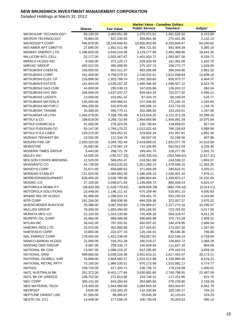|                                                 |                          |                                | <b>Market Value - Canadian Dollars</b> |                             |                        |
|-------------------------------------------------|--------------------------|--------------------------------|----------------------------------------|-----------------------------|------------------------|
|                                                 | <b>Shares</b>            | <b>Fair Value</b>              | <b>Public Service</b>                  | Teachers'                   | Judges'                |
| MICROCHIP TECHNOLOGY                            | 66,190.00                | 2,460,051.96                   | 1,370,371.51                           | 1,081,526.50                | 8,153.95               |
| MICRON TECHNOLOGY                               | 78,864.00                | 637,435.55                     | 359,861.46                             | 275,441.96                  | 2,132.14               |
| MICROSOFT CORP                                  | 595,879.00               | 19,193,848.93                  | 10,835,803.65                          | 8,293,844.47                | 64,200.82              |
| MID-AMER APT CMNTYS                             | 27,695.00                | 1,852,511.49                   | 904,721.92                             | 942,404.39                  | 5,385.18               |
| <b>MIDWAY ENERGY LTD</b>                        | 1,296,600.00             | 5,640,210.00                   | 3,129,177.99                           | 2,492,388.66                | 18,643.35              |
| MILLICOM INTL CELL                              | 22,177.00                | 2,503,367.67                   | 1,401,453.71                           | 1,093,587.26                | 8,326.71               |
| <b>MIRACA HLDGS INC</b>                         | 9,500.00                 | 372,125.17                     | 209,520.39                             | 161,362.08                  | 1,242.70               |
| <b>MIRVAC GROUP</b>                             | 402,012.00               | 485,008.55                     | 275,107.74                             | 208,272.77                  | 1,628.05               |
| MITSUBISHI CHEM HL                              | 159,500.00               | 852,411.07                     | 483,506.69                             | 366,043.06                  | 2,861.32               |
| <b>MITSUBISHI CORP</b>                          | 161,400.00               | 3,756,079.32                   | 2,130,532.51                           | 1,612,938.64                | 12,608.18              |
| MITSUBISHI ELEC CP                              | 216,898.00               | 1,925,788.74                   | 1,092,350.60                           | 826,973.77                  | 6,464.37               |
| <b>MITSUBISHI ESTATE</b>                        | 141,834.00               | 2,539,297.32                   | 1,440,346.44                           | 1,090,427.12                | 8,523.76               |
| <b>MITSUBISHI GAS CHM</b>                       | 44,000.00                | 295,538.13                     | 167,635.86                             | 126,910.22                  | 992.04                 |
| MITSUBISHI HVY IND                              | 336,948.00               | 1,637,037.37                   | 928,564.34                             | 702,977.92                  | 5,495.11               |
| MITSUBISHI LOGISTI                              | 13,000.00                | 153,951.42                     | 87,324.70                              | 66,109.94                   | 516.77                 |
| <b>MITSUBISHI MATERLS</b>                       | 126,000.00               | 400,966.01                     | 227,436.92                             | 172,183.15                  | 1,345.94               |
| MITSUBISHI MOTOR C                              | 456,299.00               | 520,970.45                     | 295,506.13                             | 223,715.55                  | 1,748.76               |
| MITSUBISHI TANABE                               | 25,300.00                | 356,770.11                     | 202,368.02                             | 153,204.51                  | 1,197.58               |
| MITSUBISHI UFJ FIN                              | 1,456,079.00             | 7,268,795.99                   | 4,123,024.25                           | 3,121,372.29                | 24,399.45              |
| MITSUI & CO                                     | 198,819.00               | 3,269,732.84                   | 1,854,665.86                           | 1,404,091.34                | 10,975.64              |
| MITSUI CHEMICALS                                | 91,000.00                | 276,323.05                     | 156,736.64                             | 118,658.87                  | 927.54                 |
| MITSUI FUDOSAN CO                               | 93,147.00                | 1,784,170.22                   | 1,012,021.40                           | 766,159.83                  | 5,988.99               |
| MITSUI O.S.K.LINES                              | 129,219.00               | 563,451.51                     | 319,602.34                             | 241,957.81                  | 1,891.36               |
| MIZRAHI TEFAHOT BK                              | 13,592.00                | 121,534.78                     | 68,937.26                              | 52,189.56                   | 407.96                 |
| MIZUHO FINL GP                                  | 2,620,320.00             | 4,264,762.49                   | 2,419,069.02                           | 1,831,377.78                | 14,315.69              |
| <b>MOBISTAR</b>                                 | 25,682.00                | 1,276,587.19                   |                                        |                             |                        |
|                                                 |                          |                                | 710,336.85                             | 562,022.04                  | 4,228.30               |
| <b>MODERN TIMES GROUP</b>                       | 5,443.00                 | 298,721.79                     | 169,441.70                             | 128,277.35                  | 1,002.73               |
| <b>MOLEX INC</b><br><b>MOLSON COORS BREWING</b> | 14,935.00<br>12,529.00   | (795, 517.25)<br>566,051.47    | (438, 330.02)<br>319,561.89            | (354, 569.92)<br>244,596.22 | (2,617.31)<br>1,893.37 |
| <b>MONSANTO CO</b>                              | 42,739.00                | 3,403,232.63                   | 1,921,280.13                           | 1,470,569.15                |                        |
| <b>MOODYS CORP</b>                              | 15,671.00                | 658,685.62                     | 371,858.09                             | 284,624.31                  | 11,383.35<br>2,203.21  |
| <b>MORGAN STANLEY</b>                           | 121,524.00               | 2,384,583.30                   | 1,346,206.10                           |                             | 7,976.11               |
| MORRISON(W)SUPMART                              | 638,405.00               | 3,038,780.08                   | 1,699,854.84                           | 1,030,401.10                |                        |
| <b>MOSAIC CO</b>                                | 37,100.00                |                                |                                        | 1,328,823.17<br>892,438.24  | 10,102.08<br>6,823.57  |
| <b>MOTOROLA MOBILITY</b>                        |                          | 2,048,671.54<br>(1,526,776.92) | 1,149,409.73                           |                             |                        |
| MOTOROLA SOLUTIONS                              | (38,933.00)<br>23,448.00 |                                | (839,006.39)                           | (682, 756.42)<br>516,851.10 | (5,014.11)             |
|                                                 | 62,466.00                | 1,196,111.41                   | 675,259.48                             |                             | 4,000.83               |
| <b>MS&amp;AD INS GP HLDGS</b>                   |                          | 1,286,024.13                   | 729,461.75                             | 552,245.53                  | 4,316.85               |
| <b>MTR CORP</b><br><b>MUENCHENER RUECKVE</b>    | 241,294.00<br>20,386.00  | 858,936.95<br>3,067,550.80     | 484,059.36<br>1,739,983.67             | 372,007.37<br>1,317,270.16  | 2,870.22<br>10,296.97  |
|                                                 |                          |                                |                                        |                             |                        |
| <b>MULLEN GROUP</b><br><b>MURATA MFG CO</b>     | 78,200.00                | 1,655,494.00                   | 926,184.92<br>745,406.28               | 723,791.50                  | 5,517.58               |
| MURPHY OIL CORP                                 | 22,103.00                | 1,314,133.96                   |                                        | 564,316.47                  | 4,411.20               |
| <b>MYLAN INC</b>                                | 15,466.00                | 869,488.58                     | 490,865.98                             | 375,714.28                  | 2,908.32               |
|                                                 | 34,041.00                | 797,202.91                     | 450,057.42                             | 344,478.95                  | 2,666.54               |
| NABORS INDS LTD                                 | 23,070.00                | 402,900.66<br>222,477.10       | 227,455.81                             | 174,097.20                  | 1,347.65               |
| NABTESCO CORP                                   | 10,800.00                |                                | 126,194.01                             | 95,536.30                   | 746.80                 |
| <b>NAL ENERGY CORP</b><br>NAMCO BANDAI HLDGS    | 178,400.00               | 1,421,236.00                   | 793,957.81                             | 622,548.24                  | 4,729.94               |
|                                                 | 22,000.00                | 318,251.28                     | 180,519.27                             | 136,663.72                  | 1,068.29               |
| NASDAQ OMX GROUP                                | 9,987.00                 | 258,330.72                     | 145,839.48                             | 111,627.16                  | 864.08                 |
| NATIONAL BK CDA                                 | 13,567.00                | 1,086,118.37                   | 612,295.65                             | 470,163.53                  | 3,659.19               |
| <b>NATIONAL GRID</b>                            | 599,666.00               | 6,039,225.49                   | 3,401,610.31                           | 2,617,442.07                | 20,173.11              |
| NATIONAL OILWELL VAR                            | 33,806.00                | 2,684,482.67                   | 1,515,512.98                           | 1,159,990.46                | 8,979.23               |
| NATIONAL RETAIL PPTY                            | 73,100.00                | 1,986,530.51                   | 970,173.58                             | 1,010,582.17                | 5,774.77               |
| <b>NATIXIS</b>                                  | 108,720.00               | 417,343.71                     | 236,726.72                             | 179,216.08                  | 1,400.91               |
| NATL AUSTRALIA BK                               | 251,372.00               | 6,401,177.64                   | 3,630,891.65                           | 2,748,798.91                | 21,487.08              |
| NATL BK OF GREECE                               | 106,752.00               | 272,813.86                     | 154,746.15                             | 117,151.95                  | 915.76                 |
| <b>NEC CORP</b>                                 | 306,141.00               | 643,284.84                     | 364,885.60                             | 276,239.90                  | 2,159.34               |
| NEO MATERIAL TECH                               | 174,400.00               | 1,944,560.00                   | 1,084,643.34                           | 853,454.87                  | 6,461.79               |
| <b>NEOPOST</b>                                  | 3,635.00                 | 233,303.25                     | 132,334.84                             | 100,185.27                  | 783.14                 |
| NEPTUNE ORIENT LNS                              | 87,500.00                | 98,085.67                      | 55,636.39                              | 42,120.03                   | 329.25                 |
| NESTE OIL OYJ                                   | 14,448.00                | 177,596.26                     | 100,736.59                             | 76,263.53                   | 596.14                 |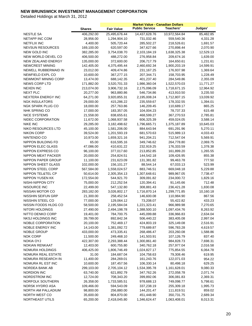|                           |               |                   | <b>Market Value - Canadian Dollars</b> |               |           |
|---------------------------|---------------|-------------------|----------------------------------------|---------------|-----------|
|                           | <b>Shares</b> | <b>Fair Value</b> | <b>Public Service</b>                  | Teachers'     | Judges'   |
| <b>NESTLE SA</b>          | 406,292.00    | 25,495,676.44     | 14,437,628.76                          | 10,972,564.84 | 85,482.85 |
| <b>NETAPP INC COM</b>     | 28,956.00     | 1,294,904.10      | 731,032.46                             | 559,540.36    | 4,331.28  |
| <b>NETFLIX INC</b>        | 4,400.00      | 505,720.44        | 285,502.27                             | 218,526.61    | 1,691.57  |
| <b>NEVSUN RESOURCES</b>   | 169,100.00    | 620,597.00        | 347,627.66                             | 270,898.44    | 2,070.90  |
| <b>NEW GOLD INC</b>       | 382,285.00    | 3,754,038.70      | 2,103,184.19                           | 1,638,325.38  | 12,529.13 |
| NEW WORLD DEVEL CO        | 406,500.00    | 488,272.00        | 276,958.84                             | 209,674.16    | 1,639.00  |
| <b>NEW ZEALAND ENERGY</b> | 135,000.00    | 372,600.00        | 206,717.79                             | 164,650.61    | 1,231.61  |
| <b>NEWCREST MINING</b>    | 142,405.00    | 4,375,495.44      | 2,460,692.34                           | 1,900,203.19  | 14,599.91 |
| NEWELL RUBBERMAID IN      | 23,012.00     | 409,474.86        | 231, 167. 25                           | 176,937.98    | 1,369.64  |
| NEWFIELD EXPL CO          | 10,600.00     | 367,277.15        | 207,344.71                             | 158,703.95    | 1,228.49  |
| NEWMONT MINING CORP       | 13,474.00     | 688,142.35        | 401,237.40                             | 284,549.86    | 2,355.09  |
| <b>NEWS CORP LTD</b>      | 171,882.00    | 3,520,701.33      | 1,986,360.04                           | 1,522,570.03  | 11,771.27 |
| <b>NEXEN INC</b>          | 213,074.00    | 3,906,732.16      | 2,175,096.09                           | 1,718,671.15  | 12,964.92 |
| <b>NEXT PLC</b>           | 20,277.00     | 963,880.86        | 546,734.86                             | 413,910.50    | 3,235.50  |
| <b>NEXTERA ENERGY INC</b> | 64,271.00     | 3,920,855.31      | 2,195,008.24                           | 1,712,807.15  | 13,039.92 |
| <b>NGK INSULATORS</b>     | 29,000.00     | 415,286.22        | 235,559.67                             | 178,332.55    | 1,394.01  |
| NGK SPARK PLUG CO         | 18,000.00     | 257,763.86        | 146,209.45                             | 110,689.17    | 865.25    |
| NHK SPRING CO             | 17,000.00     | 183,357.05        | 104,004.23                             | 78,737.33     | 615.48    |
| <b>NICE SYSTEMS</b>       | 21,558.00     | 838,655.61        | 468,599.27                             | 367,270.53    | 2,785.81  |
| NIDEC CORPORATION         | 11,672.00     | 1,068,937.58      | 606,325.39                             | 459,024.05    | 3,588.14  |
| <b>NIKE INC</b>           | 29,285.00     | 3,182,498.62      | 1,796,665.71                           | 1,375,187.89  | 10,645.03 |
| NIKO RESOURCES LTD        | 45,100.00     | 1,581,206.00      | 884,643.94                             | 691,291.96    | 5,270.11  |
| <b>NIKON CORP</b>         | 39,524.00     | 1,201,593.19      | 681,570.63                             | 515,989.13    | 4,033.43  |
| NINTENDO CO               | 10,973.00     | 1,659,321.16      | 941,204.21                             | 712,547.04    | 5,569.91  |
| NIPPON BUILDING FD        | 65.00         | 616,595.16        | 349,746.62                             | 264,778.80    | 2,069.75  |
| <b>NIPPON ELEC GLASS</b>  | 47,086.00     | 410,631.22        | 232,919.25                             | 176,333.59    | 1,378.38  |
| NIPPON EXPRESS CO         | 96,100.00     | 377,017.60        | 213,852.85                             | 161,899.20    | 1,265.55  |
| NIPPON MEAT PACKER        | 20,000.00     | 254,824.51        | 144,542.18                             | 109,426.95    | 855.38    |
| NIPPON PAPER GROUP        | 11,100.00     | 231,623.09        | 131,381.82                             | 99,463.78     | 777.50    |
| NIPPON SHEET GLASS        | 102,000.00    | 156,101.27        | 88,544.14                              | 67,033.13     | 523.99    |
| NIPPON STEEL CORP         | 567,584.00    | 1,558,024.57      | 883,746.51                             | 669,048.18    | 5,229.88  |
| NIPPON TEL&TEL CP         | 50,614.00     | 2,305,354.13      | 1,307,648.61                           | 989,967.05    | 7,738.47  |
| <b>NIPPON YUSEN KK</b>    | 172,554.00    | 544,921.70        | 309,091.82                             | 234,000.72    | 1,829.16  |
| NISHI-NIPPON CITY         | 75,000.00     | 212,252.54        | 120,394.41                             | 91,145.66     | 712.48    |
| NISOURCE INC              | 22,499.00     | 547,132.80        | 308,881.43                             | 236,421.28    | 1,830.08  |
| NISSAN MOTOR CO           | 283,182.00    | 3,026,802.17      | 1,716,870.14                           | 1,299,771.85  | 10,160.18 |
| NISSHIN SEIFUN GRP        | 21,300.00     | 258,452.54        | 146,600.08                             | 110,984.90    | 867.56    |
| NISSHIN STEEL CO          | 77,000.00     | 129,064.12        | 73,208.07                              | 55,422.82     | 433.23    |
| NISSIN FOODS HLDG CO      | 58,500.00     | 2,195,584.04      | 1,221,323.41                           | 966,989.98    | 7,270.65  |
| NITORI HOLDINGS           | 27,490.00     | 2,494,198.78      | 1,388,500.10                           | 1,097,434.76  | 8,263.92  |
| NITTO DENKO CORP          | 19,401.00     | 784,700.75        | 445,099.88                             | 336,966.83    | 2,634.04  |
| NKSJ HOLDINGS INC         | 39,799.00     | 892,842.34        | 506,440.22                             | 383,405.08    | 2,997.04  |
| NOBLE CORPORATION         | 20,100.00     | 752,469.17        | 424,803.19                             | 325,149.08    | 2,516.91  |
| NOBLE ENERGY INC          | 14,143.00     | 1,381,092.72      | 779,689.87                             | 596,783.28    | 4,619.57  |
| <b>NOBLE GROUP</b>        | 433,000.00    | 473,335.41        | 268,486.47                             | 203,260.08    | 1,588.86  |
| <b>NOK CORP</b>           | 11,500.00     | 249,468.10        | 141,503.91                             | 107,126.79    | 837.40    |
| <b>NOKIA OYJ</b>          | 422,307.00    | 2,293,388.44      | 1,300,861.40                           | 984,828.73    | 7,698.31  |
| <b>NOKIAN RENKAAT</b>     | 12,403.00     | 600,755.80        | 340,762.18                             | 257,977.04    | 2,016.58  |
| NOMURA HOLDINGS           | 406,425.00    | 1,806,746.49      | 1,024,827.17                           | 775,854.55    | 6,064.78  |
| NOMURA REAL ESTATE        | 31.00         | 184,687.04        | 104,758.63                             | 79,308.46     | 619.95    |
| NOMURA RESEARCH IN        | 11,400.00     | 284,269.01        | 161,243.76                             | 122,071.03    | 954.22    |
| NOMURA RL EST INC         | 10,600.00     | 187,457.56        | 106,330.14                             | 80,498.18     | 629.25    |
| NORDEA BANK AB            | 299,103.00    | 2,705,104.12      | 1,534,395.78                           | 1,161,628.01  | 9,080.33  |
| <b>NORDION INC</b>        | 63,740.00     | 621,892.79        | 347,762.26                             | 272,058.78    | 2,071.74  |
| NORDSTROM INC             | 12,724.00     | 708,343.20        | 399,892.06                             | 306,081.83    | 2,369.31  |
| NORFOLK SOUTHERN          | 26,358.00     | 1,733,585.51      | 978,688.13                             | 749,098.77    | 5,798.61  |
| NORSK HYDRO ASA           | 109,466.00    | 594,543.09        | 337,238.19                             | 255,309.18    | 1,995.73  |
| NORTH AM PALLADIUM        | 98,800.00     | 256,880.00        | 144,201.47                             | 111,819.51    | 859.02    |
| NORTH WEST CO             | 35,600.00     | 804,870.00        | 451,448.90                             | 350,731.75    | 2,689.34  |
| NORTHEAST UTILS           | 65,200.00     | 2,418,045.80      | 1,346,624.47                           | 1,063,408.01  | 8,013.31  |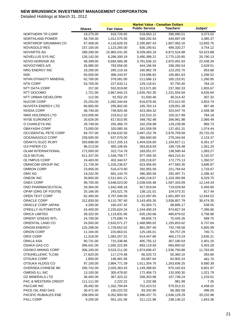|                             |               |                   | <b>Market Value - Canadian Dollars</b> |              |           |
|-----------------------------|---------------|-------------------|----------------------------------------|--------------|-----------|
|                             | <b>Shares</b> | <b>Fair Value</b> | <b>Public Service</b>                  | Teachers'    | Judges'   |
| NORTHERN TR CORP            | 19,275.00     | 918,726.65        | 518,663.12                             | 396,990.51   | 3,073.02  |
| NORTHLAND POWER             | 58,700.00     | 1,012,575.00      | 568,292.54                             | 440,897.09   | 3,385.37  |
| NORTHROP GRUMMAN CO         | 67,458.00     | 4,116,626.33      | 2,295,887.43                           | 1,807,083.16 | 13,655.75 |
| <b>NOVAGOLD RES</b>         | 157,100.00    | 1,123,265.00      | 630,190.61                             | 489,320.27   | 3,754.12  |
| NOVARTIS AG                 | 289,290.00    | 15,965,531.95     | 9,039,483.19                           | 6,872,524.88 | 53,523.88 |
| NOVELLUS SYS INC            | 126,142.00    | 6,286,300.19      | 3,490,389.21                           | 2,775,120.85 | 20,790.13 |
| NOVO-NORDISK AS             | 48,399.00     | 6,684,566.38      | 3,791,636.10                           | 2,870,491.93 | 22,438.34 |
| NOVOZYMES A/S               | 26,985.00     | 783,056.00        | 444,166.94                             | 336,260.54   | 2,628.51  |
| NRG ENERGY INC              | 18,200.00     | 285,119.16        | 160,962.78                             | 123,202.70   | 953.68    |
| NSK                         | 50,000.00     | 386,244.97        | 219,086.82                             | 165,861.63   | 1,296.52  |
| NTHN DYNASTY MINERAL        | 62,700.00     | 378,081.00        | 211,666.13                             | 165,153.91   | 1,260.95  |
| <b>NTN CORP</b>             | 53,700.00     | 227,633.11        | 129,118.61                             | 97,750.40    | 764.10    |
| NTT DATA CORP               | 157.00        | 552,819.80        | 313,571.80                             | 237,392.33   | 1,855.67  |
| NTT DOCOMO                  | 1,721.00      | 2,867,944.23      | 1,626,762.35                           | 1,231,554.94 | 9,626.94  |
| NTT URBAN DEVELOPM          | 112.00        | 91,552.20         | 51,930.46                              | 39,314.42    | 307.32    |
| <b>NUCOR CORP</b>           | 25,253.00     | 1,092,344.64      | 616,678.40                             | 472,012.50   | 3,653.74  |
| <b>NUVISTA ENERGY LTD</b>   | 80,600.00     | 295,802.00        | 165,763.14                             | 129,051.38   | 987.48    |
| <b>NVIDIA CORP</b>          | 48,740.00     | 749,920.46        | 423,364.32                             | 324,047.76   | 2,508.38  |
| NWS HOLDINGS LTD            | 153,000.00    | 233,612.32        | 132,510.15                             | 100,317.99   | 784.18    |
| <b>NYSE EURONEXT</b>        | 20,626.00     | 617,810.95        | 348,782.48                             | 266,961.98   | 2,066.49  |
| O CHARLEYS INC              | 29,749.00     | 292,466.70        | 162,259.98                             | 129,239.99   | 966.73    |
| <b>OBAYASHI CORP</b>        | 73,000.00     | 320,085.34        | 181,559.59                             | 137,451.31   | 1,074.44  |
| <b>OCCIDENTAL PETE CORP</b> | 64,757.00     | 6,194,632.56      | 3,497,152.78                           | 2,676,759.58 | 20,720.20 |
| OCEANAGOLD CORP             | 239,500.00    | 637,070.00        | 356,600.69                             | 278,344.94   | 2,124.37  |
| ODAKYU ELEC RLWY            | 265,698.00    | 2,517,205.13      | 1,404,026.65                           | 1,104,827.11 | 8,351.37  |
| OJI PAPER CO                | 96,213.00     | 465,106.65        | 263,818.93                             | 199,726.48   | 1,561.24  |
| <b>OLAM INTERNATIONAL</b>   | 172,000.00    | 322,714.78        | 183,051.07                             | 138,580.44   | 1,083.27  |
| OLD MUTUAL                  | 611,337.00    | 1,546,758.77      | 877,356.30                             | 664,210.41   | 5,192.07  |
| OLYMPUS CORP                | 24,483.00     | 402,344.57        | 228,218.87                             | 172,775.13   | 1,350.57  |
| OMNICOM GROUP INC           | 21,728.00     | 1,105,236.87      | 623,956.65                             | 477,583.35   | 3,696.87  |
| <b>OMRON CORP</b>           | 23,956.00     | 516,473.90        | 292,955.59                             | 221,784.64   | 1,733.67  |
| OMV AG                      | 19,242.00     | 681,144.70        | 386,360.56                             | 292,497.71   | 2,286.42  |
| <b>ONEOK INC</b>            | 30,800.00     | 2,511,941.21      | 1,400,218.57                           | 1,103,392.89 | 8,329.75  |
| <b>ONEX CORP</b>            | 99,700.00     | 3,648,023.00      | 2,038,545.48                           | 1,597,333.09 | 12,144.43 |
| ONO PHARMACEUTICAL          | 29,364.00     | 1,642,406.18      | 917,919.64                             | 719,029.94   | 5,456.60  |
| OPAP (ORG OF FOOTB)         | 25,166.00     | 243,521.76        | 138,131.01                             | 104,573.31   | 817.44    |
| OPEN TEXT CORP              | 62,400.00     | 3,797,040.00      | 2,122,497.85                           | 1,661,897.63 | 12,644.52 |
| ORACLE CORP                 | 312,830.00    | 9,110,787.40      | 5, 143, 455. 26                        | 3,936,857.79 | 30,474.35 |
| ORACLE CORP JAPAN           | 4,200.00      | 160,437.42        | 91,003.71                              | 68,895.17    | 538.55    |
| O'REILLY AUTOMOTIVE         | 24,400.00     | 2,226,624.24      | 1,244,400.24                           | 974,827.34   | 7,396.66  |
| <b>ORICA LIMITED</b>        | 39,322.00     | 1,119,831.66      | 635,193.66                             | 480,879.02   | 3,758.98  |
| ORIENT O/SEAS INTL          | 24,700.00     | 175,690.74        | 99,655.73                              | 75,445.26    | 589.75    |
| ORIENTAL LAND CO            | 24,500.00     | 2,633,571.27      | 1,468,980.02                           | 1,155,853.62 | 8,737.64  |
| <b>ORIGIN ENERGY</b>        | 125,298.00    | 1,729,652.02      | 981,097.45                             | 742,748.58   | 5,805.99  |
| ORION CORP                  | 11,194.00     | 220,663.01        | 125,165.01                             | 94,757.29    | 740.71    |
| ORIX CORP                   | 11,318.00     | 1,083,257.31      | 614,447.86                             | 465,173.24   | 3,636.21  |
| ORKLA ASA                   | 90,731.00     | 715,336.86        | 405,755.12                             | 307,180.54   | 2,401.20  |
| <b>OSAKA GAS CO</b>         | 396,041.00    | 1,592,222.89      | 893,119.59                             | 693,800.02   | 5,303.28  |
| OSISKO MINING CORP          | 306,100.00    | 3,523,211.00      | 1,974,696.47                           | 1,536,750.88 | 11,763.65 |
| OTE(HELLENIC TLCM)          | 27,620.00     | 117,274.48        | 66,520.72                              | 50,360.10    | 393.66    |
| OTSUKA CORP                 | 1,800.00      | 146,481.58        | 83,087.64                              | 62,902.24    | 491.70    |
| OTSUKA HLDGS CO             | 97,100.00     | 2,884,771.39      | 1,611,354.75                           | 1,263,836.25 | 9,580.39  |
| OVERSEA-CHINESE BK          | 285,742.00    | 2,026,363.43      | 1,149,398.82                           | 870,162.63   | 6,801.97  |
| OWENS ILL INC               | 13,100.00     | 305,478.82        | 172,456.73                             | 132,000.30   | 1,021.79  |
| OZ MINERALS LTD             | 36,492.00     | 367,323.22        | 208,353.98                             | 157,736.24   | 1,233.01  |
| PAC & WESTERN CREDIT        | 111,111.00    | 2,222.22          | 1,232.88                               | 981.99       | 7.35      |
| PACCAR INC                  | 28,492.00     | 1,332,794.84      | 752,423.51                             | 575,913.31   | 4,458.02  |
| PACE OIL AND GAS            | 30,471.00     | 150,222.03        | 83,342.90                              | 66,382.58    | 496.55    |
| PACIFIC RUBIALES ENE        | 208,000.00    | 6,052,800.00      | 3,396,437.75                           | 2,636,129.29 | 20,232.96 |
| PALL CORP                   | 9,255.00      | 551,101.56        | 311,121.98                             | 238,136.22   | 1,843.36  |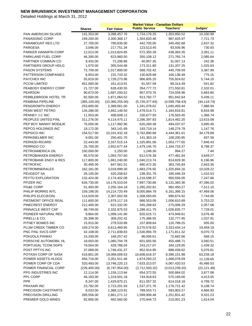|                            |               |                   | <b>Market Value - Canadian Dollars</b> |                |              |
|----------------------------|---------------|-------------------|----------------------------------------|----------------|--------------|
|                            | <b>Shares</b> | <b>Fair Value</b> | <b>Public Service</b>                  | Teachers'      | Judges'      |
| <b>PAN AMERICAN SILVER</b> | 141,353.00    | 3,098,457.76      | 1,734,176.25                           | 1,353,950.52   | 10,330.99    |
| <b>PANASONIC CORP</b>      | 249,200.00    | 2,300,368.17      | 1,304,820.46                           | 987,825.97     | 7,721.73     |
| PARAMOUNT RES LTD          | 27,700.00     | 790,835.00        | 442,705.00                             | 345,492.68     | 2,637.32     |
| PARGESA                    | 3,046.00      | 217,751.34        | 123,513.45                             | 93,506.96      | 730.93       |
| PARKER HANNIFIN CORP       | 12,013.00     | 1,013,824.85      | 572,350.39                             | 438,083.35     | 3,391.11     |
| PARKLAND FUEL CORP         | 46,300.00     | 623,960.50        | 350,109.12                             | 271,765.74     | 2,085.64     |
| PARTNER COMMUN CO          | 9,433.00      | 72,206.86         | 40,957.35                              | 31,007.13      | 242.38       |
| PARTNERS GROUP HDLG        | 1,570.00      | 305,544.68        | 173,311.80                             | 131,207.25     | 1,025.63     |
| <b>PASON SYSTEMS</b>       | 72,700.00     | 1,017,800.00      | 568,702.42                             | 445,709.59     | 3,387.99     |
| PATTERSON COMPANIES        | 6,953.00      | 231,743.32        | 130,829.68                             | 100,138.49     | 775.15       |
| PAYCHEX INC                | 55,819.00     | 1,728,273.96      | 966,605.25                             | 755,924.62     | 5,744.10     |
| <b>PCCW LIMITED</b>        | 451,000.00    | 161,413.91        | 91,557.59                              | 69,314.49      | 541.82       |
| PEABODY ENERGY CORP        | 21,727.00     | 628,430.55        | 354,777.72                             | 271,550.81     | 2,102.01     |
| <b>PEARSON</b>             | 90,673.00     | 1,687,293.52      | 957,070.76                             | 724,558.96     | 5,663.80     |
| PEBBLEBROOK HOTEL TR       | 82,500.00     | 1,871,064.52      | 913,782.77                             | 951,842.64     | 5,439.11     |
| PEMBINA PIPELINE           | (365, 100.00) | (10,360,255.00)   | (5,726,377.83)                         | (4,599,758.43) | (34, 118.74) |
| PENGROWTH ENERGY           | 253,600.00    | 2,389,561.00      | 1,341,078.62                           | 1,040,493.44   | 7,988.94     |
| PENN WEST PETRO            | 134,286.00    | 2,652,148.50      | 1,478,514.71                           | 1,164,816.81   | 8,816.98     |
| PENNEY J C INC             | 11,553.00     | 408,608.12        | 230,677.93                             | 176,563.45     | 1,366.74     |
| PEOPLES UNITED FINL        | 311,276.00    | 4,114,475.11      | 2,286,397.83                           | 1,814,462.20   | 13,615.08    |
| PEP BOY MANNY MOE&JK       | 75,000.00     | 1,117,992.90      | 620,260.38                             | 494,037.07     | 3,695.45     |
| PEPCO HOLDINGS INC         | 18,172.00     | 343,141.69        | 193,719.14                             | 148,274.78     | 1,147.76     |
| PEPSICO INC                | 154,517.00    | 10,241,432.18     | 5,762,890.68                           | 4,444,361.61   | 34,179.89    |
| PERKINELMER INC            | 9,061.00      | 250,401.70        | 141,363.19                             | 108,200.95     | 837.56       |
| PERNOD-RICARD              | 22,443.00     | 2,337,515.14      | 1,325,891.06                           | 1,003,777.65   | 7,846.43     |
| PERRIGO CO                 | 25,700.00     | 2,652,677.44      | 1,479,145.70                           | 1,164,733.37   | 8,798.37     |
| PETROAMERICA OIL           | 150,000.00    | 2,250.00          | 1,248.30                               | 994.27         | 7.44         |
| PETROBAKKEN ENERGY         | 65,570.00     | 1,093,707.60      | 612,576.39                             | 477,481.94     | 3,649.27     |
| PETROBANK ENGY & RES       | 117,800.00    | 1,861,240.00      | 1,040,213.74                           | 814,829.30     | 6,196.96     |
| <b>PETROFAC</b>            | 30,495.00     | 847,061.51        | 480,472.30                             | 363,745.84     | 2,843.36     |
| <b>PETROMINERALES</b>      | 162,181.00    | 3,018,999.30      | 1,683,276.92                           | 1,325,694.16   | 10,028.22    |
| PEUGEOT SA                 | 26,145.00     | 420,208.62        | 238,351.76                             | 180,446.33     | 1,410.53     |
| PEYTO EXPLORATION          | 132,424.00    | 2,174,402.08      | 1,216,598.37                           | 950,556.05     | 7,247.66     |
| PFIZER INC                 | 626,735.00    | 14,176,510.04     | 7,997,730.66                           | 6,131,383.36   | 47,396.02    |
| PG&E CORP                  | 51,493.00     | 2,255,164.18      | 1,265,202.81                           | 982,450.27     | 7,511.10     |
| PHILIP MORRIS INTL         | 159,198.00    | 14,214,720.49     | 8,005,884.78                           | 6,161,366.15   | 47,469.56    |
| PHILIPS ELEC(KON)          | 114,029.00    | 2,307,002.58      | 1,308,583.65                           | 990,674.92     | 7,744.00     |
| PIEDMONT OFFICE REAL       | 111,600.00    | 1,979,117.19      | 966,553.09                             | 1,006,810.89   | 5,753.22     |
| PINECREST ENERGY           | 212,400.00    | 622,332.00        | 345,268.63                             | 275,006.29     | 2,057.08     |
| PINNACLE WEST CAP          | 48,749.00     | 2,332,975.53      | 1,298,411.75                           | 1,026,835.77   | 7,728.01     |
| PIONEER NATURAL RES        | 9,864.00      | 1,099,141.80      | 620,515.71                             | 474,949.61     | 3,676.48     |
| PIRELLI & CO.              | 26,398.00     | 309,202.41        | 175,386.55                             | 132,777.95     | 1,037.91     |
| PITNEY BOWES INC           | 15,915.00     | 279,533.89        | 157,809.64                             | 120,789.25     | 935.00       |
| PLUM CREEK TIMBER CO       | 159,274.00    | 6,613,469.95      | 3,270,576.62                           | 3,323,434.14   | 19,459.18    |
| PNC FINL SVCS GRP          | 42,108.00     | 2,711,838.83      | 1,530,956.78                           | 1,171,811.32   | 9,070.73     |
| POHJOLA PANKKI             | 15,330.00     | 169,257.42        | 96,006.61                              | 72,682.66      | 568.15       |
| PORSCHE AUTOMOBIL HL       | 18,003.00     | 1,060,704.78      | 601,655.56                             | 455,488.71     | 3,560.51     |
| PORTUGAL TCOM SGPS         | 79,054.00     | 428,786.04        | 243,217.07                             | 184,129.65     | 1,439.32     |
| POST PPTYS INC             | 37,089.00     | 1,746,431.37      | 852,914.95                             | 888,439.62     | 5,076.81     |
| POTASH CORP OF SASK        | 418,801.00    | 19,068,009.53     | 10,608,618.37                          | 8,396,151.98   | 63,239.18    |
| POWER ASSETS HLDGS         | 456,716.00    | 3,351,511.46      | 1,874,293.22                           | 1,466,078.59   | 11,139.65    |
| POWER CORP OF CDA          | 520,493.00    | 13,746,220.13     | 7,633,313.07                           | 6,067,420.53   | 45,486.53    |
| POWER FINANCIAL CORP       | (226, 400.00) | (6,747,954.00)    | (3,712,593.32)                         | (3,013,239.20) | (22, 121.48) |
| PPG INDUSTRIES INC         | 12,114.00     | 1,159,113.64      | 654,372.55                             | 500,864.02     | 3,877.08     |
| PPL CORP                   | 46,183.00     | 1,319,501.18      | 744,918.63                             | 570,169.00     | 4,413.55     |
| <b>PPR</b>                 | 8,347.00      | 1,429,875.21      | 811,057.32                             | 614,018.18     | 4,799.72     |
| PRAXAIR INC                | 23,782.00     | 2,723,201.93      | 1,537,371.76                           | 1,176,721.42   | 9,108.74     |
| PRECISION CASTPARTS        | 8,033.00      | 1,388,123.91      | 789,553.71                             | 593,903.27     | 4,666.93     |
| PRECISION DRILLING         | 285,556.00    | 2,861,271.12      | 1,599,908.48                           | 1,251,831.42   | 9,531.23     |
| PREMIER GOLD MINES         | 92,800.00     | 482,560.00        | 270,944.73                             | 210,001.23     | 1,614.04     |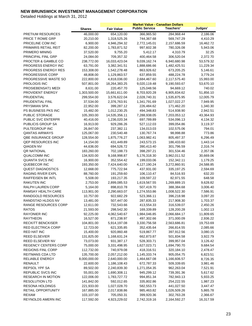|                            |               |                   | <b>Market Value - Canadian Dollars</b> |              |           |
|----------------------------|---------------|-------------------|----------------------------------------|--------------|-----------|
|                            | <b>Shares</b> | <b>Fair Value</b> | <b>Public Service</b>                  | Teachers'    | Judges'   |
| <b>PRETIUM RESOURCES</b>   | 46,000.00     | 654,120.00        | 366,965.50                             | 284,968.44   | 2,186.06  |
| PRICE T ROWE GRP           | 20,210.00     | 1,318,525.26      | 744,367.68                             | 569,747.29   | 4,410.29  |
| PRICELINE COM INC          | 6,900.00      | 4,946,294.32      | 2,772,145.01                           | 2,157,686.59 | 16,462.72 |
| PRIMARIS RETAIL REIT       | 82,200.00     | 1,783,871.52      | 997,602.38                             | 780,326.08   | 5,943.06  |
| PRIMERO MINING             | 37,520.00     | 9,755.20          | 5,412.17                               | 4,310.79     | 32.25     |
| PRINCIPAL FINL GRP         | 24,084.00     | 709,357.32        | 400,464.58                             | 306,520.04   | 2,372.70  |
| PROCTER & GAMBLE CO        | 238,772.00    | 16,033,423.04     | 9,039,162.74                           | 6,940,680.98 | 53,579.32 |
| PROGRESS ENERGY INC        | 63,791.00     | 3,382,341.51      | 1,888,686.66                           | 1,482,425.51 | 11,229.34 |
| PROGRESS ENERGY RES        | 153,308.00    | 1,542,278.48      | 863,926.62                             | 673,205.25   | 5,146.61  |
| PROGRESSIVE CORP           | 48,808.00     | 1,129,863.57      | 637,859.55                             | 488,224.78   | 3,779.24  |
| PROGRESSIVE WASTE SO       | 222,800.00    | 4,818,036.00      | 2,684,467.60                           | 2,117,575.40 | 15,993.00 |
| PROLOGIS INC               | 507,801.00    | 18,264,383.25     | 9,020,119.48                           | 9,190,593.67 | 53,670.10 |
| PROSIEBENSAT1 MEDI         | 8,631.00      | 220,457.70        | 125,048.56                             | 94,669.12    | 740.02    |
| PROVIDENT ENERGY           | 1,303,500.00  | 15,661,611.00     | 8,703,920.28                           | 6,905,834.62 | 51,856.10 |
| PRUDENTIAL                 | 299,554.00    | 3,576,622.04      | 2,028,740.31                           | 1,535,875.95 | 12,005.79 |
| PRUDENTIAL FINL            | 37,534.00     | 2,376,763.91      | 1,341,791.69                           | 1,027,022.27 | 7,949.95  |
| <b>PRYSMIAN SPA</b>        | 22,952.00     | 399,287.12        | 226,484.62                             | 171,462.20   | 1,340.30  |
| PS BUSINESS PKS INC        | 15,482.00     | 1,012,230.25      | 494,348.83                             | 514,938.90   | 2,942.51  |
| PUBLIC STORAGE             | 105,393.00    | 14,535,356.11     | 7,288,938.05                           | 7,203,053.12 | 43,364.93 |
| PUBLIC SVC ENTERPR         | 40,416.00     | 1,236,020.34      | 697,789.89                             | 534,096.13   | 4,134.32  |
| PUBLICIS GROUP SA          | 16,913.00     | 929,286.26        | 527,112.03                             | 399,054.86   | 3,119.37  |
| PULTEGROUP INC             | 26,847.00     | 237,382.11        | 134,013.03                             | 102,575.06   | 794.01    |
| <b>QANTAS AIRWAYS</b>      | 125,067.00    | 230,540.48        | 130,767.74                             | 98,998.88    | 773.86    |
| <b>QBE INSURANCE GROUP</b> | 128,554.00    | 1,875,776.27      | 1,063,982.41                           | 805,497.37   | 6,296.49  |
| QEP RESOURCES INC          | 14,154.00     | 431,449.89        | 243,573.15                             | 186,433.60   | 1,443.14  |
| QIAGEN NV                  | 44,636.00     | 694,526.72        | 390,413.40                             | 301,796.59   | 2,316.74  |
| <b>QR NATIONAL</b>         | 183,260.00    | 702,188.73        | 398,297.21                             | 301,534.46   | 2,357.06  |
| <b>QUALCOMM INC</b>        | 134,920.00    | 9,168,998.87      | 5,176,318.30                           | 3,962,011.52 | 30,669.06 |
| <b>QUANTA SVCS INC</b>     | 16,900.00     | 352,554.42        | 199,033.06                             | 152,342.11   | 1,179.25  |
| QUEBECOR INC               | 193,350.00    | 7,424,640.00      | 4,127,190.24                           | 3,272,860.91 | 24,588.85 |
| <b>QUEST DIAGNOSTICS</b>   | 12,668.00     | 775,722.94        | 437,931.00                             | 335, 197.25  | 2,594.69  |
| RAGING RIVER EXPL          | 88,760.00     | 191,259.60        | 106,110.47                             | 84,516.93    | 632.20    |
| RAIFFEISEN BK INTL         | 5,508.00      | 193,217.35        | 109,597.22                             | 82,971.55    | 648.58    |
| <b>RAKUTEN INC</b>         | 2,753.00      | 2,899,085.53      | 1,619,567.55                           | 1,269,889.15 | 9,628.82  |
| RALPH LAUREN CORP          | 5,164.00      | 898,810.78        | 507,419.70                             | 388,384.68   | 3,006.40  |
| <b>RAMSAY HEALTH CARE</b>  | 113,901.00    | 2,290,663.07      | 1,274,553.86                           | 1,008,522.30 | 7,586.91  |
| RANDGOLD RESOURCES         | 10,757.00     | 922,682.29        | 523,366.11                             | 396,218.98   | 3,097.20  |
| RANDSTAD HLDGS NV          | 13,481.00     | 507,447.00        | 287,835.33                             | 217,908.30   | 1,703.37  |
| RANGE RESOURCES CORP       | 12,611.00     | 732,543.66        | 413,554.33                             | 316,539.07   | 2,450.26  |
| RATOS                      | 21,593.00     | 298,542.30        | 169,339.89                             | 128,200.28   | 1,002.13  |
| <b>RAYONIER INC</b>        | 92,225.00     | 4,062,540.67      | 1,984,046.85                           | 2,066,684.17 | 11,809.65 |
| RAYTHEON                   | 16,527.00     | 871,238.97        | 497,302.66                             | 371,000.09   | 2,936.22  |
| <b>RECKITT BENCKISER</b>   | 104,801.00    | 5,914,197.08      | 3,330,756.58                           | 2,563,686.81 | 19,753.69 |
| RED ELECTRICA CORP         | 12,723.00     | 621,335.85        | 352,435.64                             | 266,814.55   | 2,085.66  |
| <b>RED HAT INC</b>         | 15,400.00     | 920,860.48        | 519,867.77                             | 397,912.56   | 3,080.15  |
| <b>REED ELSEVIER</b>       | 131,825.00    | 1,168,631.24      | 662,873.87                             | 501,834.58   | 3,922.79  |
| REED ELSEVIER NV           | 73,073.00     | 931,387.17        | 528,303.71                             | 399,957.04   | 3,126.42  |
| REGENCY CENTERS CORP       | 75,000.00     | 3,331,498.95      | 1,627,023.71                           | 1,694,790.70 | 9,684.54  |
| <b>REGIONS FINL CORP</b>   | 112,732.00    | 740,979.08        | 418,316.51                             | 320,184.10   | 2,478.47  |
| <b>REITMANS CDA LTD</b>    | 135,700.00    | 2,057,212.00      | 1,145,333.74                           | 905,054.75   | 6,823.51  |
| RELIABLE ENERGY            | 8,000,000.00  | 2,640,000.00      | 1,464,667.08                           | 1,166,606.57 | 8,726.35  |
| RENAULT                    | 22,600.00     | 1,186,108.43      | 672,787.33                             | 509,339.65   | 3,981.46  |
| REPSOL YPF SA              | 89,502.00     | 2,240,839.30      | 1,271,054.35                           | 962,263.04   | 7,521.91  |
| REPUBLIC SVCS INC          | 55,001.00     | 1,690,308.11      | 945,299.12                             | 739,391.36   | 5,617.62  |
| RESEARCH IN MOTION         | 122,006.00    | 1,783,727.72      | 994,851.34                             | 782,943.13   | 5,933.25  |
| <b>RESOLUTION LTD</b>      | 141,842.00    | 592,012.65        | 335,802.86                             | 254,222.55   | 1,987.23  |
| <b>RESONA HOLDINGS</b>     | 221,933.00    | 1,027,028.70      | 582,553.73                             | 441,027.50   | 3,447.47  |
| RETAIL OPPORTUNITY         | 167,885.00    | 2,017,838.86      | 985,463.82                             | 1,026,509.26 | 5,865.78  |
| <b>REXAM</b>               | 103,107.00    | 705,050.31        | 399,920.36                             | 302,763.28   | 2,366.67  |
| REYNOLDS AMERN INC         | 117,592.00    | 4,923,229.02      | 2,742,319.16                           | 2,164,592.27 | 16,317.59 |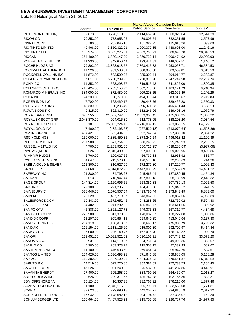|                          |               |                   | <b>Market Value - Canadian Dollars</b> |               |            |
|--------------------------|---------------|-------------------|----------------------------------------|---------------|------------|
|                          | <b>Shares</b> | <b>Fair Value</b> | <b>Public Service</b>                  | Teachers'     | Judges'    |
| RICHEMONT(CIE FIN)       | 59,673.00     | 3,728,110.03      | 2,114,667.70                           | 1,600,928.04  | 12,514.29  |
| RICOH CO                 | 79,353.00     | 773,953.05        | 439,003.54                             | 332,351.55    | 2,597.96   |
| <b>RINNAI CORP</b>       | 3,700.00      | 267,845.10        | 151,927.75                             | 115,018.26    | 899.09     |
| RIO TINTO LIMITED        | 49,468.00     | 3,350,322.01      | 1,900,377.85                           | 1,438,698.00  | 11,246.16  |
| RIO TINTO PLC            | 155,974.00    | 8,585,275.01      | 4,869,760.71                           | 3,686,695.78  | 28,818.53  |
| <b>RIOCAN</b>            | 254,400.00    | 6,880,147.00      | 3,850,732.14                           | 3,006,474.92  | 22,939.93  |
| ROBERT HALF INTL INC     | 11,330.00     | 342,650.44        | 193,441.81                             | 148,062.51    | 1,146.12   |
| ROCHE HLDGS AG           | 79,803.00     | 13,863,018.57     | 7,863,415.33                           | 5,953,068.71  | 46,534.53  |
| ROCKWELL AUTOMATION      | 11,326.00     | 901,530.31        | 508,955.00                             | 389,559.81    | 3,015.50   |
| ROCKWELL COLLINS INC     | 11,872.00     | 682,500.08        | 385,302.44                             | 294,914.77    | 2,282.87   |
| ROGERS COMMUNICATION     | 167,611.00    | 6,700,289.22      | 3,730,803.90                           | 2,947,247.58  | 22,237.74  |
| ROHM CO                  | 11,353.00     | 563,298.27        | 319,515.42                             | 241,892.00    | 1,890.85   |
| ROLLS-ROYCE HLDGS        | 212,424.00    | 2,755,156.93      | 1,562,786.86                           | 1,183,121.73  | 9,248.34   |
| ROMARCO MINERALS INC     | 384,000.00    | 372,480.00        | 209,208.25                             | 162,025.49    | 1,246.26   |
| <b>RONA INC</b>          | 94,200.00     | 880,770.00        | 494,010.44                             | 383,816.67    | 2,942.89   |
| ROPER INDS INC           | 7,700.00      | 762,460.17        | 430,443.56                             | 329,466.28    | 2,550.33   |
| ROSS STORES INC          | 18,200.00     | 1,056,286.49      | 596,321.93                             | 456,431.43    | 3,533.13   |
| ROWAN COS INC            | 9,815.00      | 322,819.00        | 182,246.06                             | 139,493.16    | 1,079.79   |
| ROYAL BANK CDA           | 373,555.00    | 21,587,747.00     | 12,039,953.43                          | 9,475,985.35  | 71,808.22  |
| ROYAL BK SCOT GRP        | 2,048,370.00  | 904,015.80        | 512,778.05                             | 388,203.20    | 3,034.54   |
| ROYAL DUTCH SHELL        | 716,107.00    | 25,063,224.48     | 14,216,039.12                          | 10,763,056.25 | 84,129.11  |
| ROYAL GOLD INC           | (7,400.00)    | (482, 193.63)     | (267, 520.13)                          | (213,079.64)  | (1,593.86) |
| <b>RSA INSURANCE GR</b>  | 414,421.00    | 692,404.96        | 392,747.64                             | 297,333.10    | 2,324.22   |
| <b>RSC HOLDINGS</b>      | 150,000.00    | 3,385,450.35      | 1,878,241.54                           | 1,496,018.42  | 11,190.39  |
| <b>RUBICON MINERALS</b>  | 207,900.00    | 677,754.00        | 380,241.92                             | 295,246.93    | 2,265.15   |
| RUSSEL METALS INC        | (44,700.00)   | (1,203,951.00)    | (660, 727.25)                          | (539, 286.69) | (3,937.06) |
| RWE AG (NEU)             | 59,526.00     | 2,815,489.88      | 1,597,009.06                           | 1,209,029.95  | 9,450.86   |
| <b>RYANAIR HLDGS</b>     | 2,760.00      | 100,027.56        | 56,737.88                              | 42,953.92     | 335.77     |
| <b>RYDER SYSTEMS INC</b> | 4,047.00      | 213,570.15        | 120,570.10                             | 92,285.69     | 714.36     |
| SABINA GOLD & SILVER     | 111,300.00    | 310,527.00        | 172,279.80                             | 137,220.77    | 1,026.43   |
| SABMILLER                | 107,668.00    | 4,314,072.90      | 2,447,038.99                           | 1,852,552.69  | 14,481.22  |
| SAFEWAY INC              | 21,380.00     | 434,798.23        | 245,463.44                             | 187,880.45    | 1,454.34   |
| <b>SAFRAN</b>            | 19,613.00     | 718,947.44        | 407,803.13                             | 308,730.99    | 2,413.32   |
| <b>SAGE GROUP</b>        | 244,814.00    | 1,169,996.51      | 658,351.83                             | 507,739.18    | 3,905.50   |
| SAIC INC                 | 22,100.00     | 291,236.65        | 164,416.38                             | 125,846.12    | 974.15     |
| SAINSBURY(J)             | 538,446.00    | 2,676,507.54      | 1,493,780.44                           | 1,173,843.49  | 8,883.60   |
| <b>SAIPEM</b>            | 29,229.00     | 1,487,719.37      | 843,867.82                             | 638,857.66    | 4,993.89   |
| SALESFORCE.COM           | 10,843.00     | 1,672,652.46      | 944,288.65                             | 722,769.02    | 5,594.80   |
| SALZGITTER AG            | 4,402.00      | 241,282.35        | 136,860.77                             | 103,611.66    | 809.92     |
| SAMPO OYJ                | 45,888.00     | 1,321,127.78      | 749,373.33                             | 567,319.77    | 4,434.68   |
| SAN GOLD CORP            | 223,500.00    | 317,370.00        | 178,082.07                             | 138,227.08    | 1,060.86   |
| <b>SANDISK CORP</b>      | 19,297.00     | 955,884.19        | 539,640.25                             | 413,046.64    | 3,197.30   |
| <b>SANDS CHINA LTD</b>   | 284,119.00    | 1,108,313.27      | 628,660.17                             | 475,932.79    | 3,720.32   |
| SANDVIK                  | 112,154.00    | 1,613,126.20      | 915,001.39                             | 692,709.97    | 5,414.84   |
| SANKYO CO                | 6,000.00      | 295,149.46        | 167,415.40                             | 126,743.32    | 990.74     |
| <b>SANOFI</b>            | 129,451.00    | 10,031,521.02     | 5,690,103.91                           | 4,307,743.92  | 33,673.20  |
| SANOMA OYJ               | 8,931.00      | 114,119.67        | 64,731.24                              | 49,005.36     | 383.07     |
| SANRIO CO                | 5,200.00      | 203,373.77        | 115,358.17                             | 87,332.93     | 682.67     |
| SANTEN PHARM. CO.        | 11,100.00     | 476,593.50        | 269,054.24                             | 205,944.75    | 1,594.51   |
| <b>SANTOS LIMITED</b>    | 104,426.00    | 1,536,693.21      | 871,646.88                             | 659,888.05    | 5,158.28   |
| SAP AG                   | 112,382.00    | 7,847,190.92      | 4,444,336.02                           | 3,376,541.87  | 26,313.03  |
| SAPUTO INC               | 14,519.00     | 627,220.80        | 352,382.62                             | 272,733.73    | 2,104.45   |
| <b>SARA LEE CORP</b>     | 47,226.00     | 1,021,240.83      | 576,537.05                             | 441,287.86    | 3,415.91   |
| SAVANNA ENERGY           | 77,400.00     | 605,268.00        | 338,790.66                             | 264,459.07    | 2,018.27   |
| SBI HOLDINGS INC         | 2,526.00      | 239,311.55        | 135,742.88                             | 102,765.36    | 803.31     |
| SBM OFFSHORE NV          | 20,124.00     | 410,357.38        | 232,763.92                             | 176,216.00    | 1,377.46   |
| <b>SCANA CORPORATION</b> | 51,100.00     | 2,346,115.60      | 1,305,791.71                           | 1,032,552.08  | 7,771.81   |
| <b>SCANIA</b>            | 37,623.00     | 779,690.18        | 442,257.77                             | 334,815.19    | 2,617.22   |
| SCHINDLER HOLDING AG     | 17,942.00     | 2,148,682.13      | 1,204,194.72                           | 937,335.07    | 7,152.34   |
| SCHLUMBERGER LTD         | 106,464.00    | 7,467,523.29      | 4,215,757.68                           | 3,226,787.76  | 24,977.85  |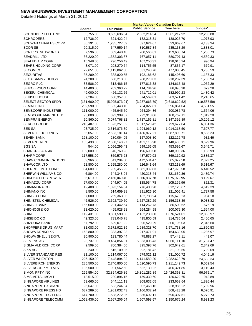|                               |               |                   | <b>Market Value - Canadian Dollars</b> |                |              |
|-------------------------------|---------------|-------------------|----------------------------------------|----------------|--------------|
|                               | <b>Shares</b> | <b>Fair Value</b> | <b>Public Service</b>                  | Teachers'      | Judges'      |
| <b>SCHNEIDER ELECTRIC</b>     | 55,755.00     | 3,635,636.34      | 2,062,214.54                           | 1,561,217.92   | 12,203.88    |
| <b>SCHRODERS</b>              | 12,736.00     | 321,422.94        | 182,318.31                             | 138,025.70     | 1,078.93     |
| <b>SCHWAB CHARLES CORP</b>    | 86,191.00     | 1,235,727.69      | 697,624.67                             | 533,969.67     | 4,133.34     |
| <b>SCOR SE</b>                | 20,315.00     | 547,559.14        | 310,587.84                             | 235,133.29     | 1,838.01     |
| <b>SCRIPPS NETWORKS</b>       | 7,596.00      | 369,440.48        | 208,566.01                             | 159,638.74     | 1,235.73     |
| <b>SEADRILL LTD</b>           | 36,220.00     | 1,352,303.87      | 767,057.11                             | 580,707.43     | 4,539.33     |
| <b>SEALED AIR CORP</b>        | 15,348.00     | 296,256.49        | 167,250.31                             | 128,015.24     | 990.94       |
| <b>SEARS HOLDING CORP</b>     | 3,071.00      | 203,270.64        | 114,755.55                             | 87,835.17      | 679.91       |
| <b>SECOM CO</b>               | 22,651.00     | 1,112,862.80      | 631,240.76                             | 477,886.45     | 3,735.59     |
| <b>SECURITAS</b>              | 35,289.00     | 338,820.55        | 192,186.62                             | 145,496.60     | 1,137.33     |
| <b>SEGA SAMMY HLDGS</b>       | 24,200.00     | 508,213.36        | 288,270.03                             | 218,237.39     | 1,705.94     |
| <b>SEGRO PLC</b>              | 83,586.00     | 313,486.15        | 177,816.38                             | 134,617.48     | 1,052.29     |
| SEIKO EPSON CORP              | 14,400.00     | 202,363.22        | 114,784.96                             | 86,898.98      | 679.28       |
| <b>SEKISUI CHEMICAL</b>       | 49,000.00     | 426,132.66        | 241,712.01                             | 182,990.23     | 1,430.42     |
| <b>SEKISUI HOUSE</b>          | 67,204.00     | 660,357.88        | 374,569.81                             | 283,571.42     | 2,216.65     |
| <b>SELECT SECTOR SPDR</b>     | (131,600.00)  | (5,925,873.91)    | (3,287,663.79)                         | (2,618,622.52) | (19, 587.59) |
| <b>SEMAFO INC</b>             | 259,590.00    | 1,365,443.40      | 764,027.81                             | 596,864.04     | 4,551.55     |
| SEMBCORP INDUSTRIE            | 111,000.00    | 465,945.70        | 264,294.86                             | 200,086.78     | 1,564.06     |
| <b>SEMBCORP MARINE LTD</b>    | 93,800.00     | 392,999.37        | 222,918.06                             | 168,762.11     | 1,319.20     |
| <b>SEMPRA ENERGY</b>          | 50,860.00     | 3,074,768.82      | 1,717,166.81                           | 1,347,392.89   | 10,209.12    |
| <b>SERCO GROUP</b>            | 210,407.00    | 1,823,251.82      | 1,017,523.42                           | 799,677.04     | 6,051.36     |
| <b>SES SA</b>                 | 93,735.00     | 2,316,876.39      | 1,294,960.12                           | 1,014,218.50   | 7,697.77     |
| <b>SEVEN &amp; I HOLDINGS</b> | 85,057.00     | 2,533,181.14      | 1,436,877.21                           | 1,087,800.71   | 8,503.23     |
| <b>SEVEN BANK</b>             | 128,100.00    | 280,064.05        | 157,008.80                             | 122,122.78     | 932.46       |
| <b>SEVERN TRENT</b>           | 105,430.00    | 2,600,148.97      | 1,451,115.90                           | 1,140,403.11   | 8,629.96     |
| <b>SGS SA</b>                 | 544.00        | 1,056,296.43      | 599,155.05                             | 453,595.67     | 3,545.71     |
| SHANGRI-LA ASIA               | 159,000.00    | 346,760.93        | 196,690.58                             | 148,906.36     | 1,163.99     |
| <b>SHARP CORP</b>             | 117,558.00    | 859,576.23        | 487,570.93                             | 369,119.92     | 2,885.37     |
| SHAW COMMUNICATIONS           | 39,966.00     | 841,284.30        | 472,584.47                             | 365,877.58     | 2,822.25     |
| <b>SHAWCOR LTD</b>            | 52,800.00     | 1,655,280.00      | 926,541.64                             | 723,218.69     | 5,519.67     |
| SHERRITT INTL CORP            | 354,609.00    | 1,935,455.92      | 1,081,089.83                           | 847,925.58     | 6,440.52     |
| SHERWIN WILLIAMS CO           | 6,864.00      | 744,348.04        | 420,218.44                             | 321,639.86     | 2,489.74     |
| SHIKOKU ELEC POWER            | 86,610.00     | 2,450,040.40      | 1,366,837.78                           | 1,075,072.95   | 8,129.67     |
| SHIMADZU CORP                 | 27,000.00     | 244,974.05        | 138,954.78                             | 105,196.96     | 822.31       |
| SHIMAMURA CO                  | 12,400.00     | 1,393,154.04      | 776,408.98                             | 612,125.67     | 4,619.39     |
| SHIMANO INC                   | 8,500.00      | 514,659.28        | 291,926.30                             | 221,005.41     | 1,727.58     |
| SHIMIZU CORP                  | 67,000.00     | 269,363.36        | 152,788.94                             | 115,670.23     | 904.18       |
| SHIN-ETSU CHEMICAL            | 46,526.00     | 2,692,739.50      | 1,527,382.29                           | 1,156,318.39   | 9,038.82     |
| SHINSEI BANK                  | 155,000.00    | 201,442.54        | 114,262.73                             | 86,503.62      | 676.19       |
| SHIONOGI & CO                 | 33,620.00     | 465,928.28        | 264,284.98                             | 200,079.30     | 1,564.00     |
| <b>SHIRE</b>                  | 119,431.00    | 3,851,590.58      | 2,162,230.60                           | 1,676,524.01   | 12,835.97    |
| SHISEIDO CO                   | 42,323.00     | 733,046.78        | 415,800.59                             | 314,785.54     | 2,460.65     |
| SHIZUOKA BANK                 | 67,792.00     | 699,071.92        | 396,529.29                             | 300,196.03     | 2,346.60     |
| SHOPPERS DRUG MART            | 81,083.00     | 3,572,922.39      | 1,989,328.70                           | 1,571,733.16   | 11,860.53    |
| SHOWA DENKO KK                | 168,800.00    | 383,397.93        | 217,471.91                             | 164,639.05     | 1,286.97     |
| SHOWA SHELL SEKIYU            | 20,900.00     | 133,780.44        | 75,883.27                              | 57,448.11      | 449.07       |
| <b>SIEMENS AG</b>             | 93,737.00     | 9,454,854.01      | 5,363,005.43                           | 4,060,111.10   | 31,737.47    |
| SIGMA ALDRICH CORP            | 9,599.00      | 700,384.06        | 395,398.76                             | 302,642.61     | 2,342.69     |
| <b>SIKA AG</b>                | 240.00        | 515,109.05        | 292,181.42                             | 221,198.55     | 1,729.09     |
| SILVER STANDARD RES           | 81,100.00     | 1,214,067.00      | 679,021.12                             | 531,000.72     | 4,045.16     |
| <b>SILVER WHEATON</b>         | 225,150.00    | 7,448,894.32      | 4,141,580.20                           | 3,282,628.79   | 24,685.34    |
| SILVERBIRCH ENERGY            | 285,500.00    | 2,740,800.00      | 1,520,590.73                           | 1,211,149.73   | 9,059.54     |
| SILVERCORP METALS             | 135,500.00    | 931,562.50        | 522,130.22                             | 406,321.85     | 3,110.43     |
| SIMON PPTY INC                | 225,554.00    | 32,824,626.86     | 16,301,282.89                          | 16,426,368.81  | 96,975.17    |
| <b>SIMS METAL MGMT</b>        | 18,515.00     | 280,896.15        | 159,330.60                             | 120,622.65     | 942.89       |
| SINGAPORE AIRLINES            | 63,665.00     | 544,111.13        | 308,632.05                             | 233,652.64     | 1,826.44     |
| SINGAPORE EXCHANGE            | 96,647.00     | 533,244.34        | 302,468.16                             | 228,986.22     | 1,789.96     |
| SINGAPORE PRESS HD            | 637,289.00    | 1,981,032.43      | 1,106,032.24                           | 868,423.28     | 6,576.91     |
| SINGAPORE TECH ENG            | 614,700.00    | 1,588,272.36      | 886,692.11                             | 696,307.51     | 5,272.73     |
| SINGAPORE TELECOMM            | 1,068,436.00  | 2,667,206.04      | 1,507,598.57                           | 1,150,676.24   | 8,931.23     |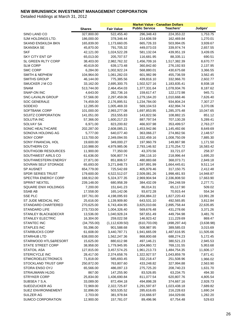|                           |               |                   | <b>Market Value - Canadian Dollars</b> |               |            |
|---------------------------|---------------|-------------------|----------------------------------------|---------------|------------|
|                           | <b>Shares</b> | <b>Fair Value</b> | <b>Public Service</b>                  | Teachers'     | Judges'    |
| SINO LAND CO              | 327,800.00    | 522,455.40        | 296,348.43                             | 224,353.22    | 1,753.75   |
| SJM HOLDINGS LTD.         | 186,000.00    | 378,346.44        | 214,606.59                             | 162,469.84    | 1,270.01   |
| <b>SKAND ENSKILDA BKN</b> | 165,839.00    | 1,173,660.05      | 665,726.33                             | 503,994.05    | 3,939.67   |
| SKANSKA SE                | 45,870.00     | 791,705.32        | 449,073.03                             | 339,974.74    | 2,657.55   |
| SKF                       | 42,121.00     | 1,024,522.28      | 581,132.04                             | 439,951.19    | 3,439.05   |
| SKY CITY ENT GP           | 65,013.00     | 205,707.57        | 116,681.95                             | 88,335.11     | 690.51     |
| SL GREEN RLTY CORP        | 38,403.00     | 2,982,762.32      | 1,456,709.16                           | 1,517,382.39  | 8,670.77   |
| <b>SLM CORP</b>           | 40,619.00     | 639,173.48        | 360,842.60                             | 276,192.93    | 2,137.95   |
| <b>SMC CORP</b>           | 6,284.00      | 1,002,922.24      | 568,880.01                             | 430,675.68    | 3,366.55   |
| <b>SMITH &amp; NEPHEW</b> | 104,964.00    | 1,061,282.03      | 601,982.99                             | 455,736.59    | 3,562.45   |
| SMITHS GROUP              | 46,144.00     | 775,385.56        | 439,816.10                             | 332,966.70    | 2,602.77   |
| SMUCKER J M CO            | 33,162.00     | 2,695,300.75      | 1,502,527.16                           | 1,183,835.41  | 8,938.18   |
| <b>SNAM</b>               | 513,744.00    | 2,464,454.03      | 1,377,331.64                           | 1,078,934.76  | 8,187.62   |
| SNAP-ON INC               | 4,643.00      | 282,736.16        | 159,617.47                             | 122,172.98    | 945.71     |
| SNC-LAVALIN GROUP         | 57,566.00     | 2,297,459.06      | 1,279,164.20                           | 1,010,668.46  | 7,626.40   |
| <b>SOC GENERALE</b>       | 74,459.00     | 2,176,895.51      | 1,234,784.00                           | 934,804.24    | 7,307.27   |
| SODEXO                    | 12,285.00     | 1,005,469.33      | 569,104.53                             | 432,994.74    | 3,370.06   |
| SOFTBANK CORP             | 101,000.00    | 2,993,277.08      | 1,697,853.95                           | 1,285,375.48  | 10,047.65  |
| <b>SOJITZ CORPORATION</b> | 141,051.00    | 253,555.83        | 143,822.56                             | 108,882.15    | 851.12     |
| SOLUTIA INC               | 57,366.00     | 1,600,217.23      | 887,797.54                             | 707,130.28    | 5,289.41   |
| <b>SOLVAY SA</b>          | 6,971.00      | 823,200.82        | 466,937.98                             | 353,499.57    | 2,763.27   |
| SONIC HEALTHCARE          | 202,287.00    | 2,608,085.21      | 1,453,942.86                           | 1,145,492.66  | 8,649.69   |
| SONOVA HOLDING AG         | 5,777.00      | 640,077.40        | 363,066.27                             | 274,862.56    | 2,148.57   |
| <b>SONY CORP</b>          | 113,700.00    | 2,349,094.55      | 1,332,459.16                           | 1,008,750.09  | 7,885.30   |
| SONY FINANCIAL HOL        | 19,600.00     | 349,000.27        | 197,960.79                             | 149,867.98    | 1,171.50   |
| SOUTHERN CO               | 110,988.00    | 4,979,985.06      | 2,793,146.92                           | 2,170,254.72  | 16,583.42  |
| SOUTHGOBI RESOURCES       | 11,900.00     | 77,350.00         | 43,370.56                              | 33,721.07     | 258.37     |
| SOUTHWEST AIRLS CO        | 61,636.00     | 506,807.74        | 286,116.10                             | 218,996.44    | 1,695.20   |
| SOUTHWESTERN ENERGY       | 27,871.00     | 851,806.57        | 480,883.68                             | 368,073.71    | 2,849.18   |
| SOVRAN SELF STORAGE       | 65,693.00     | 3,271,848.73      | 1,597,891.99                           | 1,664,445.61  | 9,511.14   |
| <b>SP AUSNET</b>          | 654,779.00    | 725,542.69        | 405,979.46                             | 317,150.75    | 2,412.48   |
| <b>SPDR SERIES TRUST</b>  | 179,600.00    | 4,522,512.07      | 2,509,081.26                           | 1,998,481.93  | 14,948.87  |
| SPECTRA ENERGY CORP       | 168,912.00    | 5,324,377.35      | 2,969,904.94                           | 2,336,808.50  | 17,663.90  |
| SPRINT NEXTEL             | 239,148.00    | 680,958.39        | 384,432.09                             | 294,248.59    | 2,277.71   |
| SQUARE ENIX HOLDINGS      | 7,200.00      | 151,641.23        | 86,014.31                              | 65,117.90     | 509.02     |
| <b>SSAB AB</b>            | 17,558.00     | 165,142.06        | 93,672.28                              | 70,915.44     | 554.34     |
| <b>SSE PLC</b>            | 197,761.00    | 4,198,095.93      | 2,356,884.22                           | 1,827,220.43  | 13,991.28  |
| ST JUDE MEDICAL INC       | 25,616.00     | 1,139,909.80      | 643,531.10                             | 492,565.85    | 3,812.84   |
| STANDARD CHARTERED        | 270,625.00    | 6,743,404.95      | 3,825,010.66                           | 2,895,758.44  | 22,635.85  |
| STANDARD LIFE             | 273,733.00    | 1,004,326.40      | 569,676.48                             | 431,278.66    | 3,371.26   |
| STANLEY BLACK&DECKR       | 13,536.00     | 1,040,928.24      | 587,651.49                             | 449,794.98    | 3,481.76   |
| <b>STANLEY ELECTRIC</b>   | 16,304.00     | 259,022.58        | 146,923.42                             | 111,229.69    | 869.47     |
| <b>STANTEC INC</b>        | (34,755.00)   | (1, 112, 639.50)  | (610, 703.09)                          | (498, 297.44) | (3,638.98) |
| <b>STAPLES INC</b>        | 55,396.00     | 901,588.68        | 508,987.95                             | 389,585.03    | 3,015.69   |
| <b>STARBUCKS CORP</b>     | 61,608.00     | 3,440,787.71      | 1,941,665.09                           | 1,487,616.95  | 11,505.66  |
| <b>STARHUB LTD</b>        | 638,000.00    | 1,562,247.36      | 868,800.68                             | 688,274.23    | 5,172.45   |
| STARWOOD HTLS&RESORT      | 15,625.00     | 880,612.98        | 497,146.21                             | 380,521.23    | 2,945.53   |
| STATE STREET CORP         | 38,958.00     | 1,779,945.95      | 1,004,860.72                           | 769,131.55    | 5,953.68   |
| <b>STATOIL ASA</b>        | 127,815.00    | 3,457,574.25      | 1,961,213.73                           | 1,484,754.35  | 11,606.17  |
| STERICYCLE INC            | 28,417.00     | 2,374,658.76      | 1,322,927.57                           | 1,043,859.78  | 7,871.41   |
| <b>STMICROELECTRONICS</b> | 71,818.00     | 585,693.45        | 332,218.47                             | 251,508.96    | 1,966.02   |
| STOCKLAND TRUST GRP       | 250,872.00    | 763,807.60        | 433,248.82                             | 327,994.88    | 2,563.90   |
| STORA ENSO OYJ            | 65,566.00     | 486,097.13        | 275,725.20                             | 208,740.23    | 1,631.70   |
| STRAUMANN HLDG            | 867.00        | 147,255.90        | 83,526.85                              | 63,234.75     | 494.30     |
| <b>STRYKER CORP</b>       | 25,834.00     | 1,436,690.84      | 811,077.54                             | 620,807.76    | 4,805.54   |
| SUBSEA 7 S.A.             | 33,089.00     | 872,494.18        | 494,898.28                             | 374,667.16    | 2,928.73   |
| SUEDZUCKER AG             | 72,969.00     | 2,322,725.87      | 1,291,597.87                           | 1,023,438.18  | 7,689.82   |
| SUEZ ENVIRONNEMENT        | 32,896.00     | 503,535.52        | 285,616.65                             | 216,228.63    | 1,690.24   |
| SULZER AG                 | 2,703.00      | 381,978.84        | 216,666.97                             | 164,029.66    | 1,282.20   |
| SUMCO CORPORATION         | 12,900.00     | 157,781.07        | 89,496.96                              | 67,754.48     | 529.63     |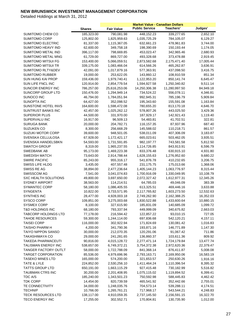|                              |                       |                   | <b>Market Value - Canadian Dollars</b> |                          |           |
|------------------------------|-----------------------|-------------------|----------------------------------------|--------------------------|-----------|
|                              | <b>Shares</b>         | <b>Fair Value</b> | <b>Public Service</b>                  | Teachers'                | Judges'   |
| SUMITOMO CHEM CO             | 185,323.00            | 790,081.98        | 448,152.23                             | 339,277.65               | 2,652.10  |
| <b>SUMITOMO CORP</b>         | 125,802.00            | 1,825,959.63      | 1,035,725.29                           | 784,105.07               | 6,129.27  |
| SUMITOMO ELECTRIC            | 81,337.00             | 1,115,367.05      | 632,661.23                             | 478,961.83               | 3,744.00  |
| SUMITOMO HEAVY IND           | 62,600.00             | 349,758.18        | 198,390.69                             | 150,193.44               | 1,174.05  |
| SUMITOMO METAL IND           | 396,117.00            | 798,669.85        | 453,023.47                             | 342,965.46               | 2,680.93  |
| SUMITOMO METAL MNG           | 61,729.00             | 869,727.00        | 493,328.68                             | 373,478.88               | 2,919.45  |
| <b>SUMITOMO MITSUI FG</b>    | 153,400.00            | 5,066,059.51      | 2,873,582.68                           | 2,175,471.40             | 17,005.44 |
| SUMITOMO MITSUI TR           | 339,175.00            | 1,083,466.04      | 614,566.26                             | 465,262.87               | 3,636.91  |
| <b>SUMITOMO RLTY&amp;DEV</b> | 42,091.00             | 1,017,879.16      | 577,363.91                             | 437,098.50               | 3,416.75  |
| <b>SUMITOMO RUBBER</b>       | 19,000.00             | 253,622.05        | 143,860.12                             | 108,910.59               | 851.34    |
| SUN HUNG KAI PROP            | 159,436.00            | 1,979,740.41      | 1,122,953.20                           | 850,141.74               | 6,645.47  |
| SUN LIFE FNCL INC            | 120,914.00            | 2,854,779.54      | 1,594,927.58                           | 1,250,340.82             | 9,511.14  |
| SUNCOR ENERGY INC            | 786,257.00            | 25,616,253.06     | 14,250,306.38                          | 11,280,997.50            | 84,949.18 |
| SUNCORP GROUP LTD            | 150,476.00            | 1,294,949.14      | 734,524.22                             | 556,078.11               | 4,346.81  |
| SUNOCO INC                   | 46,794.00             | 1,784,051.94      | 992,945.31                             | 785,196.79               | 5,909.84  |
| <b>SUNOPTA INC</b>           | 64,427.00             | 352,098.52        | 195,343.60                             | 155,591.08               | 1,163.84  |
| SUNSTONE HOTEL INVS          | 164,600.00            | 1,598,472.08      | 780,655.20                             | 813,170.18               | 4,646.70  |
| SUNTRUST BANKS INC           | 42,457.00             | 1,025,262.12      | 578,807.26                             | 443,025.50               | 3,429.36  |
| <b>SUPERIOR PLUS</b>         | 44,500.00             | 331,970.00        | 187,929.17                             | 142,921.43               | 1,119.40  |
| SUPERVALU INC                | 16,917.00             | 96,509.13         | 54,483.81                              | 41,702.51                | 322.81    |
| <b>SURUGA BANK</b>           |                       | 204,782.71        |                                        | 87,937.96                | 687.40    |
| <b>SUZUKEN CO</b>            | 20,000.00<br>8,300.00 | 256,668.29        | 116,157.35<br>145,588.02               | 110,218.71               | 861.57    |
| SUZUKI MOTOR CORP            |                       |                   |                                        |                          |           |
|                              | 39,600.00             | 948,501.05        | 538,011.09<br>665,023.61               | 407,306.09<br>503,462.05 | 3,183.87  |
| SVENSKA CELLULOSA            | 67,928.00             | 1,172,421.17      |                                        |                          | 3,935.51  |
| SVENSKA HANDELSBKN           | 54,593.00             | 1,731,591.85      | 982,197.77                             | 743,581.58               | 5,812.50  |
| <b>SWATCH GROUP</b>          | 8,319.00              | 1,965,237.55      | 1,114,726.85                           | 843,913.91               | 6,596.79  |
| SWEDBANK AB                  | 95,173.00             | 1,469,223.38      | 833,376.48                             | 630,915.10               | 4,931.80  |
| <b>SWEDISH MATCH</b>         | 73,643.00             | 2,914,788.44      | 1,628,155.63                           | 1,276,952.60             | 9,680.22  |
| <b>SWIRE PACIFIC</b>         | 85,243.00             | 955,316.17        | 541,876.78                             | 410,232.65               | 3,206.75  |
| SWISS LIFE HLDG              | 3,435.00              | 407,557.48        | 231,175.75                             | 175,013.66               | 1,368.06  |
| SWISS RE AG                  | 38,894.00             | 2,477,236.64      | 1,405,144.23                           | 1,063,776.97             | 8,315.44  |
| SWISSCOM AG                  | 7,541.00              | 3,041,074.83      | 1,700,916.09                           | 1,330,049.95             | 10,108.79 |
| <b>SXC HEALTH SOLUTIONS</b>  | 49,800.00             | 3,697,650.00      | 2,072,327.42                           | 1,612,977.31             | 12,345.26 |
| <b>SYDNEY AIRPORT</b>        | 38,563.00             | 114,214.51        | 64,785.03                              | 49,046.09                | 383.39    |
| SYMANTEC CORP                | 58,180.00             | 1,086,405.55      | 613,325.51                             | 469,446.16               | 3,633.88  |
| <b>SYNGENTA</b>              | 10,822.00             | 3,733,571.95      | 2,117,765.82                           | 1,603,273.50             | 12,532.63 |
| SYNTHES INC                  | 28,477.00             | 4,928,003.18      | 2,749,262.90                           | 2,162,388.25             | 16,352.03 |
| SYSCO CORP                   | 109,851.00            | 3,275,003.68      | 1,830,522.88                           | 1,433,600.64             | 10,880.15 |
| <b>SYSMEX CORP</b>           | 8,100.00              | 327,615.90        | 185,831.09                             | 140,685.09               | 1,099.72  |
| T&D HOLDINGS INC             | 68,180.00             | 793,337.94        | 449,999.09                             | 340,675.82               | 2,663.03  |
| <b>TABCORP HOLDINGS LTD</b>  | 77,178.00             | 216,594.42        | 122,857.22                             | 93,010.15                | 727.05    |
| <b>TAHOE RESOURCES</b>       | 59,300.00             | 1,244,114.00      | 697,836.68                             | 542,120.21               | 4,157.11  |
| <b>TAISEI CORP</b>           | 116,000.00            | 302,922.94        | 171,824.69                             | 130,081.42               | 1,016.83  |
| <b>TAISHO PHARM H</b>        | 4,200.00              | 341,790.36        | 193,871.16                             | 146,771.89               | 1,147.30  |
| <b>TAIYO NIPPON SANSO</b>    | 30,000.00             | 212,070.35        | 120,291.06                             | 91,067.42                | 711.86    |
| TAKASHIMAYA CO               | 29,000.00             | 241,281.65        | 136,860.37                             | 103,611.36               | 809.92    |
| <b>TAKEDA PHARMACEUTI</b>    | 90,816.00             | 4,015,128.72      | 2,277,471.14                           | 1,724,179.84             | 13,477.74 |
| TALISMAN ENERGY INC          | 538,657.00            | 6,749,372.21      | 3,754,372.38                           | 2,972,620.36             | 22,379.47 |
| TANGER FACTORY OUTLT         | 58,000.00             | 1,722,788.09      | 841,368.14                             | 876,411.87               | 5,008.08  |
| <b>TARGET CORPORATION</b>    | 85,536.00             | 4,979,696.96      | 2,793,163.71                           | 2,169,950.06             | 16,583.19 |
| <b>TASEKO MINES LTD</b>      | 165,000.00            | 574,200.00        | 321,653.57                             | 250,630.26               | 1,916.16  |
| TATE & LYLE                  | 224,852.00            | 2,530,256.10      | 1,411,464.24                           | 1,110,396.54             | 8,395.32  |
| <b>TATTS GROUP LTD</b>       | 650,191.00            | 1,663,115.29      | 927,415.48                             | 730,182.99               | 5,516.82  |
| TAUBMAN CTRS INC             | 30,200.00             | 2,201,408.95      | 1,075,115.02                           | 1,119,894.52             | 6,399.41  |
| TDC A/S                      | 185,240.00            | 1,343,501.23      | 750,592.98                             | 588,445.83               | 4,462.42  |
| <b>TDK CORP</b>              | 14,454.00             | 820,739.59        | 465,541.92                             | 352,442.66               | 2,755.01  |
| TE CONNECTIVITY              | 34,000.00             | 1,248,035.76      | 704,573.14                             | 539,288.11               | 4,174.51  |
| <b>TECHNIP</b>               | 10,766.00             | 1,265,761.21      | 717,968.17                             | 543,544.21               | 4,248.83  |
| <b>TECK RESOURCES LTD</b>    | 138,117.00            | 4,910,059.35      | 2,737,145.50                           | 2,156,591.15             | 16,322.70 |
| TECO ENERGY INC              | 17,255.00             | 302,552.71        | 170,804.81                             | 130,735.90               | 1,012.00  |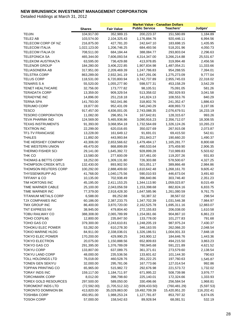|                                  |                        |                            | <b>Market Value - Canadian Dollars</b> |                            |                      |
|----------------------------------|------------------------|----------------------------|----------------------------------------|----------------------------|----------------------|
|                                  | <b>Shares</b>          | <b>Fair Value</b>          | <b>Public Service</b>                  | <b>Teachers'</b>           | Judges'              |
| <b>TEIJIN</b>                    | 104,917.00             | 352,989.15                 | 200,223.37                             | 151,580.89                 | 1,184.89             |
| TELE2 AB                         | 103,574.00             | 2,104,325.43               | 1,176,884.76                           | 920,446.11                 | 6,994.56             |
| TELECOM CORP OF NZ               | 216,875.00             | 427,781.20                 | 242,647.10                             | 183,698.15                 | 1,435.95             |
| <b>TELECOM ITALIA</b>            | 1,022,123.00           | 1,206,746.25               | 684,493.56                             | 518,201.96                 | 4,050.73             |
| TELECOM ITALIA DI                | 708,511.00             | 684,184.44                 | 388,084.77                             | 293,803.04                 | 2,296.63             |
| <b>TELEFONICA SA</b>             | 465,344.00             | 7,606,093.54               | 4,314,347.00                           | 3,266,214.88               | 25,531.67            |
| <b>TELEKOM AUSTRIA(TA</b>        | 63,595.00              | 736,429.88                 | 413,978.85                             | 319,994.48                 | 2,456.56             |
| <b>TELENOR GROUP</b>             | 184,280.00             | 3,406,222.85               | 1,907,834.98                           | 1,487,054.21               | 11,333.66            |
| <b>TELIASONERA AB</b>            | 317,951.00             | 2,209,469.39               | 1,247,786.83                           | 954,288.55                 | 7,394.01             |
| <b>TELSTRA CORP</b>              | 863,289.00             | 2,932,341.19               | 1,647,291.06                           | 1,275,273.09               | 9,777.04             |
| <b>TELUS CORP</b>                | 118,531.00             | 6,720,800.94               | 3,742,737.89                           | 2,955,745.03               | 22,318.02            |
| <b>TENARIS S A</b>               | 55,520.00              | 1,055,277.90               | 598,577.31                             | 453,158.29                 | 3,542.29             |
| TENET HEALTHCARE                 | 32,756.00              | 173,777.82                 | 98,105.51                              | 75,091.05                  | 581.26               |
| <b>TERADATA CORP</b>             | 13,359.00              | 909,329.54                 | 513,358.02                             | 392,929.93                 | 3,041.58             |
| <b>TERADYNE INC</b>              | 14,896.00              | 251,218.18                 | 141,824.13                             | 108,553.76                 | 840.29               |
| <b>TERNA SPA</b>                 | 141,793.00             | 562,041.86                 | 318,802.76                             | 241,352.47                 | 1,886.63             |
| <b>TERUMO CORP</b>               | 19,877.00              | 952,431.09                 | 540,240.29                             | 408,993.73                 | 3,197.06             |
| <b>TESCO</b>                     | 917,457.00             | 4,836,001.05               | 2,743,088.35                           | 2,076,679.51               | 16,233.19            |
| <b>TESORO CORPORATION</b>        | 11,082.00              | 296,951.74                 | 167,642.81                             | 128,315.67                 | 993.26               |
| TEVA PHARMA IND                  | 124,569.00             | 5,465,936.86               | 3,090,916.23                           | 2,356,712.07               | 18,308.55            |
| <b>TEXAS INSTRUMENTS</b>         | 91,393.00              | 3,068,954.18               | 1,732,564.69                           | 1,326,124.26               | 10,265.23            |
| <b>TEXTRON INC</b>               | 22,299.00              | 620,016.65                 | 350,027.69                             | 267,915.08                 | 2,073.87             |
| TF1-TV FRANCAISE                 | 13,228.00              | 161,649.12                 | 91,691.01                              | 69,415.50                  | 542.61               |
| <b>THALES</b>                    | 11,892.00              | 443,993.84                 | 251,843.27                             | 190,660.20                 | 1,490.37             |
| THE HERSHEY COMPANY              | 43,306.00              | 2,653,566.62               | 1,479,484.17                           | 1,165,281.77               | 8,800.68             |
| THE WESTERN UNION                | 49,470.00              | 868,899.89                 | 490,533.64                             | 375,459.90                 | 2,906.35             |
| THERMO FISHER SCI                | 29,141.00              | 1,645,392.72               | 928,899.28                             | 710,989.83                 | 5,503.62             |
| THK CO                           | 13,580.00              | 277,600.09                 | 157,461.00                             | 119,207.26                 | 931.83               |
| THOMAS & BETTS CORP              | 18,252.00              | 1,309,131.80               | 726,303.88                             | 578,500.67                 | 4,327.25             |
| <b>THOMPSON CREEK MTLS</b>       | 132,430.00             | 893,902.50                 | 501,051.17                             | 389,866.48                 | 2,984.86             |
| THOMSON REUTERS CORP             | 100,292.00             | 2,888,409.60               | 1,610,642.48                           | 1,268,161.70               | 9,605.42             |
| THYSSENKRUPP AG                  | 41,768.00              | 1,040,175.56               | 590,010.93                             | 446,673.04                 | 3,491.60             |
| <b>TIFFANY &amp; CO</b>          | 10,135.00              | 702,938.49                 | 396,840.86                             | 303,746.40                 | 2,351.23             |
| TIM HORTONS INC                  | 45,195.00              | 2,411,153.25               | 1,344,113.90                           | 1,059,023.87               | 8,015.49             |
| <b>TIME WARNER CABLE</b>         | 25,100.00              | 2,043,056.59               | 1,153,398.68                           | 882,824.16                 | 6,833.75             |
| TIME WARNER INC                  | 77,379.00              | 2,918,428.30               | 1,647,585.96                           | 1,261,080.59               | 9,761.75             |
| <b>TITANIUM METALS CORP</b>      | 6,588.00               | 89,252.88                  | 50,387.32                              | 38,567.02                  | 298.54               |
| TJX COMPANIES INC                | 60,186.00              | 2,387,233.75               | 1,347,702.39                           | 1,031,546.38               | 7,984.97             |
| TMX GROUP INC                    | 86,400.00              | 3,870,720.00               | 2,162,525.78                           | 1,695,311.16               | 12,883.07            |
| TNT EXPRESS NV                   | 38,945.00              | 479,804.40                 | 272,155.83                             | 206,038.00                 | 1,610.58             |
| <b>TOBU RAILWAY CO</b>           | 388,308.00             | 2,065,789.99               | 1,154,061.66                           | 904,867.10                 | 6,861.23<br>791.68   |
| TOHO CO(FILM)                    | 12,800.00              | 235,847.50                 | 133,778.00<br>1,248,205.19             | 101,277.83                 |                      |
| TOHO GAS CO<br>TOHOKU ELEC POWER | 379,300.00             | 2,243,610.81               |                                        | 987,975.24                 | 7,430.37             |
| <b>TOKIO MARINE HLDG</b>         | 53,282.00<br>84,911.00 | 610,278.30<br>2,338,036.01 | 346,163.55<br>1,326,186.51             | 262,066.20<br>1,004,001.33 | 2,048.54<br>7,848.18 |
| <b>TOKYO ELEC POWER</b>          | 170,200.00             | 429,990.25                 | 243,900.12                             | 184,646.76                 | 1,443.36             |
| TOKYO ELECTRON                   | 20,075.00              | 1,150,888.56               | 652,809.83                             | 494,215.50                 | 3,863.23             |
| TOKYO GAS CO                     | 291,395.00             | 1,376,789.09               | 780,945.68                             | 591,221.89                 | 4,621.52             |
| <b>TOKYU CORP</b>                | 133,807.00             | 637,089.75                 | 361,371.61                             | 273,579.60                 | 2,138.54             |
| <b>TOKYU LAND CORP</b>           | 48,000.00              | 235,536.56                 | 133,601.62                             | 101,144.30                 | 790.63               |
| TOLL HOLDINGS LTD                | 76,018.00              | 460,528.76                 | 261,222.25                             | 197,760.63                 | 1,545.87             |
| TONEN GEN SEKIYU                 | 32,000.00              | 295,781.06                 | 167,773.66                             | 127,014.54                 | 992.86               |
| <b>TOPPAN PRINTING CO</b>        | 65,965.00              | 515,982.72                 | 292,676.98                             | 221,573.72                 | 1,732.02             |
| TORAY INDS INC                   | 159,117.00             | 1,184,711.97               | 671,995.22                             | 508,739.98                 | 3,976.77             |
| <b>TORCHMARK CORP</b>            | 8,012.00               | 398,798.60                 | 225,140.01                             | 172,324.66                 | 1,333.93             |
| <b>TOREX GOLD RESOURCES</b>      | 297,500.00             | 589,050.00                 | 330,496.66                             | 256,584.54                 | 1,968.81             |
| <b>TOROMONT INDS LTD</b>         | (72, 592.00)           | (1,705,512.32)             | (939, 433.50)                          | (760, 481.29)              | (5,597.53)           |
| TORONTO DOMINION BK              | 413,820.00             | 35,029,863.00              | 19,492,709.39                          | 15,420,951.20              | 116,202.41           |
| <b>TOSHIBA CORP</b>              | 450,951.00             | 1,988,253.24               | 1,127,781.87                           | 853,797.32                 | 6,674.05             |
| <b>TOSOH CORP</b>                | 57,000.00              | 158,542.63                 | 89,928.94                              | 68,081.51                  | 532.19               |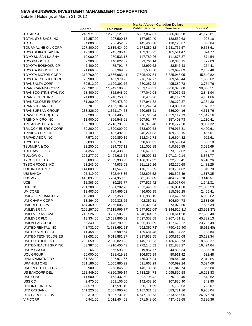|                                    |               |                   | <b>Market Value - Canadian Dollars</b> |                  |                       |
|------------------------------------|---------------|-------------------|----------------------------------------|------------------|-----------------------|
|                                    | <b>Shares</b> | <b>Fair Value</b> | <b>Public Service</b>                  | Teachers'        | Judges'               |
| <b>TOTAL SA</b>                    | 240,971.00    | 12,265,121.09     | 6,957,052.01                           | 5,266,898.28     | 41,170.81             |
| TOTAL SYS SVCS INC                 | 12,857.00     | 297,500.13        | 167,952.40                             | 128,552.63       | 995.10                |
| <b>TOTO</b>                        | 34,000.00     | 256,452.09        | 145,465.38                             | 110,125.87       | 860.84                |
| <b>TOURMALINE OIL CORP</b>         | 127,800.00    | 2,815,434.00      | 1,574,289.82                           | 1,231,765.57     | 9,378.61              |
| <b>TOYO SEIKAN KAISHA</b>          | 17,100.00     | 245,706.46        | 139,370.22                             | 105,511.47       | 824.77                |
| <b>TOYO SUISAN KAISHA</b>          | 10,000.00     | 260,533.17        | 147,780.26                             | 111,878.37       | 874.54                |
| <b>TOYODA GOSEI</b>                | 7,200.00      | 140,622.32        | 79,764.14                              | 60,386.15        | 472.03                |
| TOYOTA BOSHOKU CP                  | 6,400.00      | 75,791.47         | 42,990.62                              | 32,546.43        | 254.41                |
| <b>TOYOTA INDUSTRIES</b>           | 21,066.00     | 637,369.87        | 361,530.50                             | 273,699.89       | 2,139.48              |
| <b>TOYOTA MOTOR CORP</b>           | 313,760.00    | 13,566,983.41     | 7,695,497.54                           | 5,825,945.05     | 45,540.82             |
| <b>TOYOTA TSUSHO CORP</b>          | 23,900.00     | 487,979.23        | 276,792.77                             | 209,548.44       | 1,638.02              |
| <b>TRANSALTA CORP</b>              | 59,512.00     | 1,129,392.76      | 630,257.22                             | 495,380.78       | 3,754.76              |
| <b>TRANSCANADA CORP</b>            | 276,282.00    | 11,949,196.50     | 6,653,140.31                           | 5,256,396.08     | 39,660.11             |
| TRANSCONTINENTAL INC               | 68,400.00     | 852,948.00        | 477,049.08                             | 373,056.98       | 2,841.94              |
| <b>TRANSFORCE INC</b>              | 74,000.00     | 1,248,750.00      | 698,475.96                             | 546,112.99       | 4,161.06              |
| <b>TRANSGLOBE ENERGY</b>           | 81,300.00     | 980,478.00        | 547,941.32                             | 429,272.37       | 3,264.30              |
| <b>TRANSOCEAN LTD</b>              | 38,701.00     | 2,107,184.84      | 1,195,242.54                           | 904,869.03       | 7,073.27              |
| <b>TRANSURBAN GROUP</b>            | 233,826.00    | 1,351,174.53      | 760,658.61                             | 586,004.16       | 4,511.76              |
| <b>TRAVELERS CO(THE)</b>           | 59,200.00     | 3,501,485.83      | 1,960,720.94                           | 1,529,117.73     |                       |
| <b>TREND MICRO INC</b>             | 11,900.00     | 366,548.91        | 207,914.77                             | 157,403.73       | 11,647.16<br>1,230.41 |
| <b>TRICAN WELL SERVICE</b>         | 185,700.00    | 2,716,791.00      |                                        | 1,190,777.20     | 9,037.32              |
|                                    |               |                   | 1,516,976.48                           |                  |                       |
| TRILOGY ENERGY CORP                | 50,200.00     | 1,320,009.00      | 738,692.58                             | 576,915.81       | 4,400.61              |
| <b>TRINIDAD DRILLING</b>           | 67,100.00     | 437,492.00        | 246,271.83                             | 189,753.15       | 1,467.01              |
| <b>TRIPADVISOR INC</b><br>TRYG A/S | 7,572.00      | 269,850.16        | 152,342.73<br>90,603.31                | 116,604.82       | 902.61                |
|                                    | 2,838.00      | 159,731.53        |                                        | 68,592.04        | 536.18                |
| <b>TSUMURA &amp; CO</b>            | 32,200.00     | 934,737.12        | 521,006.88                             | 410,630.55       | 3,099.69              |
| TUI TRAVEL PLC                     | 54,356.00     | 170,433.33        | 96,673.61                              | 73,187.62        | 572.10                |
| <b>TULLOW OIL</b>                  | 102,277.00    | 2,494,616.24      | 1,415,002.33                           | 1,071,240.14     | 8,373.77              |
| TYCO INTL LTD                      | 36,800.00     | 2,065,930.99      | 1,166,312.32                           | 892,708.41       | 6,910.26              |
| <b>TYSON FOODS INC</b>             | 23,243.00     | 444,935.08        | 251,186.16                             | 192,260.68       | 1,488.25              |
| <b>UBE INDUSTRIES</b>              | 114,000.00    | 311,546.65        | 176,716.25                             | 133,784.62       | 1,045.78              |
| <b>UBI BANCA</b>                   | 95,419.00     | 392,448.36        | 222,605.52                             | 168,525.49       | 1,317.35              |
| <b>UBS AG</b>                      | 413,895.00    | 5,784,950.62      | 3,281,353.85                           | 2,484,178.20     | 19,418.57             |
| <b>UCB</b>                         | 11,366.00     | 489,256.77        | 277,517.42                             | 210,097.04       | 1,642.31              |
| UDR INC                            | 281,200.00    | 7,501,282.76      | 3,663,445.53                           | 3,816,031.30     | 21,805.93             |
| <b>UMICORE</b>                     | 13,403.00     | 734,466.62        | 416,605.95                             | 315,395.25       | 2,465.41              |
| UNIBAIL-RODAMCO SE                 | 10,308.00     | 2,057,358.89      | 1,166,980.15                           | 883,472.73       | 6,906.02              |
| <b>UNI-CHARM CORP</b>              | 13,364.00     | 709,338.65        | 402,352.81                             | 304,604.78       | 2,381.06              |
| UNICREDIT SPA                      | 454,469.00    | 2,266,006.83      | 1,285,329.94                           | 973,070.50       | 7,606.39              |
| UNILEVER N.V                       | (209, 297.00) | (7, 115, 966.77)  | (3,947,925.09)                         | (3, 144, 520.31) | (23, 521.37)          |
| UNILEVER NV CVA                    | 242,526.00    | 8,236,506.65      | 4,648,344.67                           | 3,560,611.58     | 27,550.40             |
| UNILEVER PLC                       | 413,334.00    | 13,639,866.02     | 7,627,052.58                           | 5,967,481.31     | 45,332.13             |
| UNION PAC CORP                     | 66,340.00     | 7,146,789.29      | 4,005,380.59                           | 3,117,622.22     | 23,786.49             |
| UNITED RENTAL INC                  | (41, 732.00)  | (1,788,691.53)    | (992, 362.73)                          | (790, 416.40)    | (5,912.40)            |
| UNITED STATES STL                  | 11,458.00     | 335,989.64        | 189,681.48                             | 145,184.32       | 1,123.84              |
| UNITED TECHNOLOGIES                | 72,652.00     | 6,018,881.97      | 3,397,933.55                           | 2,600,816.08     | 20,132.34             |
| UNITED UTILITIES G                 | 269,659.00    | 2,590,820.23      | 1,445,733.23                           | 1,136,488.73     | 8,598.27              |
| UNITEDHEALTH GRP INC               | 83,387.00     | 4,910,406.43      | 2,772,148.52                           | 2,121,833.27     | 16,424.64             |
| <b>UNUM GROUP</b>                  | 23,166.00     | 566,593.29        | 319,867.77                             | 244,830.34       | 1,895.18              |
| <b>UOL GROUP</b>                   | 50,000.00     | 188,419.89        | 106,875.99                             | 80,911.42        | 632.48                |
| UPM-KYMMENE OY                     | 61,722.00     | 837,971.67        | 475,316.34                             | 359,842.48       | 2,812.85              |
| <b>URANIUM ONE</b>                 | 381,186.00    | 1,055,885.22      | 591,668.29                             | 460,692.24       | 3,524.69              |
| <b>URBAN OUTFITTERS</b>            | 8,900.00      | 258,845.83        | 146,130.28                             | 111,849.74       | 865.80                |
| US BANCORP DEL                     | 152,449.00    | 4,850,369.14      | 2,738,254.73                           | 2,095,890.58     | 16,223.83             |
| <b>USHIO INC</b>                   | 11,600.00     | 163,437.50        | 92,705.42                              | 70,183.46        | 548.62                |
| USS CO                             | 2,470.00      | 251,106.60        | 142,433.30                             | 107,830.40       | 842.90                |
| UTD INTERNET AG                    | 27,579.00     | 517,591.10        | 290,114.99                             | 225,753.03       | 1,723.07              |
| UTD O/S BANK                       | 141,220.00    | 2,057,960.70      | 1,167,321.51                           | 883,731.16       | 6,908.04              |
| UTD PARCEL SERV                    | 100,310.00    | 8,087,731.49      | 4,547,188.73                           | 3,513,566.06     | 26,976.70             |
| V F CORP                           | 6,941.00      | 1,012,404.61      | 571,548.60                             | 437,469.65       | 3,386.36              |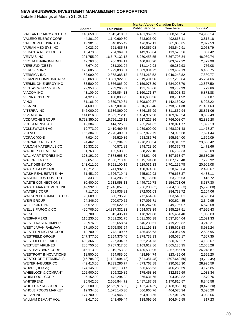|                                                   |                         |                              | <b>Market Value - Canadian Dollars</b> |                            |                        |
|---------------------------------------------------|-------------------------|------------------------------|----------------------------------------|----------------------------|------------------------|
|                                                   | <b>Shares</b>           | <b>Fair Value</b>            | <b>Public Service</b>                  | <b>Teachers'</b>           | Judges'                |
| <b>VALEANT PHARMACEUTIC</b>                       | 140,659.00              | 7,515,410.37                 | 4,181,969.29                           | 3,308,510.94               | 24,930.14              |
| <b>VALERO ENERGY CORP</b>                         | 44,301.00               | 1,140,609.30                 | 643,926.00                             | 492,868.11                 | 3,815.18               |
| VALLOUREC(USIN A T)                               | 13,301.00               | 840,855.49                   | 476,952.11                             | 361,080.85                 | 2,822.53               |
| VARIAN MED SYS INC                                | 9,023.00                | 621,485.78                   | 350,857.08                             | 268,549.91                 | 2,078.79               |
| <b>VEDANTA RESOURCES</b>                          | 13,478.00               | 264,369.01                   | 149,956.04                             | 113,525.56                 | 887.42                 |
| <b>VENTAS INC</b>                                 | 291,755.00              | 16,647,132.13                | 8,230,453.55                           | 8,367,708.84               | 48,969.74              |
| <b>VEOLIA ENVIRONNEME</b>                         | 42,763.00               | 706,934.11                   | 400,988.90                             | 303,572.22                 | 2,372.99               |
| <b>VERBUND (OEST)</b>                             | 7,674.00                | 231,201.94                   | 131,142.93                             | 99,282.93                  | 776.08                 |
| <b>VERESEN INC</b>                                | 126,685.00              | 1,929,830.61                 | 1,083,884.72                           | 839,489.13                 | 6,456.75               |
| <b>VERISIGN INC</b>                               | 62,090.00               | 2,378,388.12                 | 1,324,263.52                           | 1,046,243.82               | 7,880.77               |
| <b>VERIZON COMMUNICATNS</b>                       | 355,868.00              | 13,581,922.86                | 7,619,401.56                           | 5,917,286.64               | 45,234.66              |
| <b>VERMILION ENERGY INC</b>                       | 83,500.00               | 3,856,865.00                 | 2,159,973.80                           | 1,684,023.70               | 12,867.50              |
| <b>VESTAS WIND SYSTEM</b>                         | 22,958.00               | 232,266.31                   | 131,746.66                             | 99,739.99                  | 779.66                 |
| <b>VIACOM INC</b>                                 | 43,109.00               | 2,055,054.18                 | 1,160,171.87                           | 888,008.43                 | 6,873.88               |
| VIENNA INS GRP                                    | 4,328.00                | 188,000.95                   | 106,638.36                             | 80,731.52                  | 631.07                 |
| <b>VINCI</b>                                      | 51,166.00               | 2,659,789.61                 | 1,508,692.37                           | 1,142,169.02               | 8,928.22               |
| <b>VISA INC</b>                                   | 54,600.00               | 6,437,001.48                 | 3,616,858.46                           | 2,798,681.38               | 21,461.63              |
| VITERRA INC                                       | 546,000.00              | 8,686,860.00                 | 4,846,155.99                           | 3,811,832.94               | 28,871.06              |
| <b>VIVENDI SA</b>                                 | 141,016.00              | 2,582,712.13                 | 1,464,972.30                           | 1,109,070.34               | 8,669.49               |
| <b>VODAFONE GROUP</b>                             | 5,728,350.00            | 15,756,125.12                | 8,937,227.86                           | 6,766,008.07               | 52,889.20              |
| <b>VOESTALPINE AG</b>                             | 12,384.00               | 414,725.52                   | 235,241.62                             | 178,091.77                 | 1,392.13               |
| <b>VOLKSWAGEN AG</b>                              | 19,773.00               | 3,419,469.75                 | 1,939,600.00                           | 1,468,391.48               | 11,478.27              |
| <b>VOLVO</b>                                      | 156,384.00              | 2,270,489.81                 | 1,287,872.79                           | 974,995.58                 | 7,621.44               |
| <b>VOPAK (KON)</b>                                | 7,924.00                | 455,529.86                   | 258,386.76                             |                            | 1,529.09               |
| <b>VORNADO RLTY TR</b>                            | 94,462.00               | 7,952,204.69                 | 3,978,233.34                           | 195,614.00                 | 23,660.42              |
| <b>VULCAN MATERIALS CO</b>                        |                         | 440,572.89                   | 248,723.50                             | 3,950,310.92<br>190,375.73 | 1,473.66               |
|                                                   | 10,332.00               |                              |                                        |                            |                        |
| <b>WACKER CHEMIE AG</b>                           | 1,763.00                | 155,533.52                   | 88,222.10                              | 66,789.33                  | 522.09                 |
| WAL MART STORES INC<br><b>WALGREEN CO</b>         | 128,191.00<br>69,657.00 | 7,878,663.39<br>2,330,713.40 | 4,454,614.06                           | 3,397,668.97               | 26,380.36<br>7,795.92  |
| WALT DISNEY CO                                    | 143,011.00              |                              | 1,315,794.08                           | 1,007,123.40               | 20,909.08              |
| WARTSILA OYJ ABP                                  | 19,712.00               | 6,251,100.19<br>741,992.08   | 3,529,031.33<br>420,874.56             | 2,701,159.78<br>318,626.84 | 2,490.67               |
| WASH REAL ESTATE INV                              |                         | 1,526,719.41                 | 745,612.93                             |                            |                        |
| <b>WASHINGTON POST CO</b>                         | 51,451.00<br>333.00     |                              | 70,165.60                              | 776,668.37<br>53,705.53    | 4,438.11<br>415.72     |
| <b>WASTE CONNECTIONS I</b>                        | 80,400.00               | 124,286.85<br>2,613,058.13   |                                        | 1,154,701.06               |                        |
|                                                   |                         |                              | 1,449,719.78                           |                            | 8,637.30               |
| <b>WASTE MANAGEMENT INC</b>                       | (49,992.00)             | (1,746,057.33)               | (956, 200.82)<br>372,001.03            | (784, 135.63)              | (5,720.88)<br>2,204.06 |
| <b>WATERS CORP</b><br><b>WATSON PHARMACEUTCLS</b> | 7,117.00                | 658,938.81                   |                                        | 284,733.72<br>603,540.01   |                        |
|                                                   | 20,609.00               | 1,380,795.70                 | 772,664.86                             |                            | 4,590.84               |
| <b>WEIR GROUP</b>                                 | 24,846.00               | 700,070.52                   | 397,095.71                             | 300,624.85                 | 2,349.95               |
| <b>WELLPOINT INC</b>                              | 26,672.00               | 1,966,622.05                 | 1,110,247.90                           | 849,796.07                 | 6,578.08               |
| <b>WELLS FARGO &amp; CO</b>                       | 420,705.00              | 14,337,332.33                | 8,094,078.39                           | 6,195,297.51               | 47,956.43              |
| <b>WENDEL</b>                                     | 3,700.00                | 315,435.11                   | 178,921.88                             | 135,454.40                 | 1,058.83               |
| <b>WESFARMERS</b>                                 | 115,235.00              | 3,581,251.75                 | 2,031,366.38                           | 1,537,864.04               | 12,021.33              |
| <b>WEST FRASER TIMBER</b>                         | 20,976.00               | 962,658.64                   | 540,230.61                             | 419,209.82                 | 3,218.21               |
| WEST JAPAN RAILWAY                                | 67,100.00               | 2,705,803.94                 | 1,511,195.18                           | 1,185,623.53               | 8,985.24               |
| <b>WESTERN DIGITAL CORP</b>                       | 18,700.00               | 773,109.57                   | 436,455.63                             | 334,067.99                 | 2,585.95               |
| <b>WESTFIELD GROUP</b>                            | 247,377.00              | 2,254,376.46                 | 1,278,732.93                           | 968,076.17                 | 7,567.35               |
| <b>WESTFIELD RETAIL T</b>                         | 459,366.00              | 1,227,334.67                 | 692,254.73                             | 530,976.27                 | 4,103.67               |
| <b>WESTJET AIRLINES</b>                           | 280,750.00              | 3,787,317.50                 | 2,109,612.86                           | 1,665,136.35               | 12,568.28              |
| <b>WESTPAC BANK CORP</b>                          | 345,113.00              | 7,819,753.93                 | 4,435,539.96                           | 3,357,965.09               | 26,248.87              |
| <b>WESTPORT INNOVATIONS</b>                       | 18,500.00               | 754,985.00                   | 428,994.74                             | 323,435.06                 | 2,555.20               |
| <b>WESTSHORE TERMINALS</b>                        | (45,784.00)             | (1, 132, 694.43)             | (621, 351.48)                          | (507, 640.50)              | (3,702.45)             |
| <b>WEYERHAEUSER CO</b>                            | 449,413.00              | 9,833,286.77                 | 4,873,762.88                           | 4,930,528.30               | 28,995.59              |
| <b>WHARF(HLDGS)</b>                               | 174,145.00              | 946,113.17                   | 536,656.63                             | 406,280.69                 | 3,175.85               |
| <b>WHEELOCK &amp; COMPANY</b>                     | 102,900.00              | 309,329.89                   | 175,458.86                             | 132,832.69                 | 1,038.34               |
| <b>WHIRLPOOL CORP</b>                             | 6,152.00                | 472,294.23                   | 266,631.65                             | 204,082.82                 | 1,579.76               |
| WHITBREAD                                         | 90,542.00               | 2,666,844.72                 | 1,487,187.58                           | 1,170,810.57               | 8,846.58               |
| <b>WHITECAP RESOURCES</b>                         | (289, 500.00)           | (2,569,915.00)               | (1,422,474.59)                         | (1, 138, 965.20)           | (8,475.20)             |
| WHOLE FOODS MARKET                                | 12,934.00               | 1,075,140.30                 | 606,965.76                             | 464,578.34                 | 3,596.20               |
| WI LAN INC                                        | 174,700.00              | 904,946.00                   | 504,918.55                             | 397,019.39                 | 3,008.06               |
| <b>WILLIAM DEMANT HOL</b>                         | 2,617.00                | 243,459.44                   | 138,095.66                             | 104,546.55                 | 817.23                 |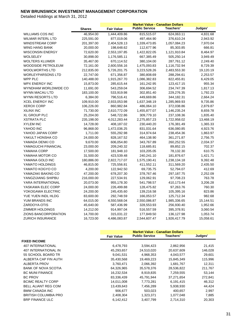|                          |               | <b>Market Value - Canadian Dollars</b> |                       |              |           |  |
|--------------------------|---------------|----------------------------------------|-----------------------|--------------|-----------|--|
|                          | <b>Shares</b> | <b>Fair Value</b>                      | <b>Public Service</b> | Teachers'    | Judges'   |  |
| <b>WILLIAMS COS INC</b>  | 46,954.00     | 1,444,409.86                           | 815,515.07            | 624,063.11   | 4,831.68  |  |
| <b>WILMAR INTERL LTD</b> | 225,591.00    | 877,019.06                             | 497,464.90            | 376,610.24   | 2,943.92  |  |
| <b>WINDSTREAM CORP</b>   | 201,397.00    | 2,404,528.13                           | 1,339,473.85          | 1,057,084.23 | 7,970.04  |  |
| WING HANG BANK           | 20,000.00     | 198,648.62                             | 112,677.96            | 85,303.85    | 666.81    |  |
| <b>WISCONSIN ENERGY</b>  | 72,620.00     | 2,553,197.85                           | 1,422,822.05          | 1,121,910.84 | 8,464.97  |  |
| <b>WOLSELEY</b>          | 30,898.00     | 1,176,585.11                           | 667,385.49            | 505,250.14   | 3,949.49  |  |
| WOLTERS KLUWER           | 35,467.00     | 670,114.52                             | 380,104.00            | 287,761.12   | 2,249.40  |  |
| WOODSIDE PETROLEUM       | 72,161.00     | 2,600,556.16                           | 1,475,093.83          | 1,116,732.94 | 8,729.39  |  |
| <b>WOOLWORTHS LTD</b>    | 212,835.00    | 5,726,201.75                           | 3,223,528.26          | 2,483,553.30 | 19,120.19 |  |
| <b>WORLEYPARSONS LTD</b> | 22,747.00     | 671,356.87                             | 380,808.69            | 288,294.61   | 2,253.57  |  |
| <b>WPP PLC</b>           | 140,488.00    | 1,915,267.70                           | 1,086,382.83          | 822,455.81   | 6,429.05  |  |
| <b>WPX ENERGY INC</b>    | 15,873.00     | 285,615.44                             | 161,242.95            | 123,417.15   | 955.34    |  |
| WYNDHAM WORLDWIDE CO     | 11,691.00     | 543,259.04                             | 306,694.52            | 234,747.39   | 1,817.13  |  |
| WYNN MACAU LTD           | 183,100.00    | 533,919.98                             | 302,851.40            | 229,276.35   | 1,792.23  |  |
| WYNN RESORTS LTD         | 6,384.00      | 796,516.41                             | 449,669.86            | 344,182.31   | 2,664.24  |  |
| <b>XCEL ENERGY INC</b>   | 109,910.00    | 2,933,053.98                           | 1,637,348.19          | 1,285,969.93 | 9,735.86  |  |
| <b>XEROX CORP</b>        | 106,226.00    | 860,982.84                             | 486,064.10            | 372,038.86   | 2,879.87  |  |
| <b>XILINX INC</b>        | 71,730.00     | 2,610,772.09                           | 1,455,877.07          | 1,146,235.24 | 8,659.78  |  |
| <b>XL GROUP PLC</b>      | 25,204.00     | 548,722.86                             | 309,779.10            | 237,108.36   | 1,835.40  |  |
| <b>XSTRATA PLC</b>       | 235,198.00    | 4,012,283.44                           | 2,275,857.23          | 1,722,958.02 | 13,468.19 |  |
| <b>XYLEM INC</b>         | 14,728.00     | 408,187.02                             | 230,440.20            | 176,381.49   | 1,365.33  |  |
| YAHOO INC                | 96,868.00     | 1,472,036.25                           | 831,031.64            | 636,080.85   | 4,923.76  |  |
| YAHOO JAPAN CORP         | 1,711.00      | 555,292.98                             | 314,974.64            | 238,454.36   | 1,863.97  |  |
| YAKULT HONSHA CO         | 24,000.00     | 828,167.52                             | 464,138.90            | 361,271.87   | 2,756.75  |  |
| YAMADA DENKI CO          | 9,670.00      | 606,054.80                             | 343,767.89            | 260,252.55   | 2,034.37  |  |
| YAMAGUCHI FINANCIAL      | 23,000.00     | 209,240.32                             | 118,685.81            | 89,852.15    | 702.37    |  |
| YAMAHA CORP              | 17,500.00     | 181,948.10                             | 103,205.05            | 78,132.30    | 610.75    |  |
| YAMAHA MOTOR CO          | 31,500.00     | 423,539.48                             | 240,241.10            | 181,876.67   | 1,421.71  |  |
| YAMANA GOLD INC          | 180,886.00    | 2,822,717.07                           | 1,575,190.41          | 1,238,134.18 | 9,392.48  |  |
| YAMATO HOLDINGS          | 46,815.00     | 725,556.81                             | 411,552.11            | 311,569.20   | 2,435.50  |  |
| YAMATO KOGYO CO          | 4,200.00      | 122,942.50                             | 69,735.75             | 52,794.07    | 412.69    |  |
| YAMAZAKI BAKING CO       | 47,200.00     | 678,207.30                             | 378,767.46            | 297,187.75   | 2,252.09  |  |
| YANGZIJIANG SHIPBU       | 216,000.00    | 227,534.91                             | 129,062.91            | 97,708.23    | 763.78    |  |
| YARA INTERNATIONAL       | 20,073.00     | 955,178.30                             | 541,798.57            | 410,173.44   | 3,206.28  |  |
| YASKAWA ELEC CORP        | 24,000.00     | 226,499.88                             | 128,475.82            | 97,263.76    | 760.30    |  |
| YOKOGAWA ELECTRIC        | 24,200.00     | 245,435.60                             | 139,216.58            | 105,395.16   | 823.86    |  |
| YUE YUEN INDL HLDG       | 83,600.00     | 292,748.59                             | 166,053.57            | 125,712.34   | 982.68    |  |
| YUM BRANDS INC           | 64,015.00     | 4,550,568.04                           | 2,550,086.87          | 1,985,336.65 | 15,144.51 |  |
| ZARDOYA-OTIS             | 45,640.00     | 587,436.99                             | 328,553.93            | 256,930.40   | 1,952.66  |  |
| <b>ZIMMER HOLDINGS</b>   | 14,212.00     | 914,997.04                             | 516,557.59            | 395,378.91   | 3,060.54  |  |
| ZIONS BANCORPORATION     | 14,700.00     | 315,031.22                             | 177,849.50            | 136,127.98   | 1,053.74  |  |
| <b>ZURICH INSURANCE</b>  | 16,723.00     | 4,486,083.87                           | 2,544,607.47          | 1,926,417.79 | 15,058.61 |  |

|                             |                   | <b>Market Value - Canadian Dollars</b> |            |         |  |
|-----------------------------|-------------------|----------------------------------------|------------|---------|--|
|                             | <b>Fair Value</b> | <b>Public Service</b>                  | Teachers'  | Judges' |  |
| <b>FIXED INCOME</b>         |                   |                                        |            |         |  |
| 407 INTERNATIONAL           | 6,478,793         | 3,594,423                              | 2,862,956  | 21,415  |  |
| <b>407 INTERNATIONAL IN</b> | 45,293,657        | 24,510,020                             | 20,637,609 | 146,028 |  |
| 55 SCHOOL BOARD TR          | 9,041,531         | 4,968,353                              | 4,043,577  | 29,601  |  |
| ALBERTA CAP FIN AUTH        | 35,430,568        | 19,469,223                             | 15,845,349 | 115,996 |  |
| ALBERTA PROV                | 3,760,471         | 2,066,392                              | 1,681,767  | 12,311  |  |
| <b>BANK OF NOVA SCOTIA</b>  | 64,326,965        | 35,578,376                             | 28,536,822 | 211,767 |  |
| <b>BC MUNI FINANCE</b>      | 16,232,534        | 8,919,835                              | 7,259,555  | 53,144  |  |
| <b>BC PROV</b>              | 83,336,439        | 45.791.944                             | 37,271,654 | 272,841 |  |
| <b>BCIMC REALTY CORP</b>    | 14,011,008        | 7,773,281                              | 6,191,415  | 46,312  |  |
| <b>BELL ALIANT REG COM</b>  | 13,439,643        | 7,456,289                              | 5,938,930  | 44,424  |  |
| <b>BMW CANADA INC</b>       | 906.677           | 503.023                                | 400.657    | 2,997   |  |
| <b>BRITISH COLUMBIA PRO</b> | 2,408,304         | 1,323,371                              | 1,077,048  | 7,885   |  |
| <b>BRP FINANCE ULC</b>      | 6,142,412         | 3,407,799                              | 2,714,310  | 20,303  |  |
|                             |                   |                                        |            |         |  |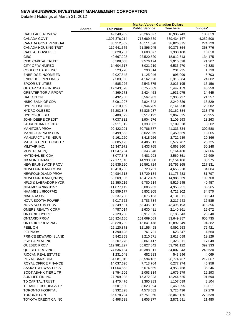|                                                 |               |                         | <b>Market Value - Canadian Dollars</b> |                         |                 |
|-------------------------------------------------|---------------|-------------------------|----------------------------------------|-------------------------|-----------------|
|                                                 | <b>Shares</b> | <b>Fair Value</b>       | <b>Public Service</b>                  | Teachers'               | Judges'         |
| <b>CADILLAC FAIRVIEW</b>                        |               | 42,340,759              | 23,266,397                             | 18,935,743              | 138,619         |
| <b>CANADA GOVT</b>                              |               | 1,307,376,214           | 713,689,539                            | 589,434,167             | 4,252,508       |
| CANADA GOVT RESIDUAL                            |               | 85,212,802              | 46,111,698                             | 38,826,375              | 274,729         |
| <b>CANADA HOUSING TRST</b>                      |               | 112,641,575             | 61,896,945                             | 50,375,854              | 368,776         |
| <b>CAPITAL POWER LP</b>                         |               | 3,028,267               | 1,680,077                              | 1,338,180               | 10,010          |
| <b>CIBC</b>                                     |               | 40,667,208              | 22,520,520                             | 18,012,513              | 134,175         |
| <b>CIBC CAPITAL TRUST</b>                       |               | 6,508,008               | 3,576,174                              | 2,910,528               | 21,307          |
| <b>CITY OF WINNIPEG</b>                         |               | 14,604,317              | 8,021,219                              | 6,535,270               | 47,828          |
| COGECO CABLE INC                                |               | 523,278                 | 290,314                                | 231,235                 | 1,730           |
| <b>ENBRIDGE INCOME FD</b>                       |               | 2,027,848               | 1,125,046                              | 896,099                 | 6,703           |
| <b>ENBRIDGE PIPELINES</b>                       |               | 7,503,306               | 4,162,820                              | 3,315,684               | 24,802          |
| <b>EPCOR UTILITIES</b>                          |               | 4,585,226               | 2,543,875                              | 2,026,195               | 15,156          |
| <b>GE CAP CAN FUNDING</b>                       |               | 12,243,078              | 6,755,669                              | 5,447,159               | 40,250          |
| <b>GREATER TOR AIRPORT</b>                      |               | 4,369,973               | 2,424,453                              | 1,931,075               | 14,445          |
| <b>HALTON ON</b>                                |               | 6,492,958               | 3,567,903                              | 2,903,797               | 21,257          |
| <b>HSBC BANK OF CDA</b>                         |               | 5,091,297               | 2,824,642                              | 2,249,826               | 16,829          |
| HYDRO ONE INC                                   |               | 7,110,169               | 3,944,709                              | 3,141,958               | 23,502          |
| <b>HYDRO QUEBEC</b>                             |               | 65,202,848              | 35,826,987                             | 29,162,384              | 213,476         |
| <b>HYDRO-QUEBEC</b>                             |               | 6,400,672               | 3,517,192                              | 2,862,525               | 20,955          |
| JOHN DEERE CREDIT                               |               | 7,037,832               | 3,904,576                              | 3,109,993               | 23,263          |
| LAURENTIAN BK CDA                               |               | 2,511,512               | 1,393,382                              | 1,109,828               | 8,302           |
| <b>MANITOBA PROV</b>                            |               | 92,422,291              | 50,786,377                             | 41,333,334              | 302,580         |
| <b>MANITOBA PROV CDA</b>                        |               | 5,499,653               | 3,022,079                              | 2,459,569               | 18,005          |
| <b>MANUFACT LIFE INSUR</b>                      |               | 6,161,260               | 3,418,256                              | 2,722,639               | 20,366          |
| <b>MASTER CREDIT CRD TR</b>                     |               | 8,085,123               | 4,485,611                              | 3,572,787               | 26,725          |
| MILITAIR INC.                                   |               | 15,347,972              | 8,433,765                              | 6,863,960               | 50,248          |
| <b>MONTREAL PQ</b>                              |               | 11,547,784              | 6,345,548                              | 5,164,430               | 37,806          |
| NATIONAL BK CDA                                 |               | 8,077,348               | 4,481,298                              | 3,569,351               | 26,699          |
| <b>NB MUNI FINANCE</b>                          |               | 27,177,040              | 14,933,880                             | 12,154,186              | 88,975          |
| <b>NEW BRUNSWICK PROV</b>                       |               | 66,535,920              | 36,561,724                             | 29,756,365              | 217,831         |
| NEWFOUNDLAND MUNI                               |               | 10,410,763              | 5,720,751                              | 4,655,928               | 34,084          |
| NEWFOUNDLAND PROV                               |               | 24,984,613              | 13,729,134                             | 11,173,683              | 81,797          |
| NEWFOUNDLAND(PROV)                              |               | 33,509,006              | 18,412,429                             | 14,986,869              | 109,708         |
| <b>NFLD &amp; LABRADOR HYDR</b>                 |               | 12,350,216              | 6,780,514                              | 5,529,245               | 40,457          |
| NHA MBS # 96601257                              |               | 11,077,149              | 6,086,933                              | 4,953,951               | 36,265          |
| NHA MBS # 99007742                              |               | 10,559,177              | 5,802,305                              | 4,722,302               | 34,570          |
| NIAGARA ON                                      |               | 9,237,708               | 5,076,153                              | 4,131,311               | 30,243          |
| <b>NOVA SCOTIA POWER</b>                        |               | 5,017,562               | 2,783,734                              | 2,217,243               | 16,585          |
| NOVA SCOTIA PROV                                |               | 97,249,501              | 53,435,912                             | 43,495,193              | 318,396         |
| OMERS REALTY CORP                               |               | 4,787,014               | 2,630,481                              | 2,140,861               | 15,672          |
| ONTARIO HYDRO                                   |               | 7,129,208               | 3,917,525                              | 3,188,343               | 23,340          |
| <b>ONTARIO PROV</b>                             |               | 185,924,150             | 101,669,059                            | 83,649,357              | 605,735         |
| <b>ONTARIO PROV PKG</b>                         |               | 28,828,709              | 15,841,478                             | 12,892,849              | 94,382          |
| PEEL ON                                         |               | 22,120,873              | 12,155,498                             | 9,892,953               | 72,421          |
| PEI PROV                                        |               | 1,390,128               | 761,721                                | 623,847                 | 4,560           |
| PRINCE EDWARD ISLAND                            |               | 5,842,858               | 3,210,671                              | 2,613,058               | 19,129          |
| PSP CAPITAL INC                                 |               | 5,207,276               | 2,861,417                              | 2,328,811               | 17,048          |
| QUEBEC PROV<br>QUEBEC PROVINCE                  |               | 119,981,297             | 65,827,842                             | 53,761,122              | 392,333         |
| RIOCAN REAL ESTATE                              |               | 74,636,184              | 40,388,311                             | 34,007,243              | 240,630         |
| ROYAL BANK CDA                                  |               | 1,231,048<br>64,581,015 | 682,983                                | 543,996<br>28,774,767   | 4,069           |
|                                                 |               |                         | 35,594,182                             |                         | 212,067         |
| ROYAL OFFICE FINANCE                            |               | 14,037,696              | 7,713,764                              | 6,277,974               | 45,958          |
| SASKATCHEWAN PROV                               |               | 11,064,563              | 6,074,559                              | 4,953,758               | 36,246          |
| <b>SCOTIABANK TIER 1 TR</b><br>SUN LIFE FIN INC |               | 3,754,906               | 2,063,334                              | 1,679,279               | 12,293          |
| TD CAPITAL TRUST                                |               | 27,709,038<br>2,475,476 | 15,372,923<br>1,360,283                | 12,244,525<br>1,107,089 | 91,590<br>8,104 |
| <b>TERANET HOLDINGS LP</b>                      |               | 5,501,500               | 3,023,094                              | 2,460,395               | 18,011          |
| <b>TORONTO HOSPITAL</b>                         |               | 8,332,398               | 4,578,682                              | 3,726,436               | 27,279          |
| TORONTO ON                                      |               | 85,078,724              | 46,751,060                             | 38,049,125              | 278,538         |
| TOYOTA CREDIT CA INC                            |               | 6,498,538               | 3,605,377                              | 2,871,681               | 21,480          |
|                                                 |               |                         |                                        |                         |                 |